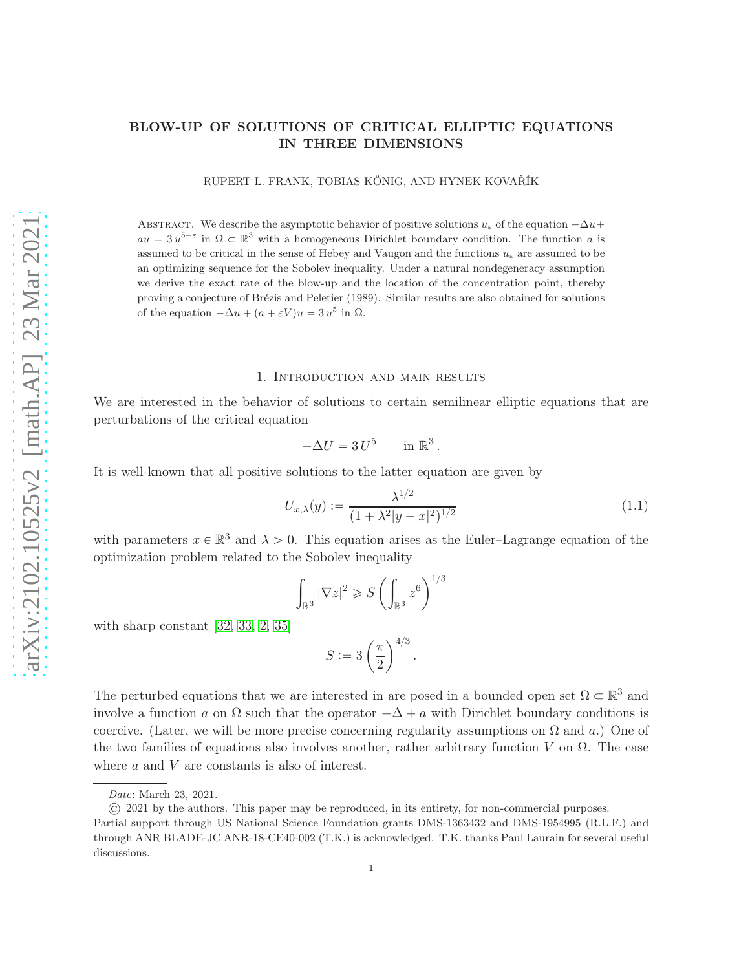## BLOW-UP OF SOLUTIONS OF CRITICAL ELLIPTIC EQUATIONS IN THREE DIMENSIONS

RUPERT L. FRANK, TOBIAS KÖNIG, AND HYNEK KOVAŘÍK

ABSTRACT. We describe the asymptotic behavior of positive solutions  $u_{\varepsilon}$  of the equation  $-\Delta u$ +  $au = 3 u^{5-\epsilon}$  in  $\Omega \subset \mathbb{R}^3$  with a homogeneous Dirichlet boundary condition. The function a is assumed to be critical in the sense of Hebey and Vaugon and the functions  $u_{\varepsilon}$  are assumed to be an optimizing sequence for the Sobolev inequality. Under a natural nondegeneracy assumption we derive the exact rate of the blow-up and the location of the concentration point, thereby proving a conjecture of Brézis and Peletier (1989). Similar results are also obtained for solutions of the equation  $-\Delta u + (a + \varepsilon V)u = 3 u^5$  in  $\Omega$ .

#### 1. Introduction and main results

We are interested in the behavior of solutions to certain semilinear elliptic equations that are perturbations of the critical equation

$$
-\Delta U = 3 U^5 \quad \text{in } \mathbb{R}^3.
$$

It is well-known that all positive solutions to the latter equation are given by

<span id="page-0-0"></span>
$$
U_{x,\lambda}(y) := \frac{\lambda^{1/2}}{(1 + \lambda^2 |y - x|^2)^{1/2}}\tag{1.1}
$$

with parameters  $x \in \mathbb{R}^3$  and  $\lambda > 0$ . This equation arises as the Euler–Lagrange equation of the optimization problem related to the Sobolev inequality

$$
\int_{\mathbb{R}^3} |\nabla z|^2 \geqslant S \left( \int_{\mathbb{R}^3} z^6 \right)^{1/3}
$$

with sharp constant [\[32,](#page-56-0) [33,](#page-56-1) [2,](#page-55-0) [35\]](#page-56-2)

$$
S:=3\left(\frac{\pi}{2}\right)^{4/3}.
$$

The perturbed equations that we are interested in are posed in a bounded open set  $\Omega \subset \mathbb{R}^3$  and involve a function a on  $\Omega$  such that the operator  $-\Delta + a$  with Dirichlet boundary conditions is coercive. (Later, we will be more precise concerning regularity assumptions on  $\Omega$  and a.) One of the two families of equations also involves another, rather arbitrary function V on  $\Omega$ . The case where a and V are constants is also of interest.

Date: March 23, 2021.

<sup>© 2021</sup> by the authors. This paper may be reproduced, in its entirety, for non-commercial purposes.

Partial support through US National Science Foundation grants DMS-1363432 and DMS-1954995 (R.L.F.) and through ANR BLADE-JC ANR-18-CE40-002 (T.K.) is acknowledged. T.K. thanks Paul Laurain for several useful discussions.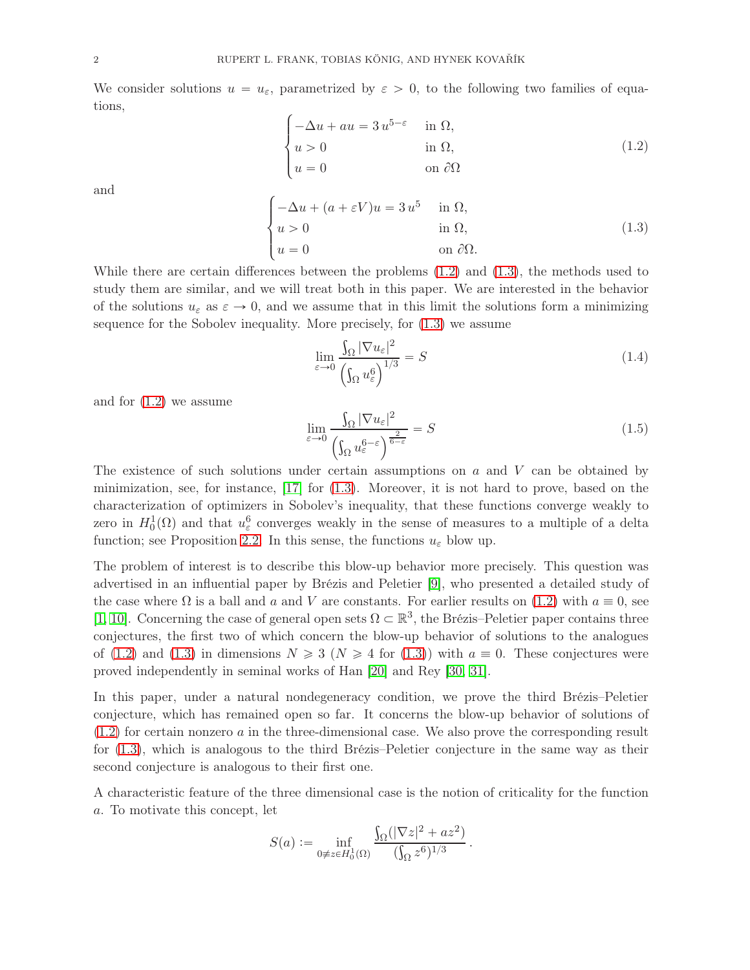We consider solutions  $u = u_{\varepsilon}$ , parametrized by  $\varepsilon > 0$ , to the following two families of equations,

<span id="page-1-0"></span>
$$
\begin{cases}\n-\Delta u + au = 3 u^{5-\epsilon} & \text{in } \Omega, \\
u > 0 & \text{in } \Omega, \\
u = 0 & \text{on } \partial\Omega\n\end{cases}
$$
\n(1.2)

and

<span id="page-1-1"></span>
$$
\begin{cases}\n-\Delta u + (a + \varepsilon V)u = 3 u^5 & \text{in } \Omega, \\
u > 0 & \text{in } \Omega, \\
u = 0 & \text{on } \partial\Omega.\n\end{cases}
$$
\n(1.3)

While there are certain differences between the problems [\(1.2\)](#page-1-0) and [\(1.3\)](#page-1-1), the methods used to study them are similar, and we will treat both in this paper. We are interested in the behavior of the solutions  $u_{\varepsilon}$  as  $\varepsilon \to 0$ , and we assume that in this limit the solutions form a minimizing sequence for the Sobolev inequality. More precisely, for [\(1.3\)](#page-1-1) we assume

<span id="page-1-3"></span>
$$
\lim_{\varepsilon \to 0} \frac{\int_{\Omega} |\nabla u_{\varepsilon}|^2}{\left(\int_{\Omega} u_{\varepsilon}^6\right)^{1/3}} = S \tag{1.4}
$$

and for [\(1.2\)](#page-1-0) we assume

<span id="page-1-2"></span>
$$
\lim_{\varepsilon \to 0} \frac{\int_{\Omega} |\nabla u_{\varepsilon}|^2}{\left(\int_{\Omega} u_{\varepsilon}^{6-\varepsilon}\right)^{\frac{2}{6-\varepsilon}}} = S
$$
\n(1.5)

The existence of such solutions under certain assumptions on  $a$  and  $V$  can be obtained by minimization, see, for instance,  $\left[17\right]$  for  $(1.3)$ . Moreover, it is not hard to prove, based on the characterization of optimizers in Sobolev's inequality, that these functions converge weakly to zero in  $H_0^1(\Omega)$  and that  $u_{\varepsilon}^6$  converges weakly in the sense of measures to a multiple of a delta function; see Proposition [2.2.](#page-8-0) In this sense, the functions  $u_{\varepsilon}$  blow up.

The problem of interest is to describe this blow-up behavior more precisely. This question was advertised in an influential paper by Brézis and Peletier [\[9\]](#page-55-2), who presented a detailed study of the case where  $\Omega$  is a ball and a and V are constants. For earlier results on [\(1.2\)](#page-1-0) with  $a \equiv 0$ , see [\[1,](#page-55-3) [10\]](#page-55-4). Concerning the case of general open sets  $\Omega \subset \mathbb{R}^3$ , the Brézis–Peletier paper contains three conjectures, the first two of which concern the blow-up behavior of solutions to the analogues of [\(1.2\)](#page-1-0) and [\(1.3\)](#page-1-1) in dimensions  $N \ge 3$  ( $N \ge 4$  for (1.3)) with  $a \equiv 0$ . These conjectures were proved independently in seminal works of Han [\[20\]](#page-56-3) and Rey [\[30,](#page-56-4) [31\]](#page-56-5).

In this paper, under a natural nondegeneracy condition, we prove the third Brézis–Peletier conjecture, which has remained open so far. It concerns the blow-up behavior of solutions of [\(1.2\)](#page-1-0) for certain nonzero a in the three-dimensional case. We also prove the corresponding result for [\(1.3\)](#page-1-1), which is analogous to the third Brézis–Peletier conjecture in the same way as their second conjecture is analogous to their first one.

A characteristic feature of the three dimensional case is the notion of criticality for the function a. To motivate this concept, let

$$
S(a) := \inf_{0 \neq z \in H_0^1(\Omega)} \frac{\int_{\Omega} (|\nabla z|^2 + az^2)}{(\int_{\Omega} z^6)^{1/3}}.
$$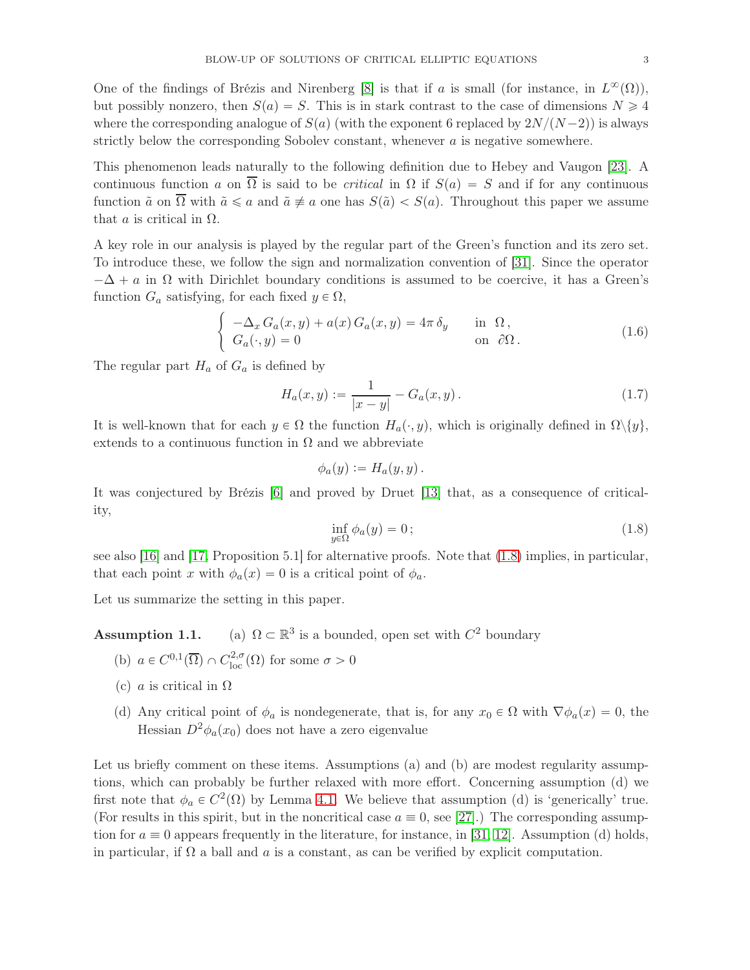One of the findings of Brézis and Nirenberg [\[8\]](#page-55-5) is that if a is small (for instance, in  $L^{\infty}(\Omega)$ ), but possibly nonzero, then  $S(a) = S$ . This is in stark contrast to the case of dimensions  $N \geq 4$ where the corresponding analogue of  $S(a)$  (with the exponent 6 replaced by  $2N/(N-2)$ ) is always strictly below the corresponding Sobolev constant, whenever a is negative somewhere.

This phenomenon leads naturally to the following definition due to Hebey and Vaugon [\[23\]](#page-56-6). A continuous function a on  $\overline{\Omega}$  is said to be *critical* in  $\Omega$  if  $S(a) = S$  and if for any continuous function  $\tilde{a}$  on  $\overline{\Omega}$  with  $\tilde{a} \le a$  and  $\tilde{a} \ne a$  one has  $S(\tilde{a}) < S(a)$ . Throughout this paper we assume that  $\alpha$  is critical in  $\Omega$ .

A key role in our analysis is played by the regular part of the Green's function and its zero set. To introduce these, we follow the sign and normalization convention of [\[31\]](#page-56-5). Since the operator  $-\Delta + a$  in  $\Omega$  with Dirichlet boundary conditions is assumed to be coercive, it has a Green's function  $G_a$  satisfying, for each fixed  $y \in \Omega$ ,

$$
\begin{cases}\n-\Delta_x G_a(x,y) + a(x) G_a(x,y) = 4\pi \delta_y & \text{in } \Omega, \\
G_a(\cdot, y) = 0 & \text{on } \partial\Omega.\n\end{cases}
$$
\n(1.6)

The regular part  $H_a$  of  $G_a$  is defined by

$$
H_a(x,y) := \frac{1}{|x-y|} - G_a(x,y).
$$
 (1.7)

It is well-known that for each  $y \in \Omega$  the function  $H_a(\cdot, y)$ , which is originally defined in  $\Omega \setminus \{y\}$ , extends to a continuous function in  $\Omega$  and we abbreviate

$$
\phi_a(y) := H_a(y,y) \, .
$$

It was conjectured by Brézis [\[6\]](#page-55-6) and proved by Druet [\[13\]](#page-55-7) that, as a consequence of criticality,

<span id="page-2-0"></span>
$$
\inf_{y \in \Omega} \phi_a(y) = 0; \tag{1.8}
$$

see also [\[16\]](#page-55-8) and [\[17,](#page-55-1) Proposition 5.1] for alternative proofs. Note that [\(1.8\)](#page-2-0) implies, in particular, that each point x with  $\phi_a(x) = 0$  is a critical point of  $\phi_a$ .

Let us summarize the setting in this paper.

Assumption 1.1. <sup>3</sup> is a bounded, open set with  $C^2$  boundary

- (b)  $a \in C^{0,1}(\overline{\Omega}) \cap C^{2,\sigma}_{loc}(\Omega)$  for some  $\sigma > 0$
- (c) *a* is critical in  $\Omega$
- (d) Any critical point of  $\phi_a$  is nondegenerate, that is, for any  $x_0 \in \Omega$  with  $\nabla \phi_a(x) = 0$ , the Hessian  $D^2\phi_a(x_0)$  does not have a zero eigenvalue

Let us briefly comment on these items. Assumptions (a) and (b) are modest regularity assumptions, which can probably be further relaxed with more effort. Concerning assumption (d) we first note that  $\phi_a \in C^2(\Omega)$  by Lemma [4.1.](#page-29-0) We believe that assumption (d) is 'generically' true. (For results in this spirit, but in the noncritical case  $a \equiv 0$ , see [\[27\]](#page-56-7).) The corresponding assumption for  $a \equiv 0$  appears frequently in the literature, for instance, in [\[31,](#page-56-5) [12\]](#page-55-9). Assumption (d) holds, in particular, if  $\Omega$  a ball and a is a constant, as can be verified by explicit computation.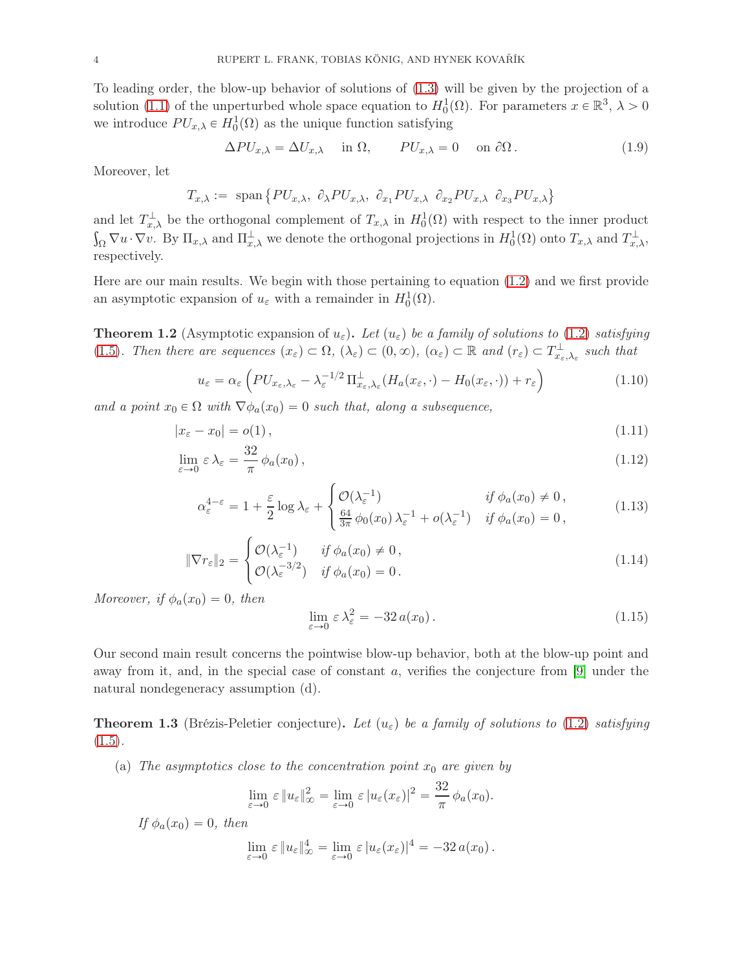To leading order, the blow-up behavior of solutions of [\(1.3\)](#page-1-1) will be given by the projection of a solution [\(1.1\)](#page-0-0) of the unperturbed whole space equation to  $H_0^1(\Omega)$ . For parameters  $x \in \mathbb{R}^3$ ,  $\lambda > 0$ we introduce  $PU_{x,\lambda} \in H_0^1(\Omega)$  as the unique function satisfying

$$
\Delta PU_{x,\lambda} = \Delta U_{x,\lambda} \quad \text{in } \Omega, \qquad PU_{x,\lambda} = 0 \quad \text{on } \partial \Omega. \tag{1.9}
$$

Moreover, let

$$
T_{x,\lambda} := \text{ span}\{ PU_{x,\lambda}, \partial_{\lambda} PU_{x,\lambda}, \partial_{x_1} PU_{x,\lambda} \partial_{x_2} PU_{x,\lambda} \partial_{x_3} PU_{x,\lambda} \}
$$

and let  $T_{x,\lambda}^{\perp}$  be the orthogonal complement of  $T_{x,\lambda}$  in  $H_0^1(\Omega)$  with respect to the inner product  $\int_{\Omega} \nabla u \cdot \nabla v$ . By  $\Pi_{x,\lambda}$  and  $\Pi_{x,\lambda}^{\perp}$  we denote the orthogonal projections in  $H_0^1(\Omega)$  onto  $T_{x,\lambda}$  and  $T_{x,\lambda}^{\perp}$ , respectively.

Here are our main results. We begin with those pertaining to equation [\(1.2\)](#page-1-0) and we first provide an asymptotic expansion of  $u_{\varepsilon}$  with a remainder in  $H_0^1(\Omega)$ .

<span id="page-3-1"></span>**Theorem 1.2** (Asymptotic expansion of  $u_{\varepsilon}$ ). Let  $(u_{\varepsilon})$  be a family of solutions to [\(1.2\)](#page-1-0) satisfying [\(1.5\)](#page-1-2). Then there are sequences  $(x_{\varepsilon}) \subset \Omega$ ,  $(\lambda_{\varepsilon}) \subset (0, \infty)$ ,  $(\alpha_{\varepsilon}) \subset \mathbb{R}$  and  $(r_{\varepsilon}) \subset T_{x_{\varepsilon}, \lambda_{\varepsilon}}^{\perp}$  such that

<span id="page-3-2"></span>
$$
u_{\varepsilon} = \alpha_{\varepsilon} \left( PU_{x_{\varepsilon},\lambda_{\varepsilon}} - \lambda_{\varepsilon}^{-1/2} \Pi_{x_{\varepsilon},\lambda_{\varepsilon}}^{\perp} (H_a(x_{\varepsilon},\cdot) - H_0(x_{\varepsilon},\cdot)) + r_{\varepsilon} \right)
$$
(1.10)

and a point  $x_0 \in \Omega$  with  $\nabla \phi_a(x_0) = 0$  such that, along a subsequence,

$$
|x_{\varepsilon} - x_0| = o(1), \tag{1.11}
$$

$$
\lim_{\varepsilon \to 0} \varepsilon \lambda_{\varepsilon} = \frac{32}{\pi} \phi_a(x_0), \tag{1.12}
$$

$$
\alpha_{\varepsilon}^{4-\varepsilon} = 1 + \frac{\varepsilon}{2} \log \lambda_{\varepsilon} + \begin{cases} \mathcal{O}(\lambda_{\varepsilon}^{-1}) & \text{if } \phi_a(x_0) \neq 0, \\ \frac{64}{3\pi} \phi_0(x_0) \lambda_{\varepsilon}^{-1} + o(\lambda_{\varepsilon}^{-1}) & \text{if } \phi_a(x_0) = 0, \end{cases}
$$
(1.13)

$$
\|\nabla r_{\varepsilon}\|_{2} = \begin{cases} \mathcal{O}(\lambda_{\varepsilon}^{-1}) & \text{if } \phi_{a}(x_{0}) \neq 0, \\ \mathcal{O}(\lambda_{\varepsilon}^{-3/2}) & \text{if } \phi_{a}(x_{0}) = 0. \end{cases}
$$
\n(1.14)

Moreover, if  $\phi_a(x_0) = 0$ , then

<span id="page-3-5"></span><span id="page-3-4"></span><span id="page-3-3"></span>
$$
\lim_{\varepsilon \to 0} \varepsilon \lambda_{\varepsilon}^2 = -32 a(x_0).
$$
\n(1.15)

Our second main result concerns the pointwise blow-up behavior, both at the blow-up point and away from it, and, in the special case of constant a, verifies the conjecture from [\[9\]](#page-55-2) under the natural nondegeneracy assumption (d).

<span id="page-3-0"></span>**Theorem 1.3** (Brézis-Peletier conjecture). Let  $(u_{\varepsilon})$  be a family of solutions to [\(1.2\)](#page-1-0) satisfying  $(1.5).$  $(1.5).$ 

(a) The asymptotics close to the concentration point  $x_0$  are given by

$$
\lim_{\varepsilon \to 0} \varepsilon \|u_{\varepsilon}\|_{\infty}^2 = \lim_{\varepsilon \to 0} \varepsilon |u_{\varepsilon}(x_{\varepsilon})|^2 = \frac{32}{\pi} \phi_a(x_0).
$$

If  $\phi_a(x_0) = 0$ , then

$$
\lim_{\varepsilon \to 0} \varepsilon \|u_{\varepsilon}\|_{\infty}^4 = \lim_{\varepsilon \to 0} \varepsilon |u_{\varepsilon}(x_{\varepsilon})|^4 = -32 a(x_0).
$$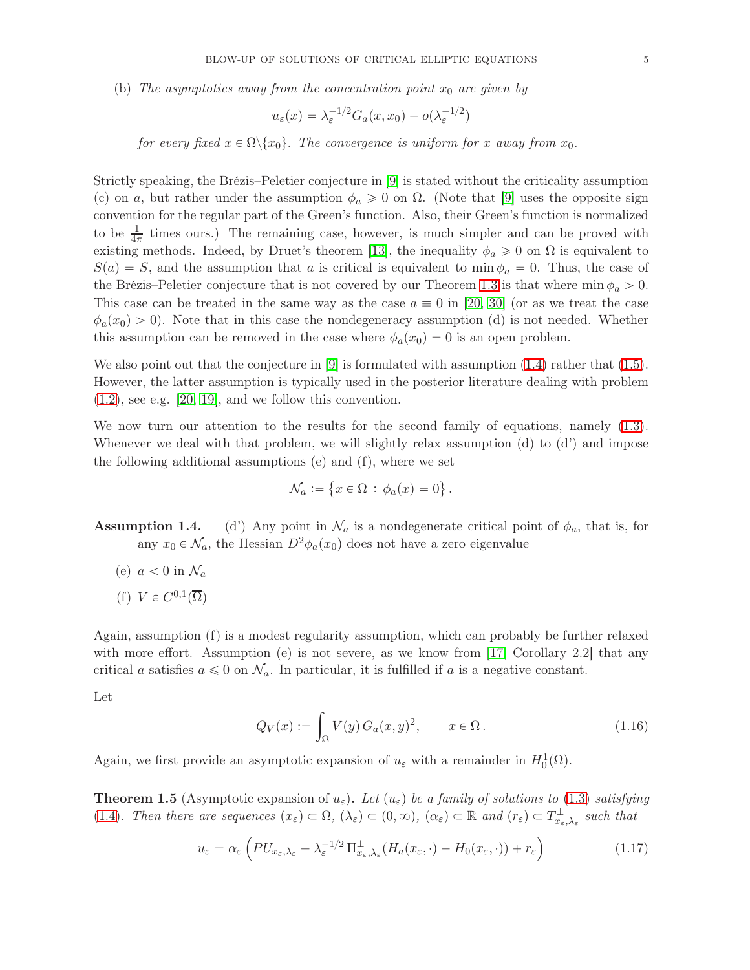(b) The asymptotics away from the concentration point  $x_0$  are given by

$$
u_{\varepsilon}(x) = \lambda_{\varepsilon}^{-1/2} G_a(x, x_0) + o(\lambda_{\varepsilon}^{-1/2})
$$

for every fixed  $x \in \Omega \backslash \{x_0\}$ . The convergence is uniform for x away from  $x_0$ .

Strictly speaking, the Brézis–Peletier conjecture in [\[9\]](#page-55-2) is stated without the criticality assumption (c) on a, but rather under the assumption  $\phi_a \geq 0$  on  $\Omega$ . (Note that [\[9\]](#page-55-2) uses the opposite sign convention for the regular part of the Green's function. Also, their Green's function is normalized to be  $\frac{1}{4\pi}$  times ours.) The remaining case, however, is much simpler and can be proved with existing methods. Indeed, by Druet's theorem [\[13\]](#page-55-7), the inequality  $\phi_a \geq 0$  on  $\Omega$  is equivalent to  $S(a) = S$ , and the assumption that a is critical is equivalent to min  $\phi_a = 0$ . Thus, the case of the Brézis–Peletier conjecture that is not covered by our Theorem [1.3](#page-3-0) is that where  $\min \phi_a > 0$ . This case can be treated in the same way as the case  $a \equiv 0$  in [\[20,](#page-56-3) [30\]](#page-56-4) (or as we treat the case  $\phi_a(x_0) > 0$ . Note that in this case the nondegeneracy assumption (d) is not needed. Whether this assumption can be removed in the case where  $\phi_a(x_0) = 0$  is an open problem.

We also point out that the conjecture in  $|9|$  is formulated with assumption [\(1.4\)](#page-1-3) rather that [\(1.5\)](#page-1-2). However, the latter assumption is typically used in the posterior literature dealing with problem  $(1.2)$ , see e.g.  $[20, 19]$  $[20, 19]$ , and we follow this convention.

We now turn our attention to the results for the second family of equations, namely  $(1.3)$ . Whenever we deal with that problem, we will slightly relax assumption (d) to (d') and impose the following additional assumptions (e) and (f), where we set

$$
\mathcal{N}_a := \{ x \in \Omega \, : \, \phi_a(x) = 0 \} \, .
$$

**Assumption 1.4.** (d') Any point in  $\mathcal{N}_a$  is a nondegenerate critical point of  $\phi_a$ , that is, for any  $x_0 \in \mathcal{N}_a$ , the Hessian  $D^2 \phi_a(x_0)$  does not have a zero eigenvalue

- (e)  $a < 0$  in  $\mathcal{N}_a$
- (f)  $V \in C^{0,1}(\overline{\Omega})$

Again, assumption (f) is a modest regularity assumption, which can probably be further relaxed with more effort. Assumption (e) is not severe, as we know from [\[17,](#page-55-1) Corollary 2.2] that any critical a satisfies  $a \leq 0$  on  $\mathcal{N}_a$ . In particular, it is fulfilled if a is a negative constant.

Let

$$
Q_V(x) := \int_{\Omega} V(y) G_a(x, y)^2, \qquad x \in \Omega.
$$
 (1.16)

Again, we first provide an asymptotic expansion of  $u_{\varepsilon}$  with a remainder in  $H_0^1(\Omega)$ .

<span id="page-4-0"></span>**Theorem 1.5** (Asymptotic expansion of  $u_{\varepsilon}$ ). Let  $(u_{\varepsilon})$  be a family of solutions to [\(1.3\)](#page-1-1) satisfying [\(1.4\)](#page-1-3). Then there are sequences  $(x_{\varepsilon}) \subset \Omega$ ,  $(\lambda_{\varepsilon}) \subset (0, \infty)$ ,  $(\alpha_{\varepsilon}) \subset \mathbb{R}$  and  $(r_{\varepsilon}) \subset T_{x_{\varepsilon}, \lambda_{\varepsilon}}^{\perp}$  such that

<span id="page-4-1"></span>
$$
u_{\varepsilon} = \alpha_{\varepsilon} \left( PU_{x_{\varepsilon}, \lambda_{\varepsilon}} - \lambda_{\varepsilon}^{-1/2} \Pi_{x_{\varepsilon}, \lambda_{\varepsilon}}^{\perp} (H_a(x_{\varepsilon}, \cdot) - H_0(x_{\varepsilon}, \cdot)) + r_{\varepsilon} \right)
$$
(1.17)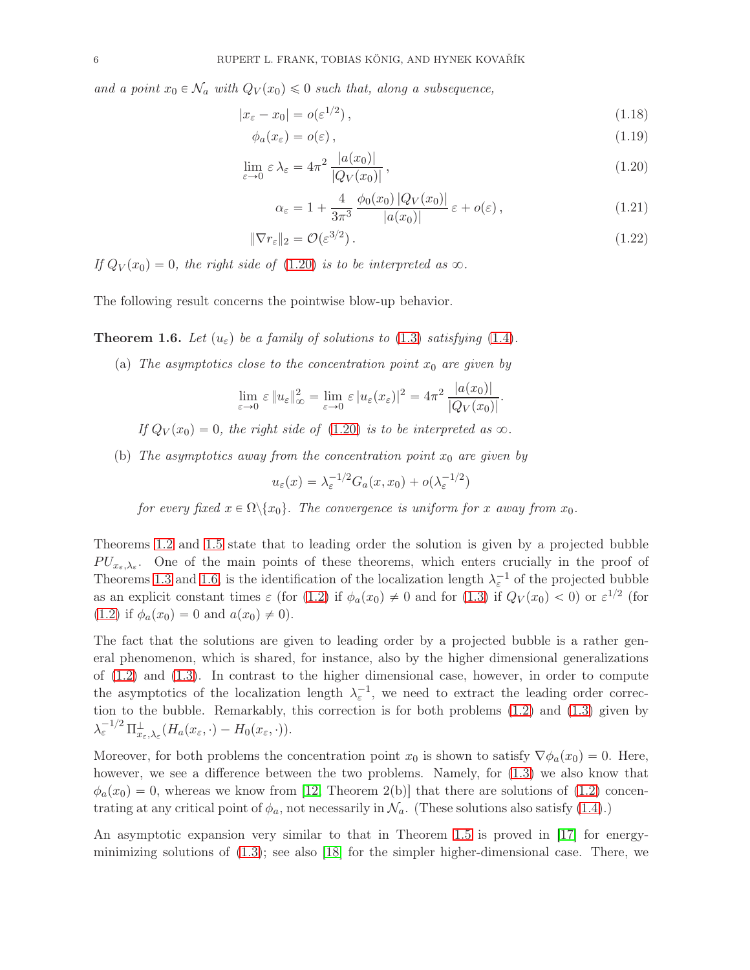and a point  $x_0 \in \mathcal{N}_a$  with  $Q_V(x_0) \leq 0$  such that, along a subsequence,

$$
|x_{\varepsilon} - x_0| = o(\varepsilon^{1/2}), \qquad (1.18)
$$

$$
\phi_a(x_\varepsilon) = o(\varepsilon) \,,\tag{1.19}
$$

$$
\lim_{\varepsilon \to 0} \varepsilon \lambda_{\varepsilon} = 4\pi^2 \frac{|a(x_0)|}{|Q_V(x_0)|},
$$
\n(1.20)

<span id="page-5-3"></span><span id="page-5-2"></span><span id="page-5-0"></span>
$$
\alpha_{\varepsilon} = 1 + \frac{4}{3\pi^3} \frac{\phi_0(x_0) |Q_V(x_0)|}{|a(x_0)|} \varepsilon + o(\varepsilon), \qquad (1.21)
$$

$$
\|\nabla r_{\varepsilon}\|_{2} = \mathcal{O}(\varepsilon^{3/2}).\tag{1.22}
$$

If  $Q_V(x_0) = 0$ , the right side of [\(1.20\)](#page-5-0) is to be interpreted as  $\infty$ .

The following result concerns the pointwise blow-up behavior.

<span id="page-5-1"></span>**Theorem 1.6.** Let  $(u_{\varepsilon})$  be a family of solutions to [\(1.3\)](#page-1-1) satisfying [\(1.4\)](#page-1-3).

(a) The asymptotics close to the concentration point  $x_0$  are given by

$$
\lim_{\varepsilon \to 0} \varepsilon \|u_{\varepsilon}\|_{\infty}^2 = \lim_{\varepsilon \to 0} \varepsilon |u_{\varepsilon}(x_{\varepsilon})|^2 = 4\pi^2 \frac{|a(x_0)|}{|Q_V(x_0)|}.
$$

If  $Q_V(x_0) = 0$ , the right side of [\(1.20\)](#page-5-0) is to be interpreted as  $\infty$ .

(b) The asymptotics away from the concentration point  $x_0$  are given by

$$
u_{\varepsilon}(x) = \lambda_{\varepsilon}^{-1/2} G_a(x, x_0) + o(\lambda_{\varepsilon}^{-1/2})
$$

for every fixed  $x \in \Omega \backslash \{x_0\}$ . The convergence is uniform for x away from  $x_0$ .

Theorems [1.2](#page-3-1) and [1.5](#page-4-0) state that to leading order the solution is given by a projected bubble  $PU_{x_{\varepsilon},\lambda_{\varepsilon}}$ . One of the main points of these theorems, which enters crucially in the proof of Theorems [1.3](#page-3-0) and [1.6,](#page-5-1) is the identification of the localization length  $\lambda_{\varepsilon}^{-1}$  of the projected bubble as an explicit constant times  $\varepsilon$  (for [\(1.2\)](#page-1-0) if  $\phi_a(x_0) \neq 0$  and for [\(1.3\)](#page-1-1) if  $Q_V(x_0) < 0$ ) or  $\varepsilon^{1/2}$  (for  $(1.2)$  if  $\phi_a(x_0) = 0$  and  $a(x_0) \neq 0$ .

The fact that the solutions are given to leading order by a projected bubble is a rather general phenomenon, which is shared, for instance, also by the higher dimensional generalizations of  $(1.2)$  and  $(1.3)$ . In contrast to the higher dimensional case, however, in order to compute the asymptotics of the localization length  $\lambda_{\varepsilon}^{-1}$ , we need to extract the leading order correction to the bubble. Remarkably, this correction is for both problems [\(1.2\)](#page-1-0) and [\(1.3\)](#page-1-1) given by  $\lambda_{\varepsilon}^{-1/2} \Pi^{\perp}_{x_{\varepsilon},\lambda_{\varepsilon}}(H_a(x_{\varepsilon},\cdot) - H_0(x_{\varepsilon},\cdot)).$ 

Moreover, for both problems the concentration point  $x_0$  is shown to satisfy  $\nabla \phi_a(x_0) = 0$ . Here, however, we see a difference between the two problems. Namely, for [\(1.3\)](#page-1-1) we also know that  $\phi_a(x_0) = 0$ , whereas we know from [\[12,](#page-55-9) Theorem 2(b)] that there are solutions of [\(1.2\)](#page-1-0) concentrating at any critical point of  $\phi_a$ , not necessarily in  $\mathcal{N}_a$ . (These solutions also satisfy [\(1.4\)](#page-1-3).)

An asymptotic expansion very similar to that in Theorem [1.5](#page-4-0) is proved in [\[17\]](#page-55-1) for energyminimizing solutions of  $(1.3)$ ; see also [\[18\]](#page-56-9) for the simpler higher-dimensional case. There, we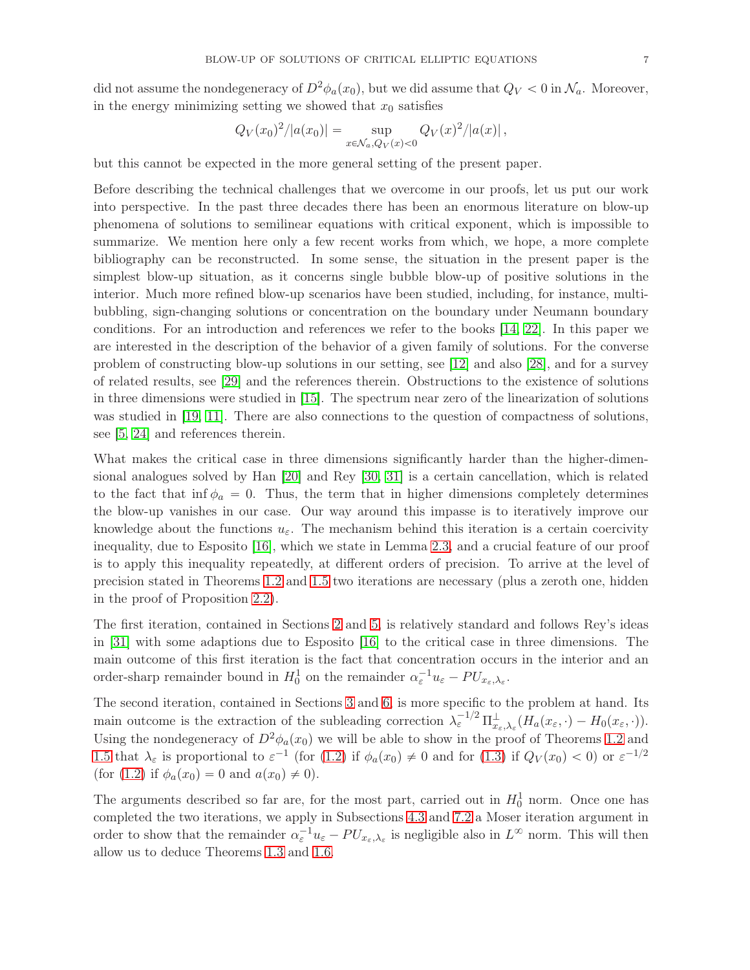did not assume the nondegeneracy of  $D^2\phi_a(x_0)$ , but we did assume that  $Q_V < 0$  in  $\mathcal{N}_a$ . Moreover,

in the energy minimizing setting we showed that 
$$
x_0
$$
 satisfies

$$
Q_V(x_0)^2/|a(x_0)| = \sup_{x \in \mathcal{N}_a, Q_V(x) < 0} Q_V(x)^2/|a(x)|,
$$

but this cannot be expected in the more general setting of the present paper.

Before describing the technical challenges that we overcome in our proofs, let us put our work into perspective. In the past three decades there has been an enormous literature on blow-up phenomena of solutions to semilinear equations with critical exponent, which is impossible to summarize. We mention here only a few recent works from which, we hope, a more complete bibliography can be reconstructed. In some sense, the situation in the present paper is the simplest blow-up situation, as it concerns single bubble blow-up of positive solutions in the interior. Much more refined blow-up scenarios have been studied, including, for instance, multibubbling, sign-changing solutions or concentration on the boundary under Neumann boundary conditions. For an introduction and references we refer to the books [\[14,](#page-55-10) [22\]](#page-56-10). In this paper we are interested in the description of the behavior of a given family of solutions. For the converse problem of constructing blow-up solutions in our setting, see [\[12\]](#page-55-9) and also [\[28\]](#page-56-11), and for a survey of related results, see [\[29\]](#page-56-12) and the references therein. Obstructions to the existence of solutions in three dimensions were studied in [\[15\]](#page-55-11). The spectrum near zero of the linearization of solutions was studied in [\[19,](#page-56-8) [11\]](#page-55-12). There are also connections to the question of compactness of solutions, see [\[5,](#page-55-13) [24\]](#page-56-13) and references therein.

What makes the critical case in three dimensions significantly harder than the higher-dimensional analogues solved by Han [\[20\]](#page-56-3) and Rey [\[30,](#page-56-4) [31\]](#page-56-5) is a certain cancellation, which is related to the fact that inf  $\phi_a = 0$ . Thus, the term that in higher dimensions completely determines the blow-up vanishes in our case. Our way around this impasse is to iteratively improve our knowledge about the functions  $u_{\varepsilon}$ . The mechanism behind this iteration is a certain coercivity inequality, due to Esposito [\[16\]](#page-55-8), which we state in Lemma [2.3,](#page-10-0) and a crucial feature of our proof is to apply this inequality repeatedly, at different orders of precision. To arrive at the level of precision stated in Theorems [1.2](#page-3-1) and [1.5](#page-4-0) two iterations are necessary (plus a zeroth one, hidden in the proof of Proposition [2.2\)](#page-8-0).

The first iteration, contained in Sections [2](#page-7-0) and [5,](#page-33-0) is relatively standard and follows Rey's ideas in [\[31\]](#page-56-5) with some adaptions due to Esposito [\[16\]](#page-55-8) to the critical case in three dimensions. The main outcome of this first iteration is the fact that concentration occurs in the interior and an order-sharp remainder bound in  $H_0^1$  on the remainder  $\alpha_{\varepsilon}^{-1}u_{\varepsilon} - PU_{x_{\varepsilon},\lambda_{\varepsilon}}$ .

The second iteration, contained in Sections [3](#page-14-0) and [6,](#page-39-0) is more specific to the problem at hand. Its main outcome is the extraction of the subleading correction  $\lambda_{\varepsilon}^{-1/2} \Pi_{x_{\varepsilon},\lambda_{\varepsilon}}^{\perp}(H_a(x_{\varepsilon},\cdot) - H_0(x_{\varepsilon},\cdot)).$ Using the nondegeneracy of  $D^2\phi_a(x_0)$  we will be able to show in the proof of Theorems [1.2](#page-3-1) and [1.5](#page-4-0) that  $\lambda_{\varepsilon}$  is proportional to  $\varepsilon^{-1}$  (for [\(1.2\)](#page-1-0) if  $\phi_a(x_0) \neq 0$  and for [\(1.3\)](#page-1-1) if  $Q_V(x_0) < 0$ ) or  $\varepsilon^{-1/2}$ (for [\(1.2\)](#page-1-0) if  $\phi_a(x_0) = 0$  and  $a(x_0) \neq 0$ ).

The arguments described so far are, for the most part, carried out in  $H_0^1$  norm. Once one has completed the two iterations, we apply in Subsections [4.3](#page-31-0) and [7.2](#page-47-0) a Moser iteration argument in order to show that the remainder  $\alpha_{\varepsilon}^{-1}u_{\varepsilon} - PU_{x_{\varepsilon},\lambda_{\varepsilon}}$  is negligible also in  $L^{\infty}$  norm. This will then allow us to deduce Theorems [1.3](#page-3-0) and [1.6.](#page-5-1)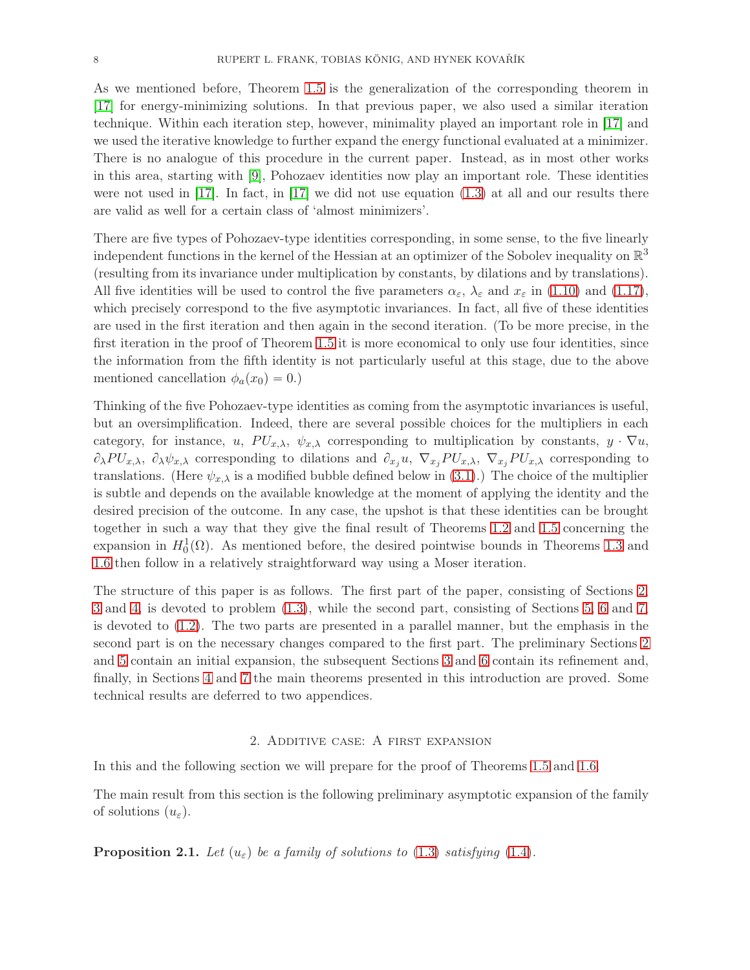As we mentioned before, Theorem [1.5](#page-4-0) is the generalization of the corresponding theorem in [\[17\]](#page-55-1) for energy-minimizing solutions. In that previous paper, we also used a similar iteration technique. Within each iteration step, however, minimality played an important role in [\[17\]](#page-55-1) and we used the iterative knowledge to further expand the energy functional evaluated at a minimizer. There is no analogue of this procedure in the current paper. Instead, as in most other works in this area, starting with [\[9\]](#page-55-2), Pohozaev identities now play an important role. These identities were not used in  $\vert 17\vert$ . In fact, in  $\vert 17\vert$  we did not use equation [\(1.3\)](#page-1-1) at all and our results there are valid as well for a certain class of 'almost minimizers'.

There are five types of Pohozaev-type identities corresponding, in some sense, to the five linearly independent functions in the kernel of the Hessian at an optimizer of the Sobolev inequality on  $\mathbb{R}^3$ (resulting from its invariance under multiplication by constants, by dilations and by translations). All five identities will be used to control the five parameters  $\alpha_{\varepsilon}$ ,  $\lambda_{\varepsilon}$  and  $x_{\varepsilon}$  in [\(1.10\)](#page-3-2) and [\(1.17\)](#page-4-1), which precisely correspond to the five asymptotic invariances. In fact, all five of these identities are used in the first iteration and then again in the second iteration. (To be more precise, in the first iteration in the proof of Theorem [1.5](#page-4-0) it is more economical to only use four identities, since the information from the fifth identity is not particularly useful at this stage, due to the above mentioned cancellation  $\phi_a(x_0) = 0.$ )

Thinking of the five Pohozaev-type identities as coming from the asymptotic invariances is useful, but an oversimplification. Indeed, there are several possible choices for the multipliers in each category, for instance, u,  $PU_{x,\lambda}$ ,  $\psi_{x,\lambda}$  corresponding to multiplication by constants,  $y \cdot \nabla u$ ,  $\partial_{\lambda}PU_{x,\lambda}$ ,  $\partial_{\lambda}\psi_{x,\lambda}$  corresponding to dilations and  $\partial_{x_i}u$ ,  $\nabla_{x_j}PU_{x,\lambda}$ ,  $\nabla_{x_j}PU_{x,\lambda}$  corresponding to translations. (Here  $\psi_{x,\lambda}$  is a modified bubble defined below in [\(3.1\)](#page-14-1).) The choice of the multiplier is subtle and depends on the available knowledge at the moment of applying the identity and the desired precision of the outcome. In any case, the upshot is that these identities can be brought together in such a way that they give the final result of Theorems [1.2](#page-3-1) and [1.5](#page-4-0) concerning the expansion in  $H_0^1(\Omega)$ . As mentioned before, the desired pointwise bounds in Theorems [1.3](#page-3-0) and [1.6](#page-5-1) then follow in a relatively straightforward way using a Moser iteration.

The structure of this paper is as follows. The first part of the paper, consisting of Sections [2,](#page-7-0) [3](#page-14-0) and [4,](#page-29-1) is devoted to problem [\(1.3\)](#page-1-1), while the second part, consisting of Sections [5,](#page-33-0) [6](#page-39-0) and [7,](#page-47-1) is devoted to [\(1.2\)](#page-1-0). The two parts are presented in a parallel manner, but the emphasis in the second part is on the necessary changes compared to the first part. The preliminary Sections [2](#page-7-0) and [5](#page-33-0) contain an initial expansion, the subsequent Sections [3](#page-14-0) and [6](#page-39-0) contain its refinement and, finally, in Sections [4](#page-29-1) and [7](#page-47-1) the main theorems presented in this introduction are proved. Some technical results are deferred to two appendices.

#### 2. Additive case: A first expansion

<span id="page-7-0"></span>In this and the following section we will prepare for the proof of Theorems [1.5](#page-4-0) and [1.6.](#page-5-1)

The main result from this section is the following preliminary asymptotic expansion of the family of solutions  $(u_{\varepsilon}).$ 

<span id="page-7-1"></span>**Proposition 2.1.** Let  $(u_{\varepsilon})$  be a family of solutions to [\(1.3\)](#page-1-1) satisfying [\(1.4\)](#page-1-3).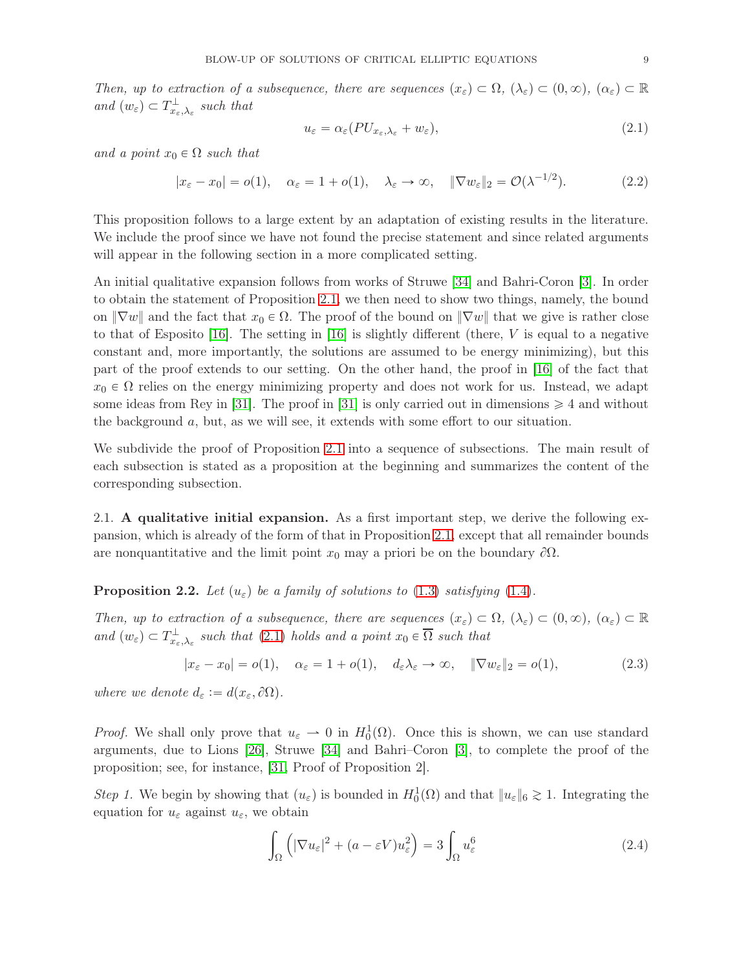Then, up to extraction of a subsequence, there are sequences  $(x_{\varepsilon}) \subset \Omega$ ,  $(\lambda_{\varepsilon}) \subset (0, \infty)$ ,  $(\alpha_{\varepsilon}) \subset \mathbb{R}$ and  $(w_{\varepsilon}) \subset T_{x_{\varepsilon},\lambda_{\varepsilon}}^{\perp}$  such that

<span id="page-8-1"></span>
$$
u_{\varepsilon} = \alpha_{\varepsilon} (PU_{x_{\varepsilon}, \lambda_{\varepsilon}} + w_{\varepsilon}), \tag{2.1}
$$

and a point  $x_0 \in \Omega$  such that

$$
|x_{\varepsilon} - x_0| = o(1), \quad \alpha_{\varepsilon} = 1 + o(1), \quad \lambda_{\varepsilon} \to \infty, \quad \|\nabla w_{\varepsilon}\|_2 = \mathcal{O}(\lambda^{-1/2}). \tag{2.2}
$$

This proposition follows to a large extent by an adaptation of existing results in the literature. We include the proof since we have not found the precise statement and since related arguments will appear in the following section in a more complicated setting.

An initial qualitative expansion follows from works of Struwe [\[34\]](#page-56-14) and Bahri-Coron [\[3\]](#page-55-14). In order to obtain the statement of Proposition [2.1,](#page-7-1) we then need to show two things, namely, the bound on  $\|\nabla w\|$  and the fact that  $x_0 \in \Omega$ . The proof of the bound on  $\|\nabla w\|$  that we give is rather close to that of Esposito  $[16]$ . The setting in  $[16]$  is slightly different (there, V is equal to a negative constant and, more importantly, the solutions are assumed to be energy minimizing), but this part of the proof extends to our setting. On the other hand, the proof in [\[16\]](#page-55-8) of the fact that  $x_0 \in \Omega$  relies on the energy minimizing property and does not work for us. Instead, we adapt some ideas from Rey in [\[31\]](#page-56-5). The proof in [31] is only carried out in dimensions  $\geq 4$  and without the background a, but, as we will see, it extends with some effort to our situation.

We subdivide the proof of Proposition [2.1](#page-7-1) into a sequence of subsections. The main result of each subsection is stated as a proposition at the beginning and summarizes the content of the corresponding subsection.

2.1. A qualitative initial expansion. As a first important step, we derive the following expansion, which is already of the form of that in Proposition [2.1,](#page-7-1) except that all remainder bounds are nonquantitative and the limit point  $x_0$  may a priori be on the boundary  $\partial\Omega$ .

<span id="page-8-0"></span>**Proposition 2.2.** Let  $(u_{\varepsilon})$  be a family of solutions to [\(1.3\)](#page-1-1) satisfying [\(1.4\)](#page-1-3).

Then, up to extraction of a subsequence, there are sequences  $(x_{\varepsilon}) \subset \Omega$ ,  $(\lambda_{\varepsilon}) \subset (0, \infty)$ ,  $(\alpha_{\varepsilon}) \subset \mathbb{R}$ and  $(w_{\varepsilon}) \subset T_{x_{\varepsilon},\lambda_{\varepsilon}}^{\perp}$  such that  $(2.1)$  holds and a point  $x_0 \in \overline{\Omega}$  such that

$$
|x_{\varepsilon} - x_0| = o(1), \quad \alpha_{\varepsilon} = 1 + o(1), \quad d_{\varepsilon} \lambda_{\varepsilon} \to \infty, \quad \|\nabla w_{\varepsilon}\|_2 = o(1), \tag{2.3}
$$

where we denote  $d_{\varepsilon} := d(x_{\varepsilon}, \partial \Omega)$ .

*Proof.* We shall only prove that  $u_{\varepsilon} \to 0$  in  $H_0^1(\Omega)$ . Once this is shown, we can use standard arguments, due to Lions [\[26\]](#page-56-15), Struwe [\[34\]](#page-56-14) and Bahri–Coron [\[3\]](#page-55-14), to complete the proof of the proposition; see, for instance, [\[31,](#page-56-5) Proof of Proposition 2].

Step 1. We begin by showing that  $(u_{\varepsilon})$  is bounded in  $H_0^1(\Omega)$  and that  $||u_{\varepsilon}||_6 \gtrsim 1$ . Integrating the equation for  $u_{\varepsilon}$  against  $u_{\varepsilon}$ , we obtain

<span id="page-8-2"></span>
$$
\int_{\Omega} \left( |\nabla u_{\varepsilon}|^2 + (a - \varepsilon V) u_{\varepsilon}^2 \right) = 3 \int_{\Omega} u_{\varepsilon}^6 \tag{2.4}
$$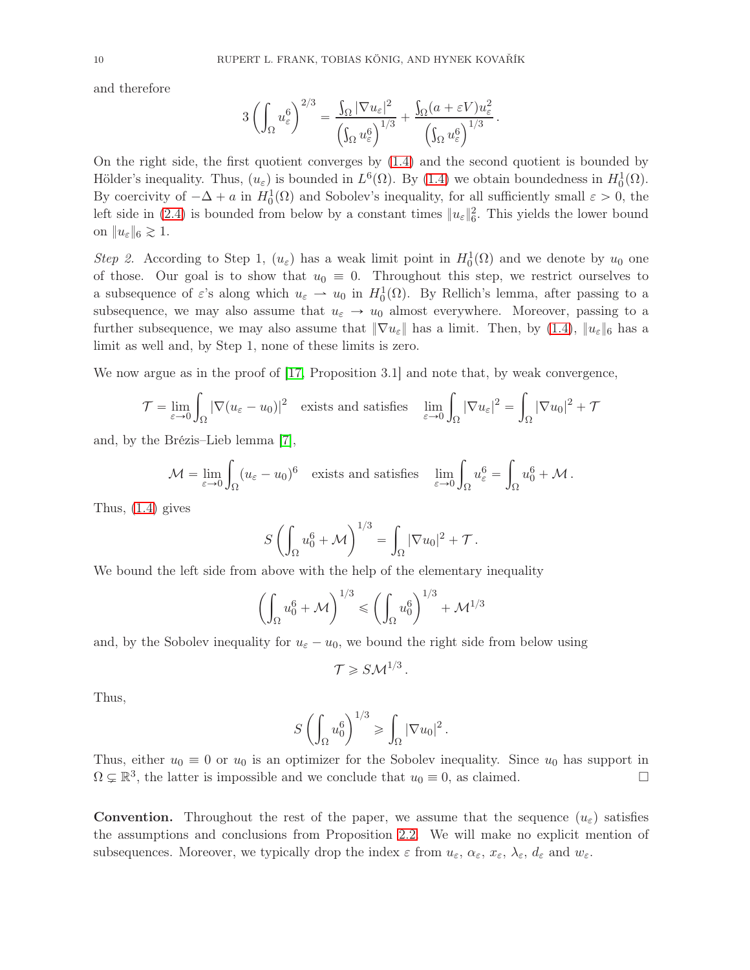and therefore

$$
3\left(\int_{\Omega}u_{\varepsilon}^{6}\right)^{2/3}=\frac{\int_{\Omega}|\nabla u_{\varepsilon}|^{2}}{\left(\int_{\Omega}u_{\varepsilon}^{6}\right)^{1/3}}+\frac{\int_{\Omega}(a+\varepsilon V)u_{\varepsilon}^{2}}{\left(\int_{\Omega}u_{\varepsilon}^{6}\right)^{1/3}}.
$$

On the right side, the first quotient converges by [\(1.4\)](#page-1-3) and the second quotient is bounded by Hölder's inequality. Thus,  $(u_{\varepsilon})$  is bounded in  $L^{6}(\Omega)$ . By [\(1.4\)](#page-1-3) we obtain boundedness in  $H_0^1(\Omega)$ . By coercivity of  $-\Delta + a$  in  $H_0^1(\Omega)$  and Sobolev's inequality, for all sufficiently small  $\varepsilon > 0$ , the left side in [\(2.4\)](#page-8-2) is bounded from below by a constant times  $||u_{\varepsilon}||_6^2$ . This yields the lower bound on  $||u_{\varepsilon}||_6 \gtrsim 1$ .

Step 2. According to Step 1,  $(u_{\varepsilon})$  has a weak limit point in  $H_0^1(\Omega)$  and we denote by  $u_0$  one of those. Our goal is to show that  $u_0 \equiv 0$ . Throughout this step, we restrict ourselves to a subsequence of  $\varepsilon$ 's along which  $u_{\varepsilon} \to u_0$  in  $H_0^1(\Omega)$ . By Rellich's lemma, after passing to a subsequence, we may also assume that  $u_{\varepsilon} \to u_0$  almost everywhere. Moreover, passing to a further subsequence, we may also assume that  $\|\nabla u_{\varepsilon}\|$  has a limit. Then, by [\(1.4\)](#page-1-3),  $\|u_{\varepsilon}\|_6$  has a limit as well and, by Step 1, none of these limits is zero.

We now argue as in the proof of [\[17,](#page-55-1) Proposition 3.1] and note that, by weak convergence,

$$
\mathcal{T} = \lim_{\varepsilon \to 0} \int_{\Omega} |\nabla (u_{\varepsilon} - u_0)|^2 \quad \text{exists and satisfies} \quad \lim_{\varepsilon \to 0} \int_{\Omega} |\nabla u_{\varepsilon}|^2 = \int_{\Omega} |\nabla u_0|^2 + \mathcal{T}
$$

and, by the Brézis–Lieb lemma [\[7\]](#page-55-15),

$$
\mathcal{M} = \lim_{\varepsilon \to 0} \int_{\Omega} (u_{\varepsilon} - u_0)^6 \quad \text{exists and satisfies} \quad \lim_{\varepsilon \to 0} \int_{\Omega} u_{\varepsilon}^6 = \int_{\Omega} u_0^6 + \mathcal{M} \, .
$$

Thus, [\(1.4\)](#page-1-3) gives

$$
S\left(\int_{\Omega}u_0^6+\mathcal{M}\right)^{1/3}=\int_{\Omega}|\nabla u_0|^2+\mathcal{T}.
$$

We bound the left side from above with the help of the elementary inequality

$$
\left(\int_{\Omega} u_0^6 + \mathcal{M}\right)^{1/3} \leqslant \left(\int_{\Omega} u_0^6\right)^{1/3} + \mathcal{M}^{1/3}
$$

and, by the Sobolev inequality for  $u_{\varepsilon} - u_0$ , we bound the right side from below using

$$
\mathcal{T}\geqslant S\mathcal{M}^{1/3}.
$$

Thus,

$$
S\left(\int_{\Omega}u_0^6\right)^{1/3}\geqslant \int_{\Omega}|\nabla u_0|^2.
$$

Thus, either  $u_0 \equiv 0$  or  $u_0$  is an optimizer for the Sobolev inequality. Since  $u_0$  has support in  $\Omega \subset \mathbb{R}^3$ , the latter is impossible and we conclude that  $u_0 \equiv 0$ , as claimed.  $\Omega \subsetneq \mathbb{R}^3$ , the latter is impossible and we conclude that  $u_0 \equiv 0$ , as claimed.

**Convention.** Throughout the rest of the paper, we assume that the sequence  $(u_{\varepsilon})$  satisfies the assumptions and conclusions from Proposition [2.2.](#page-8-0) We will make no explicit mention of subsequences. Moreover, we typically drop the index  $\varepsilon$  from  $u_{\varepsilon}, \alpha_{\varepsilon}, x_{\varepsilon}, \lambda_{\varepsilon}, d_{\varepsilon}$  and  $w_{\varepsilon}$ .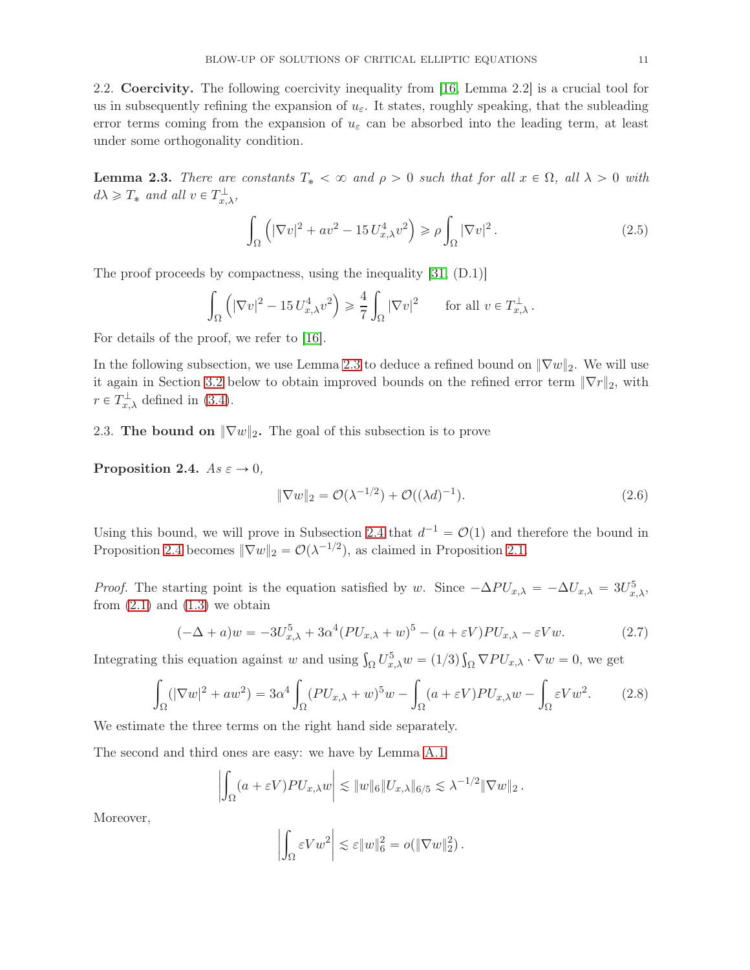2.2. Coercivity. The following coercivity inequality from [\[16,](#page-55-8) Lemma 2.2] is a crucial tool for us in subsequently refining the expansion of  $u_{\varepsilon}$ . It states, roughly speaking, that the subleading error terms coming from the expansion of  $u_{\varepsilon}$  can be absorbed into the leading term, at least under some orthogonality condition.

<span id="page-10-0"></span>**Lemma 2.3.** There are constants  $T_* < \infty$  and  $\rho > 0$  such that for all  $x \in \Omega$ , all  $\lambda > 0$  with  $d\lambda \geqslant T_*$  and all  $v \in T_{x,\lambda}^{\perp}$ ,

<span id="page-10-5"></span>
$$
\int_{\Omega} \left( |\nabla v|^2 + av^2 - 15 U_{x,\lambda}^4 v^2 \right) \ge \rho \int_{\Omega} |\nabla v|^2. \tag{2.5}
$$

The proof proceeds by compactness, using the inequality [\[31,](#page-56-5) (D.1)]

$$
\int_{\Omega} \left( |\nabla v|^2 - 15 U_{x,\lambda}^4 v^2 \right) \ge \frac{4}{7} \int_{\Omega} |\nabla v|^2 \quad \text{for all } v \in T_{x,\lambda}^{\perp}.
$$

For details of the proof, we refer to [\[16\]](#page-55-8).

In the following subsection, we use Lemma [2.3](#page-10-0) to deduce a refined bound on  $\|\nabla w\|_2$ . We will use it again in Section [3.2](#page-17-0) below to obtain improved bounds on the refined error term  $\|\nabla r\|_2$ , with  $r \in T_{x,\lambda}^{\perp}$  defined in [\(3.4\)](#page-14-2).

2.3. The bound on  $\|\nabla w\|_2$ . The goal of this subsection is to prove

<span id="page-10-1"></span>Proposition 2.4.  $As \varepsilon \to 0$ ,

<span id="page-10-3"></span>
$$
\|\nabla w\|_2 = \mathcal{O}(\lambda^{-1/2}) + \mathcal{O}((\lambda d)^{-1}).\tag{2.6}
$$

Using this bound, we will prove in Subsection [2.4](#page-11-0) that  $d^{-1} = \mathcal{O}(1)$  and therefore the bound in Proposition [2.4](#page-10-1) becomes  $\|\nabla w\|_2 = \mathcal{O}(\lambda^{-1/2})$ , as claimed in Proposition [2.1.](#page-7-1)

*Proof.* The starting point is the equation satisfied by w. Since  $-\Delta PU_{x,\lambda} = -\Delta U_{x,\lambda} = 3U_{x,\lambda}^5$ , from  $(2.1)$  and  $(1.3)$  we obtain

<span id="page-10-4"></span>
$$
(-\Delta + a)w = -3U_{x,\lambda}^5 + 3\alpha^4 (PU_{x,\lambda} + w)^5 - (a + \varepsilon V)PU_{x,\lambda} - \varepsilon Vw.
$$
 (2.7)

Integrating this equation against w and using  $\int_{\Omega} U_{x,\lambda}^5 w = (1/3) \int_{\Omega} \nabla P U_{x,\lambda} \cdot \nabla w = 0$ , we get

<span id="page-10-2"></span>
$$
\int_{\Omega} (|\nabla w|^2 + aw^2) = 3\alpha^4 \int_{\Omega} (PU_{x,\lambda} + w)^5 w - \int_{\Omega} (a + \varepsilon V) PU_{x,\lambda} w - \int_{\Omega} \varepsilon V w^2.
$$
 (2.8)

We estimate the three terms on the right hand side separately.

The second and third ones are easy: we have by Lemma [A.1](#page-49-0)

$$
\left| \int_{\Omega} (a + \varepsilon V) P U_{x,\lambda} w \right| \lesssim \|w\|_6 \|U_{x,\lambda}\|_{6/5} \lesssim \lambda^{-1/2} \|\nabla w\|_2.
$$

Moreover,

$$
\left| \int_{\Omega} \varepsilon V w^2 \right| \lesssim \varepsilon \|w\|_6^2 = o(\|\nabla w\|_2^2).
$$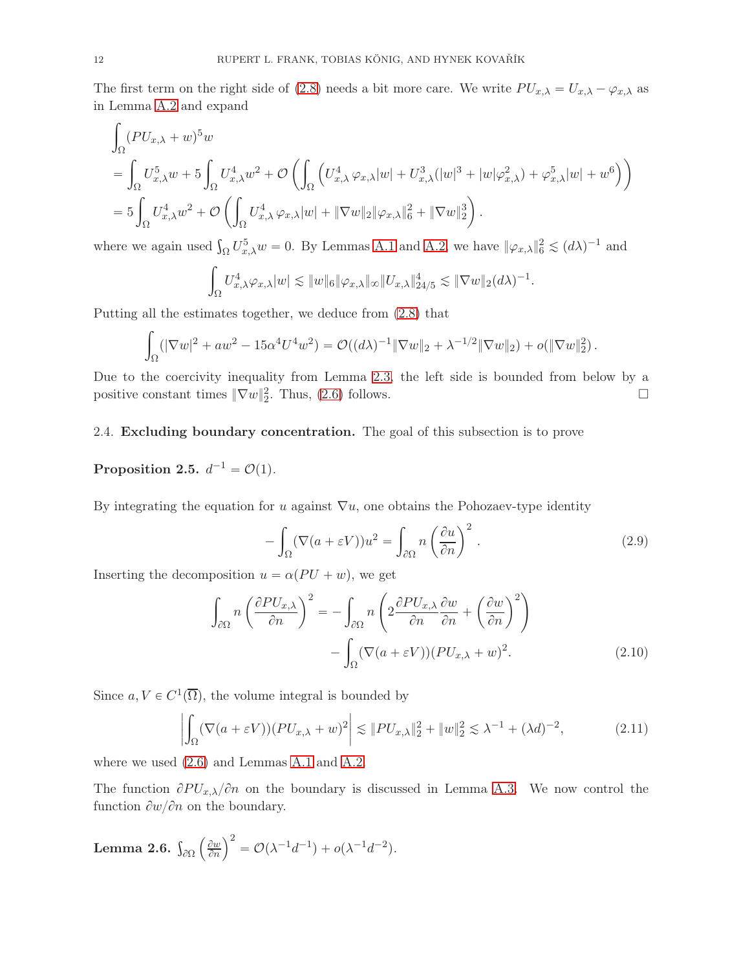The first term on the right side of [\(2.8\)](#page-10-2) needs a bit more care. We write  $PU_{x,\lambda} = U_{x,\lambda} - \varphi_{x,\lambda}$  as in Lemma [A.2](#page-50-0) and expand

$$
\int_{\Omega} (PU_{x,\lambda} + w)^5 w
$$
\n
$$
= \int_{\Omega} U_{x,\lambda}^5 w + 5 \int_{\Omega} U_{x,\lambda}^4 w^2 + \mathcal{O}\left(\int_{\Omega} \left( U_{x,\lambda}^4 \varphi_{x,\lambda} |w| + U_{x,\lambda}^3 (|w|^3 + |w|\varphi_{x,\lambda}^2) + \varphi_{x,\lambda}^5 |w| + w^6 \right) \right)
$$
\n
$$
= 5 \int_{\Omega} U_{x,\lambda}^4 w^2 + \mathcal{O}\left(\int_{\Omega} U_{x,\lambda}^4 \varphi_{x,\lambda} |w| + \|\nabla w\|_2 \|\varphi_{x,\lambda}\|_6^2 + \|\nabla w\|_2^3 \right).
$$

where we again used  $\int_{\Omega} U_{x,\lambda}^5 w = 0$ . By Lemmas [A.1](#page-49-0) and [A.2,](#page-50-0) we have  $\|\varphi_{x,\lambda}\|_6^2 \lesssim (d\lambda)^{-1}$  and

$$
\int_{\Omega} U_{x,\lambda}^4 \varphi_{x,\lambda} |w| \lesssim \|w\|_6 \|\varphi_{x,\lambda}\|_{\infty} \|U_{x,\lambda}\|_{24/5}^4 \lesssim \|\nabla w\|_2 (d\lambda)^{-1}.
$$

Putting all the estimates together, we deduce from [\(2.8\)](#page-10-2) that

$$
\int_{\Omega} (|\nabla w|^2 + aw^2 - 15\alpha^4 U^4 w^2) = \mathcal{O}((d\lambda)^{-1} \|\nabla w\|_2 + \lambda^{-1/2} \|\nabla w\|_2) + o(\|\nabla w\|_2^2).
$$

Due to the coercivity inequality from Lemma [2.3,](#page-10-0) the left side is bounded from below by a positive constant times  $\|\nabla w\|_2^2$ . Thus, [\(2.6\)](#page-10-3) follows.

#### <span id="page-11-0"></span>2.4. Excluding boundary concentration. The goal of this subsection is to prove

# <span id="page-11-2"></span>Proposition 2.5.  $d^{-1} = \mathcal{O}(1)$ .

By integrating the equation for u against  $\nabla u$ , one obtains the Pohozaev-type identity

<span id="page-11-5"></span><span id="page-11-3"></span>
$$
-\int_{\Omega} (\nabla (a + \varepsilon V)) u^2 = \int_{\partial \Omega} n \left(\frac{\partial u}{\partial n}\right)^2.
$$
 (2.9)

Inserting the decomposition  $u = \alpha (PU + w)$ , we get

$$
\int_{\partial\Omega} n \left( \frac{\partial P U_{x,\lambda}}{\partial n} \right)^2 = - \int_{\partial\Omega} n \left( 2 \frac{\partial P U_{x,\lambda}}{\partial n} \frac{\partial w}{\partial n} + \left( \frac{\partial w}{\partial n} \right)^2 \right) - \int_{\Omega} (\nabla (a + \varepsilon V)) (P U_{x,\lambda} + w)^2.
$$
\n(2.10)

Since  $a, V \in C^1(\overline{\Omega})$ , the volume integral is bounded by

<span id="page-11-4"></span>
$$
\left| \int_{\Omega} (\nabla (a + \varepsilon V))(PU_{x,\lambda} + w)^2 \right| \lesssim \|PU_{x,\lambda}\|_2^2 + \|w\|_2^2 \lesssim \lambda^{-1} + (\lambda d)^{-2}, \tag{2.11}
$$

where we used [\(2.6\)](#page-10-3) and Lemmas [A.1](#page-49-0) and [A.2.](#page-50-0)

The function  $\partial PU_{x,\lambda}/\partial n$  on the boundary is discussed in Lemma [A.3.](#page-50-1) We now control the function  $\partial w/\partial n$  on the boundary.

<span id="page-11-1"></span>**Lemma 2.6.** 
$$
\int_{\partial\Omega} \left(\frac{\partial w}{\partial n}\right)^2 = \mathcal{O}(\lambda^{-1}d^{-1}) + o(\lambda^{-1}d^{-2}).
$$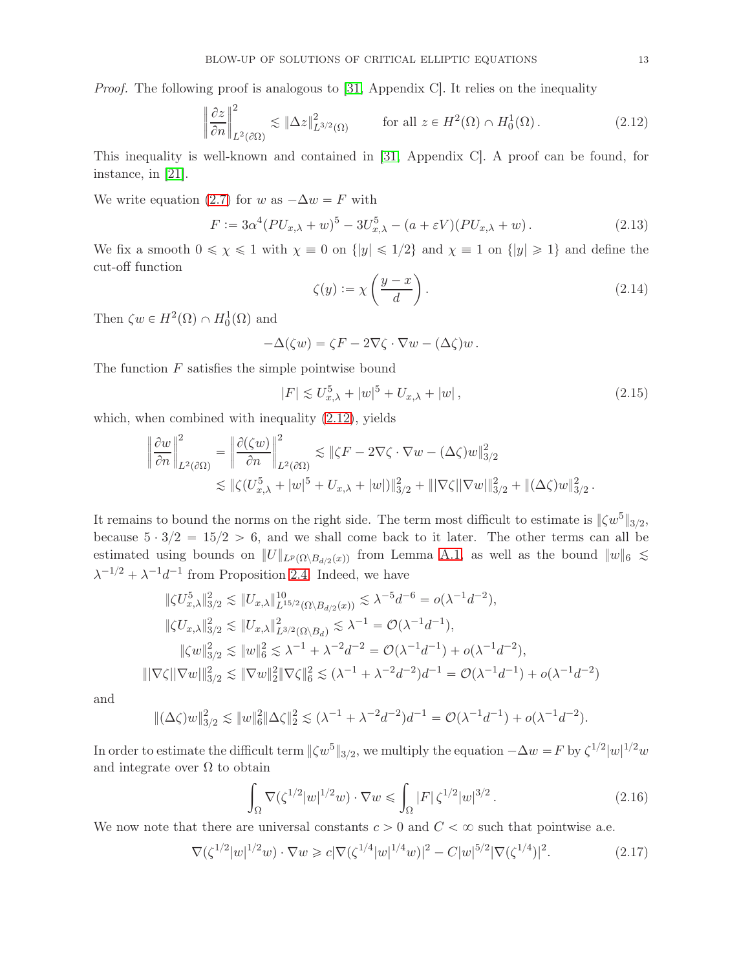Proof. The following proof is analogous to [\[31,](#page-56-5) Appendix C]. It relies on the inequality

<span id="page-12-0"></span>
$$
\left\|\frac{\partial z}{\partial n}\right\|_{L^2(\partial\Omega)}^2 \lesssim \left\|\Delta z\right\|_{L^{3/2}(\Omega)}^2 \qquad \text{for all } z \in H^2(\Omega) \cap H_0^1(\Omega). \tag{2.12}
$$

This inequality is well-known and contained in [\[31,](#page-56-5) Appendix C]. A proof can be found, for instance, in [\[21\]](#page-56-16).

We write equation [\(2.7\)](#page-10-4) for w as  $-\Delta w = F$  with

<span id="page-12-4"></span>
$$
F := 3\alpha^4 (PU_{x,\lambda} + w)^5 - 3U_{x,\lambda}^5 - (a + \varepsilon V)(PU_{x,\lambda} + w). \tag{2.13}
$$

We fix a smooth  $0 \le \chi \le 1$  with  $\chi \equiv 0$  on  $\{|y| \le 1/2\}$  and  $\chi \equiv 1$  on  $\{|y| \ge 1\}$  and define the cut-off function

$$
\zeta(y) := \chi\left(\frac{y-x}{d}\right). \tag{2.14}
$$

Then  $\zeta w \in H^2(\Omega) \cap H_0^1(\Omega)$  and

$$
-\Delta(\zeta w) = \zeta F - 2\nabla\zeta \cdot \nabla w - (\Delta\zeta)w.
$$

The function  $F$  satisfies the simple pointwise bound

<span id="page-12-3"></span>
$$
|F| \lesssim U_{x,\lambda}^5 + |w|^5 + U_{x,\lambda} + |w| \,, \tag{2.15}
$$

which, when combined with inequality [\(2.12\)](#page-12-0), yields

$$
\left\|\frac{\partial w}{\partial n}\right\|_{L^2(\partial\Omega)}^2 = \left\|\frac{\partial(\zeta w)}{\partial n}\right\|_{L^2(\partial\Omega)}^2 \lesssim \|\zeta F - 2\nabla\zeta \cdot \nabla w - (\Delta\zeta)w\|_{3/2}^2
$$
  

$$
\lesssim \|\zeta(U_{x,\lambda}^5 + |w|^5 + U_{x,\lambda} + |w|)\|_{3/2}^2 + \||\nabla\zeta||\nabla w|\|_{3/2}^2 + \|(\Delta\zeta)w\|_{3/2}^2.
$$

It remains to bound the norms on the right side. The term most difficult to estimate is  $\|\zeta w^5\|_{3/2}$ , because  $5 \cdot 3/2 = 15/2 > 6$ , and we shall come back to it later. The other terms can all be estimated using bounds on  $||U||_{L^p(\Omega \setminus B_{d/2}(x))}$  from Lemma [A.1,](#page-49-0) as well as the bound  $||w||_6 \le$  $\lambda^{-1/2} + \lambda^{-1} d^{-1}$  from Proposition [2.4.](#page-10-1) Indeed, we have

$$
\|\zeta U_{x,\lambda}^5\|_{3/2}^2 \lesssim \|U_{x,\lambda}\|_{L^{15/2}(\Omega \backslash B_{d/2}(x))}^{10} \lesssim \lambda^{-5} d^{-6} = o(\lambda^{-1} d^{-2}),
$$
  

$$
\|\zeta U_{x,\lambda}\|_{3/2}^2 \lesssim \|U_{x,\lambda}\|_{L^{3/2}(\Omega \backslash B_d)}^2 \lesssim \lambda^{-1} = \mathcal{O}(\lambda^{-1} d^{-1}),
$$
  

$$
\|\zeta w\|_{3/2}^2 \lesssim \|w\|_6^2 \lesssim \lambda^{-1} + \lambda^{-2} d^{-2} = \mathcal{O}(\lambda^{-1} d^{-1}) + o(\lambda^{-1} d^{-2}),
$$
  

$$
\|\nabla \zeta\| \nabla w\|_{3/2}^2 \lesssim \|\nabla w\|_2^2 \|\nabla \zeta\|_6^2 \lesssim (\lambda^{-1} + \lambda^{-2} d^{-2}) d^{-1} = \mathcal{O}(\lambda^{-1} d^{-1}) + o(\lambda^{-1} d^{-2})
$$

and

$$
\|(\Delta\zeta)w\|_{3/2}^2 \lesssim \|w\|_6^2 \|\Delta\zeta\|_2^2 \lesssim (\lambda^{-1} + \lambda^{-2}d^{-2})d^{-1} = \mathcal{O}(\lambda^{-1}d^{-1}) + o(\lambda^{-1}d^{-2}).
$$

In order to estimate the difficult term  $\|\zeta w^5\|_{3/2}$ , we multiply the equation  $-\Delta w = F$  by  $\zeta^{1/2}|w|^{1/2}w$ and integrate over  $\Omega$  to obtain

<span id="page-12-2"></span>
$$
\int_{\Omega} \nabla (\zeta^{1/2} |w|^{1/2} w) \cdot \nabla w \le \int_{\Omega} |F| \zeta^{1/2} |w|^{3/2} . \tag{2.16}
$$

We now note that there are universal constants  $c > 0$  and  $C < \infty$  such that pointwise a.e.

<span id="page-12-1"></span>
$$
\nabla(\zeta^{1/2}|w|^{1/2}w) \cdot \nabla w \ge c|\nabla(\zeta^{1/4}|w|^{1/4}w)|^2 - C|w|^{5/2}|\nabla(\zeta^{1/4})|^2. \tag{2.17}
$$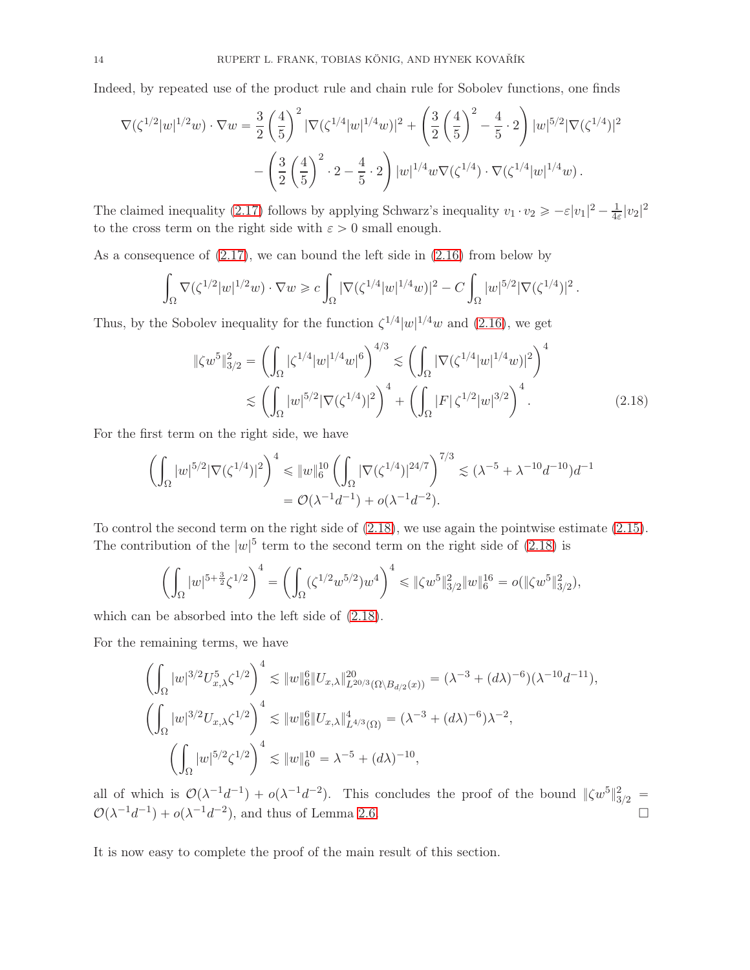Indeed, by repeated use of the product rule and chain rule for Sobolev functions, one finds

$$
\nabla(\zeta^{1/2}|w|^{1/2}w) \cdot \nabla w = \frac{3}{2} \left(\frac{4}{5}\right)^2 |\nabla(\zeta^{1/4}|w|^{1/4}w)|^2 + \left(\frac{3}{2} \left(\frac{4}{5}\right)^2 - \frac{4}{5} \cdot 2\right) |w|^{5/2} |\nabla(\zeta^{1/4})|^2
$$

$$
- \left(\frac{3}{2} \left(\frac{4}{5}\right)^2 \cdot 2 - \frac{4}{5} \cdot 2\right) |w|^{1/4} w \nabla(\zeta^{1/4}) \cdot \nabla(\zeta^{1/4}|w|^{1/4}w).
$$

The claimed inequality [\(2.17\)](#page-12-1) follows by applying Schwarz's inequality  $v_1 \cdot v_2 \geqslant -\varepsilon |v_1|^2 - \frac{1}{4\varepsilon}$  $\frac{1}{4\varepsilon}|v_2|^2$ to the cross term on the right side with  $\varepsilon > 0$  small enough.

As a consequence of [\(2.17\)](#page-12-1), we can bound the left side in [\(2.16\)](#page-12-2) from below by

$$
\int_{\Omega} \nabla (\zeta^{1/2} |w|^{1/2} w) \cdot \nabla w \geqslant c \int_{\Omega} |\nabla (\zeta^{1/4} |w|^{1/4} w)|^2 - C \int_{\Omega} |w|^{5/2} |\nabla (\zeta^{1/4})|^2.
$$

Thus, by the Sobolev inequality for the function  $\zeta^{1/4}|w|^{1/4}w$  and [\(2.16\)](#page-12-2), we get

<span id="page-13-0"></span>
$$
\|\zeta w^{5}\|_{3/2}^{2} = \left(\int_{\Omega} |\zeta^{1/4}|w|^{1/4}w|^{6}\right)^{4/3} \lesssim \left(\int_{\Omega} |\nabla(\zeta^{1/4}|w|^{1/4}w)|^{2}\right)^{4}
$$

$$
\lesssim \left(\int_{\Omega} |w|^{5/2} |\nabla(\zeta^{1/4})|^{2}\right)^{4} + \left(\int_{\Omega} |F| \zeta^{1/2}|w|^{3/2}\right)^{4}.
$$
(2.18)

For the first term on the right side, we have

$$
\left(\int_{\Omega} |w|^{5/2} |\nabla(\zeta^{1/4})|^2 \right)^4 \leq \|w\|_6^{10} \left(\int_{\Omega} |\nabla(\zeta^{1/4})|^{24/7} \right)^{7/3} \lesssim (\lambda^{-5} + \lambda^{-10} d^{-10}) d^{-1}
$$

$$
= \mathcal{O}(\lambda^{-1} d^{-1}) + o(\lambda^{-1} d^{-2}).
$$

To control the second term on the right side of [\(2.18\)](#page-13-0), we use again the pointwise estimate [\(2.15\)](#page-12-3). The contribution of the  $|w|^5$  term to the second term on the right side of [\(2.18\)](#page-13-0) is

$$
\left(\int_{\Omega} |w|^{5+\frac{3}{2}} \zeta^{1/2}\right)^{4} = \left(\int_{\Omega} (\zeta^{1/2} w^{5/2}) w^{4}\right)^{4} \leq \| \zeta w^{5} \|_{3/2}^{2} \| w \|_{6}^{16} = o(\| \zeta w^{5} \|_{3/2}^{2}),
$$

which can be absorbed into the left side of [\(2.18\)](#page-13-0).

For the remaining terms, we have

$$
\left(\int_{\Omega} |w|^{3/2} U_{x,\lambda}^{5} \zeta^{1/2}\right)^{4} \lesssim \|w\|_{6}^{6} \|U_{x,\lambda}\|_{L^{20/3}(\Omega \setminus B_{d/2}(x))}^{20} = (\lambda^{-3} + (d\lambda)^{-6})(\lambda^{-10}d^{-11}),
$$
  

$$
\left(\int_{\Omega} |w|^{3/2} U_{x,\lambda} \zeta^{1/2}\right)^{4} \lesssim \|w\|_{6}^{6} \|U_{x,\lambda}\|_{L^{4/3}(\Omega)}^{4} = (\lambda^{-3} + (d\lambda)^{-6})\lambda^{-2},
$$
  

$$
\left(\int_{\Omega} |w|^{5/2} \zeta^{1/2}\right)^{4} \lesssim \|w\|_{6}^{10} = \lambda^{-5} + (d\lambda)^{-10},
$$

all of which is  $\mathcal{O}(\lambda^{-1}d^{-1}) + o(\lambda^{-1}d^{-2})$ . This concludes the proof of the bound  $\|\zeta w^5\|_{3/2}^2 =$  $\mathcal{O}(\lambda^{-1}d^{-1}) + o(\lambda^{-1}d^{-2})$ , and thus of Lemma [2.6.](#page-11-1)

It is now easy to complete the proof of the main result of this section.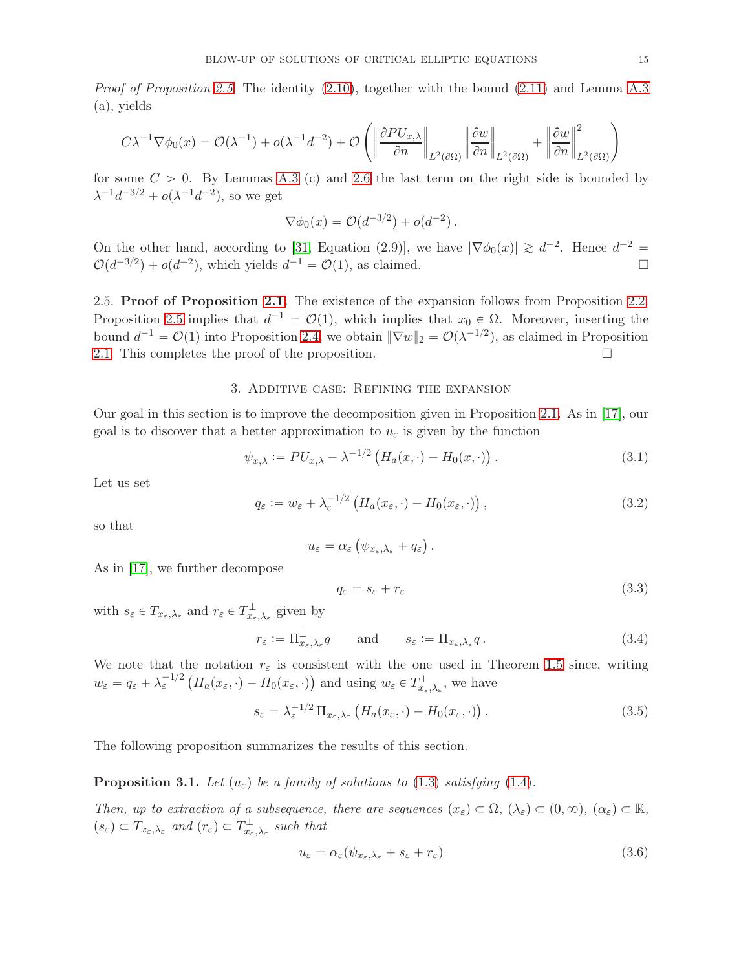*Proof of Proposition [2.5.](#page-11-2)* The identity  $(2.10)$ , together with the bound  $(2.11)$  and Lemma [A.3](#page-50-1) (a), yields

$$
C\lambda^{-1}\nabla\phi_0(x) = \mathcal{O}(\lambda^{-1}) + o(\lambda^{-1}d^{-2}) + \mathcal{O}\left(\left\|\frac{\partial P U_{x,\lambda}}{\partial n}\right\|_{L^2(\partial\Omega)}\left\|\frac{\partial w}{\partial n}\right\|_{L^2(\partial\Omega)} + \left\|\frac{\partial w}{\partial n}\right\|_{L^2(\partial\Omega)}^2\right)
$$

for some  $C > 0$ . By Lemmas [A.3](#page-50-1) (c) and [2.6](#page-11-1) the last term on the right side is bounded by  $\lambda^{-1} d^{-3/2} + o(\lambda^{-1} d^{-2}),$  so we get

$$
\nabla \phi_0(x) = \mathcal{O}(d^{-3/2}) + o(d^{-2}).
$$

On the other hand, according to [\[31,](#page-56-5) Equation (2.9)], we have  $|\nabla \phi_0(x)| \ge d^{-2}$ . Hence  $d^{-2} =$  $\mathcal{O}(d^{-3/2}) + o(d^{-2})$ , which yields  $d^{-1} = \mathcal{O}(1)$ , as claimed.

2.5. Proof of Proposition [2.1.](#page-7-1) The existence of the expansion follows from Proposition [2.2.](#page-8-0) Proposition [2.5](#page-11-2) implies that  $d^{-1} = \mathcal{O}(1)$ , which implies that  $x_0 \in \Omega$ . Moreover, inserting the bound  $d^{-1} = \mathcal{O}(1)$  into Proposition [2.4,](#page-10-1) we obtain  $\|\nabla w\|_2 = \mathcal{O}(\lambda^{-1/2})$ , as claimed in Proposition [2.1.](#page-7-1) This completes the proof of the proposition.  $\Box$ 

#### 3. Additive case: Refining the expansion

<span id="page-14-0"></span>Our goal in this section is to improve the decomposition given in Proposition [2.1.](#page-7-1) As in [\[17\]](#page-55-1), our goal is to discover that a better approximation to  $u_{\varepsilon}$  is given by the function

<span id="page-14-1"></span>
$$
\psi_{x,\lambda} := PU_{x,\lambda} - \lambda^{-1/2} \left( H_a(x,\cdot) - H_0(x,\cdot) \right). \tag{3.1}
$$

Let us set

<span id="page-14-5"></span>
$$
q_{\varepsilon} := w_{\varepsilon} + \lambda_{\varepsilon}^{-1/2} \left( H_a(x_{\varepsilon}, \cdot) - H_0(x_{\varepsilon}, \cdot) \right), \tag{3.2}
$$

so that

$$
u_{\varepsilon} = \alpha_{\varepsilon} \left( \psi_{x_{\varepsilon}, \lambda_{\varepsilon}} + q_{\varepsilon} \right).
$$

As in [\[17\]](#page-55-1), we further decompose

<span id="page-14-6"></span>
$$
q_{\varepsilon} = s_{\varepsilon} + r_{\varepsilon} \tag{3.3}
$$

with  $s_{\varepsilon} \in T_{x_{\varepsilon}, \lambda_{\varepsilon}}$  and  $r_{\varepsilon} \in T_{x_{\varepsilon}, \lambda_{\varepsilon}}^{\perp}$  given by

<span id="page-14-2"></span>
$$
r_{\varepsilon} := \Pi_{x_{\varepsilon}, \lambda_{\varepsilon}}^{\perp} q \qquad \text{and} \qquad s_{\varepsilon} := \Pi_{x_{\varepsilon}, \lambda_{\varepsilon}} q. \tag{3.4}
$$

We note that the notation  $r_{\varepsilon}$  is consistent with the one used in Theorem [1.5](#page-4-0) since, writing  $w_{\varepsilon} = q_{\varepsilon} + \lambda_{\varepsilon}^{-1/2} \left( H_a(x_{\varepsilon}, \cdot) - H_0(x_{\varepsilon}, \cdot) \right)$  and using  $w_{\varepsilon} \in T_{x_{\varepsilon}, \lambda_{\varepsilon}}^{\perp}$ , we have

<span id="page-14-4"></span>
$$
s_{\varepsilon} = \lambda_{\varepsilon}^{-1/2} \Pi_{x_{\varepsilon}, \lambda_{\varepsilon}} \left( H_a(x_{\varepsilon}, \cdot) - H_0(x_{\varepsilon}, \cdot) \right). \tag{3.5}
$$

The following proposition summarizes the results of this section.

<span id="page-14-3"></span>**Proposition 3.1.** Let  $(u_{\varepsilon})$  be a family of solutions to [\(1.3\)](#page-1-1) satisfying [\(1.4\)](#page-1-3).

Then, up to extraction of a subsequence, there are sequences  $(x_{\varepsilon}) \subset \Omega$ ,  $(\lambda_{\varepsilon}) \subset (0, \infty)$ ,  $(\alpha_{\varepsilon}) \subset \mathbb{R}$ ,  $(s_{\varepsilon}) \subset T_{x_{\varepsilon},\lambda_{\varepsilon}}$  and  $(r_{\varepsilon}) \subset T_{x_{\varepsilon},\lambda_{\varepsilon}}^{\perp}$  such that

$$
u_{\varepsilon} = \alpha_{\varepsilon} (\psi_{x_{\varepsilon}, \lambda_{\varepsilon}} + s_{\varepsilon} + r_{\varepsilon})
$$
\n(3.6)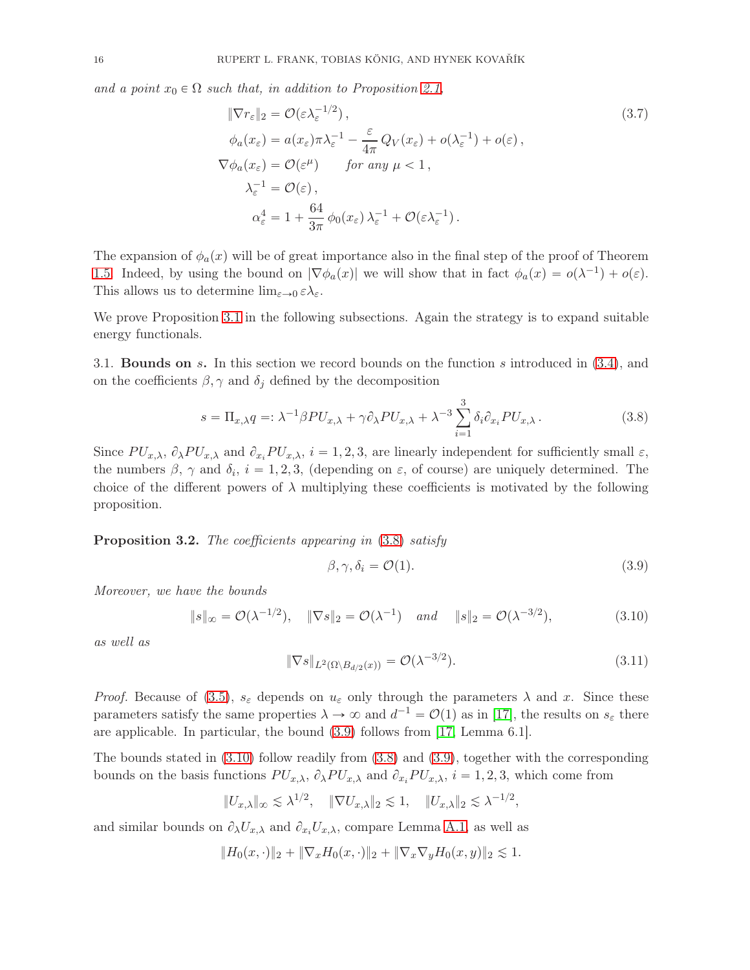and a point  $x_0 \in \Omega$  such that, in addition to Proposition [2.1,](#page-7-1)

<span id="page-15-5"></span>
$$
\|\nabla r_{\varepsilon}\|_{2} = \mathcal{O}(\varepsilon \lambda_{\varepsilon}^{-1/2}),
$$
\n
$$
\phi_{a}(x_{\varepsilon}) = a(x_{\varepsilon})\pi \lambda_{\varepsilon}^{-1} - \frac{\varepsilon}{4\pi} Q_{V}(x_{\varepsilon}) + o(\lambda_{\varepsilon}^{-1}) + o(\varepsilon),
$$
\n
$$
\nabla \phi_{a}(x_{\varepsilon}) = \mathcal{O}(\varepsilon^{\mu}) \qquad \text{for any } \mu < 1,
$$
\n
$$
\lambda_{\varepsilon}^{-1} = \mathcal{O}(\varepsilon),
$$
\n
$$
\alpha_{\varepsilon}^{4} = 1 + \frac{64}{3\pi} \phi_{0}(x_{\varepsilon}) \lambda_{\varepsilon}^{-1} + \mathcal{O}(\varepsilon \lambda_{\varepsilon}^{-1}).
$$
\n(3.7)

The expansion of  $\phi_a(x)$  will be of great importance also in the final step of the proof of Theorem [1.5.](#page-4-0) Indeed, by using the bound on  $|\nabla \phi_a(x)|$  we will show that in fact  $\phi_a(x) = o(\lambda^{-1}) + o(\varepsilon)$ . This allows us to determine  $\lim_{\varepsilon \to 0} \varepsilon \lambda_{\varepsilon}$ .

We prove Proposition [3.1](#page-14-3) in the following subsections. Again the strategy is to expand suitable energy functionals.

3.1. **Bounds on** s. In this section we record bounds on the function s introduced in  $(3.4)$ , and on the coefficients  $\beta$ ,  $\gamma$  and  $\delta_i$  defined by the decomposition

<span id="page-15-0"></span>
$$
s = \Pi_{x,\lambda} q =: \lambda^{-1} \beta P U_{x,\lambda} + \gamma \partial_{\lambda} P U_{x,\lambda} + \lambda^{-3} \sum_{i=1}^{3} \delta_{i} \partial_{x_{i}} P U_{x,\lambda}.
$$
 (3.8)

Since  $PU_{x,\lambda}$ ,  $\partial_{\lambda} PU_{x,\lambda}$  and  $\partial_{x_i} PU_{x,\lambda}$ ,  $i = 1, 2, 3$ , are linearly independent for sufficiently small  $\varepsilon$ , the numbers  $\beta$ ,  $\gamma$  and  $\delta_i$ ,  $i = 1, 2, 3$ , (depending on  $\varepsilon$ , of course) are uniquely determined. The choice of the different powers of  $\lambda$  multiplying these coefficients is motivated by the following proposition.

<span id="page-15-4"></span>Proposition 3.2. The coefficients appearing in  $(3.8)$  satisfy

<span id="page-15-1"></span>
$$
\beta, \gamma, \delta_i = \mathcal{O}(1). \tag{3.9}
$$

,

Moreover, we have the bounds

<span id="page-15-2"></span>
$$
\|s\|_{\infty} = \mathcal{O}(\lambda^{-1/2}), \quad \|\nabla s\|_{2} = \mathcal{O}(\lambda^{-1}) \quad \text{and} \quad \|s\|_{2} = \mathcal{O}(\lambda^{-3/2}), \tag{3.10}
$$

as well as

<span id="page-15-3"></span>
$$
\|\nabla s\|_{L^2(\Omega\setminus B_{d/2}(x))} = \mathcal{O}(\lambda^{-3/2}).\tag{3.11}
$$

*Proof.* Because of [\(3.5\)](#page-14-4),  $s_{\varepsilon}$  depends on  $u_{\varepsilon}$  only through the parameters  $\lambda$  and x. Since these parameters satisfy the same properties  $\lambda \to \infty$  and  $d^{-1} = \mathcal{O}(1)$  as in [\[17\]](#page-55-1), the results on  $s_{\varepsilon}$  there are applicable. In particular, the bound [\(3.9\)](#page-15-1) follows from [\[17,](#page-55-1) Lemma 6.1].

The bounds stated in [\(3.10\)](#page-15-2) follow readily from [\(3.8\)](#page-15-0) and [\(3.9\)](#page-15-1), together with the corresponding bounds on the basis functions  $PU_{x,\lambda}$ ,  $\partial_{\lambda} PU_{x,\lambda}$  and  $\partial_{x_i} PU_{x,\lambda}$ ,  $i = 1, 2, 3$ , which come from

$$
||U_{x,\lambda}||_{\infty} \lesssim \lambda^{1/2}, \quad ||\nabla U_{x,\lambda}||_2 \lesssim 1, \quad ||U_{x,\lambda}||_2 \lesssim \lambda^{-1/2}
$$

and similar bounds on  $\partial_{\lambda}U_{x,\lambda}$  and  $\partial_{x_i}U_{x,\lambda}$ , compare Lemma [A.1,](#page-49-0) as well as

$$
||H_0(x, \cdot)||_2 + ||\nabla_x H_0(x, \cdot)||_2 + ||\nabla_x \nabla_y H_0(x, y)||_2 \lesssim 1.
$$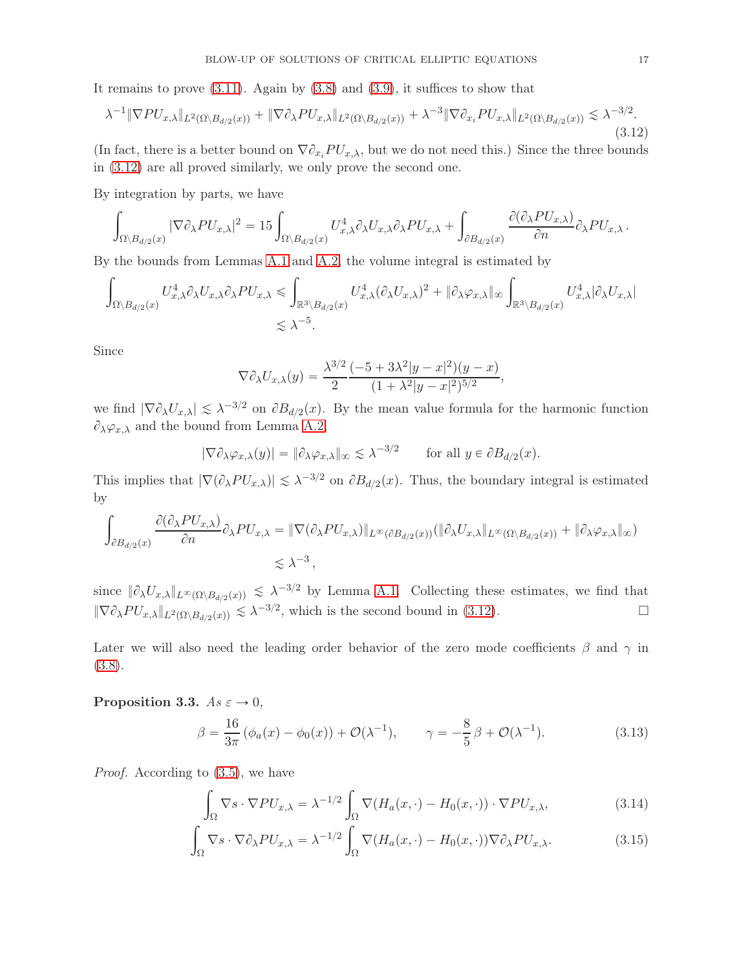It remains to prove  $(3.11)$ . Again by  $(3.8)$  and  $(3.9)$ , it suffices to show that

<span id="page-16-0"></span>
$$
\lambda^{-1} \|\nabla P U_{x,\lambda}\|_{L^2(\Omega \setminus B_{d/2}(x))} + \|\nabla \partial_{\lambda} P U_{x,\lambda}\|_{L^2(\Omega \setminus B_{d/2}(x))} + \lambda^{-3} \|\nabla \partial_{x_i} P U_{x,\lambda}\|_{L^2(\Omega \setminus B_{d/2}(x))} \lesssim \lambda^{-3/2}.
$$
\n(3.12)

(In fact, there is a better bound on  $\nabla \partial_{x_i} PU_{x,\lambda}$ , but we do not need this.) Since the three bounds in [\(3.12\)](#page-16-0) are all proved similarly, we only prove the second one.

By integration by parts, we have

$$
\int_{\Omega\setminus B_{d/2}(x)} |\nabla \partial_{\lambda} PU_{x,\lambda}|^2 = 15 \int_{\Omega\setminus B_{d/2}(x)} U_{x,\lambda}^4 \partial_{\lambda} U_{x,\lambda} \partial_{\lambda} PU_{x,\lambda} + \int_{\partial B_{d/2}(x)} \frac{\partial (\partial_{\lambda} PU_{x,\lambda})}{\partial n} \partial_{\lambda} PU_{x,\lambda}.
$$

By the bounds from Lemmas [A.1](#page-49-0) and [A.2,](#page-50-0) the volume integral is estimated by

$$
\int_{\Omega \setminus B_{d/2}(x)} U_{x,\lambda}^4 \partial_{\lambda} U_{x,\lambda} \partial_{\lambda} PU_{x,\lambda} \le \int_{\mathbb{R}^3 \setminus B_{d/2}(x)} U_{x,\lambda}^4 (\partial_{\lambda} U_{x,\lambda})^2 + \|\partial_{\lambda} \varphi_{x,\lambda}\|_{\infty} \int_{\mathbb{R}^3 \setminus B_{d/2}(x)} U_{x,\lambda}^4 |\partial_{\lambda} U_{x,\lambda}|
$$
  
 $\lesssim \lambda^{-5}.$ 

Since

$$
\nabla \partial_{\lambda} U_{x,\lambda}(y) = \frac{\lambda^{3/2}}{2} \frac{(-5 + 3\lambda^2 |y - x|^2)(y - x)}{(1 + \lambda^2 |y - x|^2)^{5/2}},
$$

we find  $|\nabla \partial_{\lambda} U_{x,\lambda}| \leq \lambda^{-3/2}$  on  $\partial B_{d/2}(x)$ . By the mean value formula for the harmonic function  $\partial_{\lambda}\varphi_{x,\lambda}$  and the bound from Lemma [A.2,](#page-50-0)

$$
|\nabla \partial_{\lambda} \varphi_{x,\lambda}(y)| = \| \partial_{\lambda} \varphi_{x,\lambda} \|_{\infty} \lesssim \lambda^{-3/2} \quad \text{for all } y \in \partial B_{d/2}(x).
$$

This implies that  $|\nabla(\partial_{\lambda}PU_{x,\lambda})| \leq \lambda^{-3/2}$  on  $\partial B_{d/2}(x)$ . Thus, the boundary integral is estimated by

$$
\int_{\partial B_{d/2}(x)} \frac{\partial (\partial_{\lambda} PU_{x,\lambda})}{\partial n} \partial_{\lambda} PU_{x,\lambda} = \|\nabla (\partial_{\lambda} PU_{x,\lambda})\|_{L^{\infty}(\partial B_{d/2}(x))} (\|\partial_{\lambda} U_{x,\lambda}\|_{L^{\infty}(\Omega \setminus B_{d/2}(x))} + \|\partial_{\lambda} \varphi_{x,\lambda}\|_{\infty})
$$
  
 $\leq \lambda^{-3},$ 

since  $\|\partial_{\lambda}U_{x,\lambda}\|_{L^{\infty}(\Omega\setminus B_{d/2}(x))} \leq \lambda^{-3/2}$  by Lemma [A.1.](#page-49-0) Collecting these estimates, we find that  $\|\nabla \partial_{\lambda} PU_{x,\lambda}\|_{L^2(\Omega \setminus B_{d/2}(x))} \lesssim \lambda^{-3/2}$ , which is the second bound in [\(3.12\)](#page-16-0).

Later we will also need the leading order behavior of the zero mode coefficients  $\beta$  and  $\gamma$  in [\(3.8\)](#page-15-0).

### <span id="page-16-4"></span>Proposition 3.3.  $As \varepsilon \to 0$ ,

<span id="page-16-2"></span>
$$
\beta = \frac{16}{3\pi} \left( \phi_a(x) - \phi_0(x) \right) + \mathcal{O}(\lambda^{-1}), \qquad \gamma = -\frac{8}{5} \beta + \mathcal{O}(\lambda^{-1}). \tag{3.13}
$$

Proof. According to [\(3.5\)](#page-14-4), we have

<span id="page-16-3"></span><span id="page-16-1"></span>
$$
\int_{\Omega} \nabla s \cdot \nabla P U_{x,\lambda} = \lambda^{-1/2} \int_{\Omega} \nabla (H_a(x,\cdot) - H_0(x,\cdot)) \cdot \nabla P U_{x,\lambda},\tag{3.14}
$$

$$
\int_{\Omega} \nabla s \cdot \nabla \partial_{\lambda} PU_{x,\lambda} = \lambda^{-1/2} \int_{\Omega} \nabla (H_a(x,\cdot) - H_0(x,\cdot)) \nabla \partial_{\lambda} PU_{x,\lambda}.
$$
\n(3.15)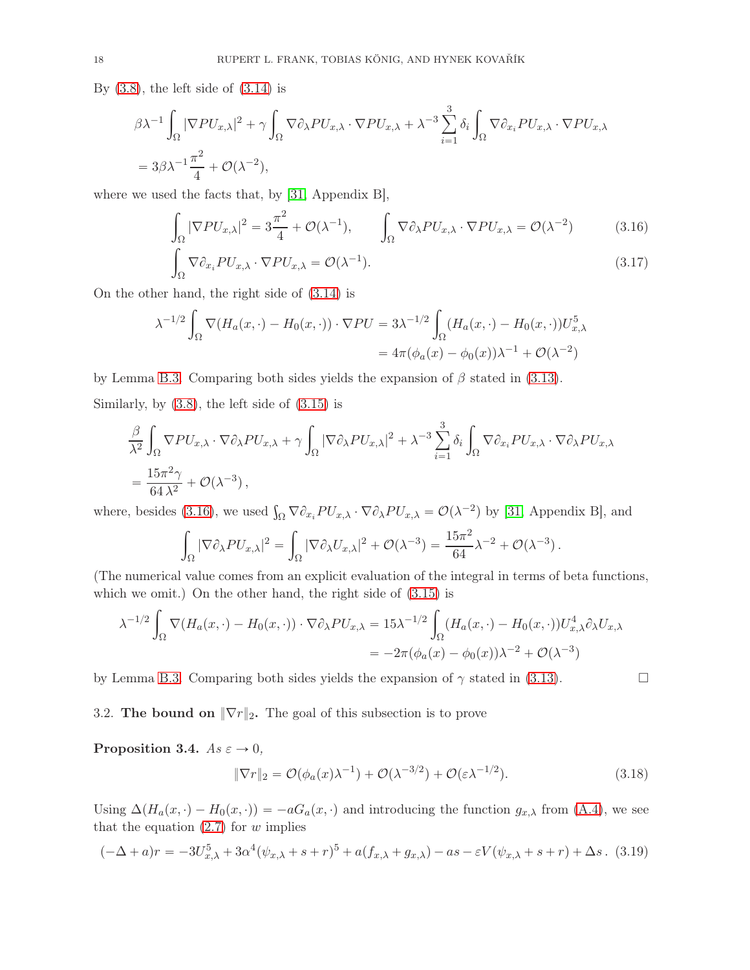By  $(3.8)$ , the left side of  $(3.14)$  is

$$
\beta \lambda^{-1} \int_{\Omega} |\nabla P U_{x,\lambda}|^2 + \gamma \int_{\Omega} \nabla \partial_{\lambda} P U_{x,\lambda} \cdot \nabla P U_{x,\lambda} + \lambda^{-3} \sum_{i=1}^3 \delta_i \int_{\Omega} \nabla \partial_{x_i} P U_{x,\lambda} \cdot \nabla P U_{x,\lambda}
$$
  
=  $3\beta \lambda^{-1} \frac{\pi^2}{4} + \mathcal{O}(\lambda^{-2}),$ 

where we used the facts that, by [\[31,](#page-56-5) Appendix B],

<span id="page-17-1"></span>
$$
\int_{\Omega} |\nabla P U_{x,\lambda}|^2 = 3\frac{\pi^2}{4} + \mathcal{O}(\lambda^{-1}), \qquad \int_{\Omega} \nabla \partial_{\lambda} P U_{x,\lambda} \cdot \nabla P U_{x,\lambda} = \mathcal{O}(\lambda^{-2}) \tag{3.16}
$$
\n
$$
\int_{\Omega} \nabla \partial_{x} P U_{x,\lambda} \cdot \nabla P U_{x,\lambda} = \mathcal{O}(\lambda^{-1}). \tag{3.17}
$$

$$
\int_{\Omega} \nabla \partial_{x_i} PU_{x,\lambda} \cdot \nabla PU_{x,\lambda} = \mathcal{O}(\lambda^{-1}). \tag{3.17}
$$

On the other hand, the right side of [\(3.14\)](#page-16-1) is

$$
\lambda^{-1/2} \int_{\Omega} \nabla (H_a(x, \cdot) - H_0(x, \cdot)) \cdot \nabla PU = 3\lambda^{-1/2} \int_{\Omega} (H_a(x, \cdot) - H_0(x, \cdot)) U_{x, \lambda}^5
$$

$$
= 4\pi (\phi_a(x) - \phi_0(x)) \lambda^{-1} + \mathcal{O}(\lambda^{-2})
$$

by Lemma [B.3.](#page-53-0) Comparing both sides yields the expansion of  $\beta$  stated in [\(3.13\)](#page-16-2).

Similarly, by [\(3.8\)](#page-15-0), the left side of [\(3.15\)](#page-16-3) is

$$
\frac{\beta}{\lambda^2} \int_{\Omega} \nabla P U_{x,\lambda} \cdot \nabla \partial_{\lambda} P U_{x,\lambda} + \gamma \int_{\Omega} |\nabla \partial_{\lambda} P U_{x,\lambda}|^2 + \lambda^{-3} \sum_{i=1}^3 \delta_i \int_{\Omega} \nabla \partial_{x_i} P U_{x,\lambda} \cdot \nabla \partial_{\lambda} P U_{x,\lambda} = \frac{15\pi^2 \gamma}{64\lambda^2} + \mathcal{O}(\lambda^{-3}),
$$

where, besides [\(3.16\)](#page-17-1), we used  $\int_{\Omega} \nabla \partial_{x_i} PU_{x,\lambda} \cdot \nabla \partial_{\lambda} PU_{x,\lambda} = \mathcal{O}(\lambda^{-2})$  by [\[31,](#page-56-5) Appendix B], and

$$
\int_{\Omega} |\nabla \partial_{\lambda} PU_{x,\lambda}|^2 = \int_{\Omega} |\nabla \partial_{\lambda} U_{x,\lambda}|^2 + \mathcal{O}(\lambda^{-3}) = \frac{15\pi^2}{64} \lambda^{-2} + \mathcal{O}(\lambda^{-3}).
$$

(The numerical value comes from an explicit evaluation of the integral in terms of beta functions, which we omit.) On the other hand, the right side of  $(3.15)$  is

$$
\lambda^{-1/2} \int_{\Omega} \nabla (H_a(x, \cdot) - H_0(x, \cdot)) \cdot \nabla \partial_{\lambda} PU_{x, \lambda} = 15 \lambda^{-1/2} \int_{\Omega} (H_a(x, \cdot) - H_0(x, \cdot)) U_{x, \lambda}^4 \partial_{\lambda} U_{x, \lambda}
$$
  
= 
$$
-2\pi (\phi_a(x) - \phi_0(x)) \lambda^{-2} + \mathcal{O}(\lambda^{-3})
$$

<span id="page-17-0"></span>by Lemma [B.3.](#page-53-0) Comparing both sides yields the expansion of  $\gamma$  stated in [\(3.13\)](#page-16-2).

3.2. The bound on  $\|\nabla r\|_2$ . The goal of this subsection is to prove

<span id="page-17-2"></span>Proposition 3.4.  $As \varepsilon \to 0$ ,

<span id="page-17-3"></span>
$$
\|\nabla r\|_2 = \mathcal{O}(\phi_a(x)\lambda^{-1}) + \mathcal{O}(\lambda^{-3/2}) + \mathcal{O}(\varepsilon\lambda^{-1/2}).\tag{3.18}
$$

Using  $\Delta(H_a(x, \cdot) - H_0(x, \cdot)) = -aG_a(x, \cdot)$  and introducing the function  $g_{x,\lambda}$  from [\(A.4\)](#page-50-2), we see that the equation  $(2.7)$  for w implies

$$
(-\Delta + a)r = -3U_{x,\lambda}^5 + 3\alpha^4(\psi_{x,\lambda} + s + r)^5 + a(f_{x,\lambda} + g_{x,\lambda}) - as - \varepsilon V(\psi_{x,\lambda} + s + r) + \Delta s. \tag{3.19}
$$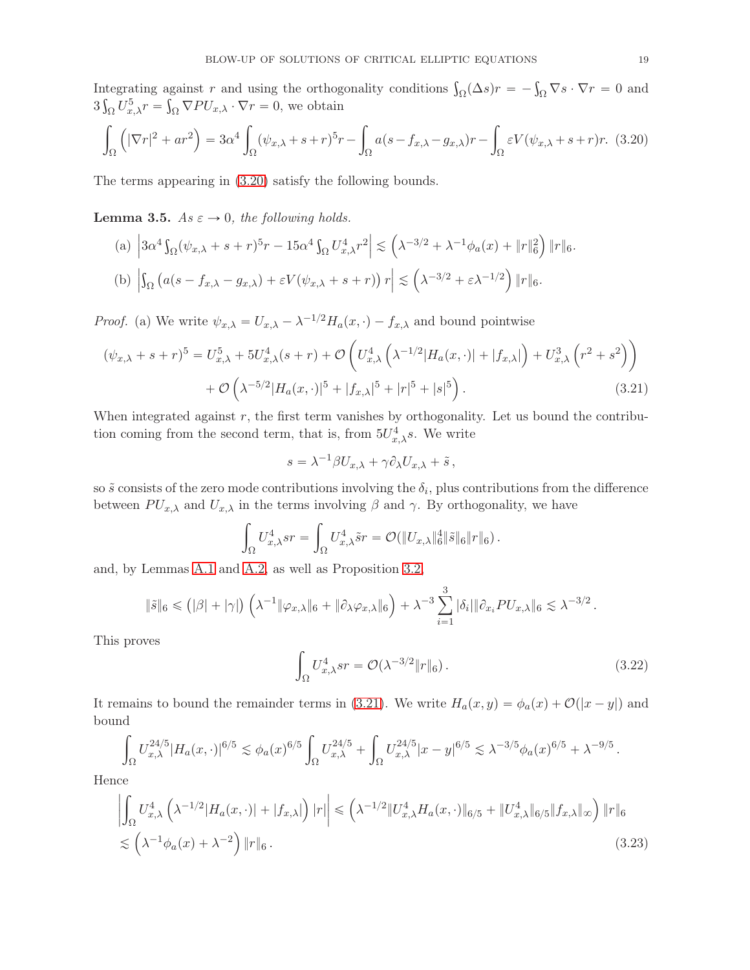Integrating against r and using the orthogonality conditions  $\int_{\Omega} (\Delta s) r = - \int_{\Omega} \nabla s \cdot \nabla r = 0$  and  $3\int_{\Omega} U_{x,\lambda}^5 r = \int_{\Omega} \nabla P U_{x,\lambda} \cdot \nabla r = 0$ , we obtain

<span id="page-18-0"></span>
$$
\int_{\Omega} \left( |\nabla r|^2 + ar^2 \right) = 3\alpha^4 \int_{\Omega} (\psi_{x,\lambda} + s + r)^5 r - \int_{\Omega} a(s - f_{x,\lambda} - g_{x,\lambda}) r - \int_{\Omega} \varepsilon V(\psi_{x,\lambda} + s + r) r. \tag{3.20}
$$

The terms appearing in [\(3.20\)](#page-18-0) satisfy the following bounds.

<span id="page-18-2"></span>**Lemma 3.5.** As  $\varepsilon \to 0$ , the following holds.

(a) 
$$
\left|3\alpha^4 \int_{\Omega} (\psi_{x,\lambda} + s + r)^5 r - 15\alpha^4 \int_{\Omega} U_{x,\lambda}^4 r^2 \right| \lesssim \left(\lambda^{-3/2} + \lambda^{-1} \phi_a(x) + \|r\|_6^2\right) \|r\|_6.
$$
  
(b) 
$$
\left|\int_{\Omega} \left(a(s - f_{x,\lambda} - g_{x,\lambda}) + \varepsilon V(\psi_{x,\lambda} + s + r)\right) r\right| \lesssim \left(\lambda^{-3/2} + \varepsilon \lambda^{-1/2}\right) \|r\|_6.
$$

*Proof.* (a) We write  $\psi_{x,\lambda} = U_{x,\lambda} - \lambda^{-1/2} H_a(x, \cdot) - f_{x,\lambda}$  and bound pointwise

$$
(\psi_{x,\lambda} + s + r)^5 = U_{x,\lambda}^5 + 5U_{x,\lambda}^4(s + r) + \mathcal{O}\left(U_{x,\lambda}^4\left(\lambda^{-1/2}|H_a(x,\cdot)| + |f_{x,\lambda}|\right) + U_{x,\lambda}^3\left(r^2 + s^2\right)\right) + \mathcal{O}\left(\lambda^{-5/2}|H_a(x,\cdot)|^5 + |f_{x,\lambda}|^5 + |r|^5 + |s|^5\right).
$$
 (3.21)

When integrated against r, the first term vanishes by orthogonality. Let us bound the contribution coming from the second term, that is, from  $5U_{x,\lambda}^4 s$ . We write

<span id="page-18-1"></span>
$$
s = \lambda^{-1} \beta U_{x,\lambda} + \gamma \partial_{\lambda} U_{x,\lambda} + \tilde{s},
$$

so  $\tilde{s}$  consists of the zero mode contributions involving the  $\delta_i$ , plus contributions from the difference between  $PU_{x,\lambda}$  and  $U_{x,\lambda}$  in the terms involving  $\beta$  and  $\gamma$ . By orthogonality, we have

$$
\int_{\Omega} U_{x,\lambda}^4 sr = \int_{\Omega} U_{x,\lambda}^4 \tilde{sr} = \mathcal{O}(\Vert U_{x,\lambda} \Vert_6^4 \Vert \tilde{s} \Vert_6 \Vert r \Vert_6).
$$

and, by Lemmas [A.1](#page-49-0) and [A.2,](#page-50-0) as well as Proposition [3.2,](#page-15-4)

$$
\|\tilde{s}\|_6 \leq (\vert\beta\vert+\vert\gamma\vert) \left(\lambda^{-1}\Vert\varphi_{x,\lambda}\Vert_6 + \Vert\partial_{\lambda}\varphi_{x,\lambda}\Vert_6\right) + \lambda^{-3}\sum_{i=1}^3 |\delta_i|\Vert\partial_{x_i} PU_{x,\lambda}\Vert_6 \lesssim \lambda^{-3/2}.
$$

This proves

<span id="page-18-4"></span><span id="page-18-3"></span>
$$
\int_{\Omega} U_{x,\lambda}^4 sr = \mathcal{O}(\lambda^{-3/2} \|r\|_6). \tag{3.22}
$$

It remains to bound the remainder terms in [\(3.21\)](#page-18-1). We write  $H_a(x, y) = \phi_a(x) + \mathcal{O}(|x - y|)$  and bound

$$
\int_{\Omega} U_{x,\lambda}^{24/5} |H_a(x,\cdot)|^{6/5} \lesssim \phi_a(x)^{6/5} \int_{\Omega} U_{x,\lambda}^{24/5} + \int_{\Omega} U_{x,\lambda}^{24/5} |x-y|^{6/5} \lesssim \lambda^{-3/5} \phi_a(x)^{6/5} + \lambda^{-9/5}.
$$

Hence

$$
\left| \int_{\Omega} U_{x,\lambda}^4 \left( \lambda^{-1/2} |H_a(x,\cdot)| + |f_{x,\lambda}| \right) |r| \right| \leq \left( \lambda^{-1/2} \| U_{x,\lambda}^4 H_a(x,\cdot) \|_{6/5} + \| U_{x,\lambda}^4 \|_{6/5} \| f_{x,\lambda} \|_{\infty} \right) \| r \|_6
$$
  

$$
\lesssim \left( \lambda^{-1} \phi_a(x) + \lambda^{-2} \right) \| r \|_6.
$$
 (3.23)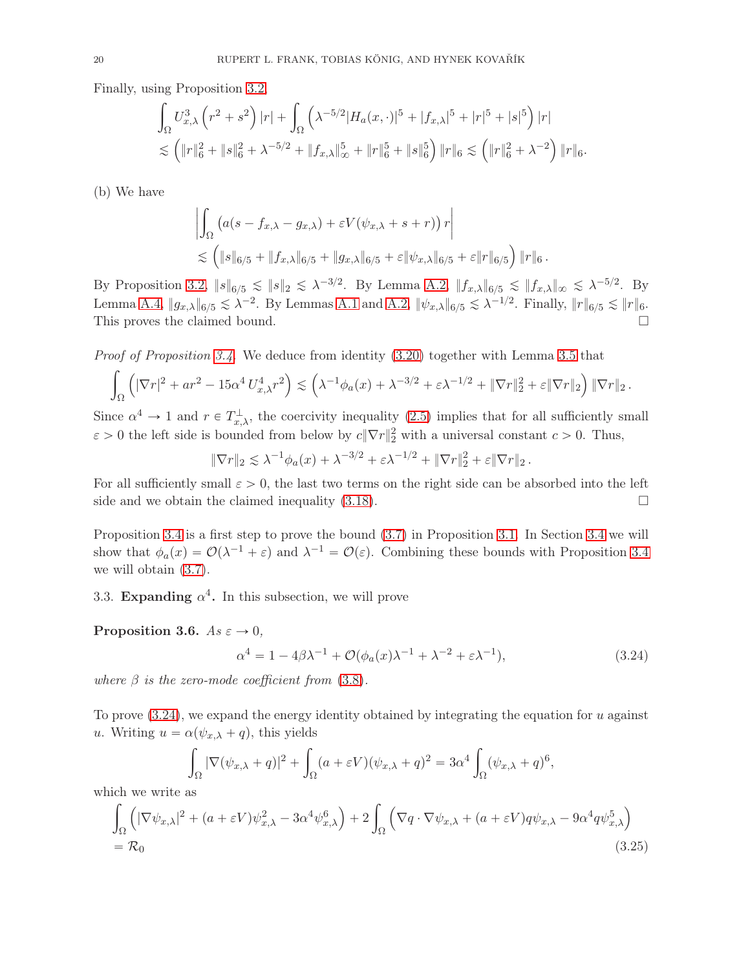Finally, using Proposition [3.2,](#page-15-4)

$$
\int_{\Omega} U_{x,\lambda}^3 \left( r^2 + s^2 \right) |r| + \int_{\Omega} \left( \lambda^{-5/2} |H_a(x, \cdot)|^5 + |f_{x,\lambda}|^5 + |r|^5 + |s|^5 \right) |r|
$$
  

$$
\lesssim \left( \|r\|_6^2 + \|s\|_6^2 + \lambda^{-5/2} + \|f_{x,\lambda}\|_{\infty}^5 + \|r\|_6^5 + \|s\|_6^5 \right) \|r\|_6 \lesssim \left( \|r\|_6^2 + \lambda^{-2} \right) \|r\|_6.
$$

(b) We have

$$
\left| \int_{\Omega} \left( a(s - f_{x,\lambda} - g_{x,\lambda}) + \varepsilon V(\psi_{x,\lambda} + s + r) \right) r \right|
$$
  
\$\leq \left( \|s\|\_{6/5} + \|f\_{x,\lambda}\|\_{6/5} + \|g\_{x,\lambda}\|\_{6/5} + \varepsilon \|\psi\_{x,\lambda}\|\_{6/5} + \varepsilon \|r\|\_{6/5} \right) \|r\|\_{6}\$.

By Proposition [3.2,](#page-15-4)  $||s||_{6/5} \le ||s||_2 \le \lambda^{-3/2}$ . By Lemma [A.2,](#page-50-0)  $||f_{x,\lambda}||_{6/5} \le ||f_{x,\lambda}||_{\infty} \le \lambda^{-5/2}$ . By Lemma [A.4,](#page-50-3)  $||g_{x,\lambda}||_{6/5} \leq \lambda^{-2}$ . By Lemmas [A.1](#page-49-0) and [A.2,](#page-50-0)  $||\psi_{x,\lambda}||_{6/5} \leq \lambda^{-1/2}$ . Finally,  $||r||_{6/5} \leq ||r||_6$ . This proves the claimed bound.  $\square$ 

Proof of Proposition [3.4.](#page-17-2) We deduce from identity [\(3.20\)](#page-18-0) together with Lemma [3.5](#page-18-2) that

$$
\int_{\Omega} \left( |\nabla r|^2 + ar^2 - 15\alpha^4 U_{x,\lambda}^4 r^2 \right) \lesssim \left( \lambda^{-1} \phi_a(x) + \lambda^{-3/2} + \varepsilon \lambda^{-1/2} + \|\nabla r\|_2^2 + \varepsilon \|\nabla r\|_2 \right) \|\nabla r\|_2.
$$

Since  $\alpha^4 \to 1$  and  $r \in T_{x,\lambda}^{\perp}$ , the coercivity inequality [\(2.5\)](#page-10-5) implies that for all sufficiently small  $\varepsilon > 0$  the left side is bounded from below by  $c \|\nabla r\|_2^2$  with a universal constant  $c > 0$ . Thus,

$$
\|\nabla r\|_2 \lesssim \lambda^{-1} \phi_a(x) + \lambda^{-3/2} + \varepsilon \lambda^{-1/2} + \|\nabla r\|_2^2 + \varepsilon \|\nabla r\|_2.
$$

For all sufficiently small  $\varepsilon > 0$ , the last two terms on the right side can be absorbed into the left side and we obtain the claimed inequality (3.18). side and we obtain the claimed inequality [\(3.18\)](#page-17-3).

Proposition [3.4](#page-17-2) is a first step to prove the bound [\(3.7\)](#page-15-5) in Proposition [3.1.](#page-14-3) In Section [3.4](#page-21-0) we will show that  $\phi_a(x) = \mathcal{O}(\lambda^{-1} + \varepsilon)$  and  $\lambda^{-1} = \mathcal{O}(\varepsilon)$ . Combining these bounds with Proposition [3.4](#page-17-2) we will obtain [\(3.7\)](#page-15-5).

3.3. Expanding  $\alpha^4$ . In this subsection, we will prove

<span id="page-19-2"></span>Proposition 3.6.  $As \varepsilon \to 0$ ,

<span id="page-19-1"></span><span id="page-19-0"></span>
$$
\alpha^4 = 1 - 4\beta\lambda^{-1} + \mathcal{O}(\phi_a(x)\lambda^{-1} + \lambda^{-2} + \varepsilon\lambda^{-1}),\tag{3.24}
$$

where  $\beta$  is the zero-mode coefficient from [\(3.8\)](#page-15-0).

To prove  $(3.24)$ , we expand the energy identity obtained by integrating the equation for u against u. Writing  $u = \alpha(\psi_{x,\lambda} + q)$ , this yields

$$
\int_{\Omega} |\nabla(\psi_{x,\lambda} + q)|^2 + \int_{\Omega} (a + \varepsilon V)(\psi_{x,\lambda} + q)^2 = 3\alpha^4 \int_{\Omega} (\psi_{x,\lambda} + q)^6,
$$

which we write as

$$
\int_{\Omega} \left( |\nabla \psi_{x,\lambda}|^2 + (a + \varepsilon V) \psi_{x,\lambda}^2 - 3\alpha^4 \psi_{x,\lambda}^6 \right) + 2 \int_{\Omega} \left( \nabla q \cdot \nabla \psi_{x,\lambda} + (a + \varepsilon V) q \psi_{x,\lambda} - 9\alpha^4 q \psi_{x,\lambda}^5 \right)
$$
\n
$$
= \mathcal{R}_0
$$
\n(3.25)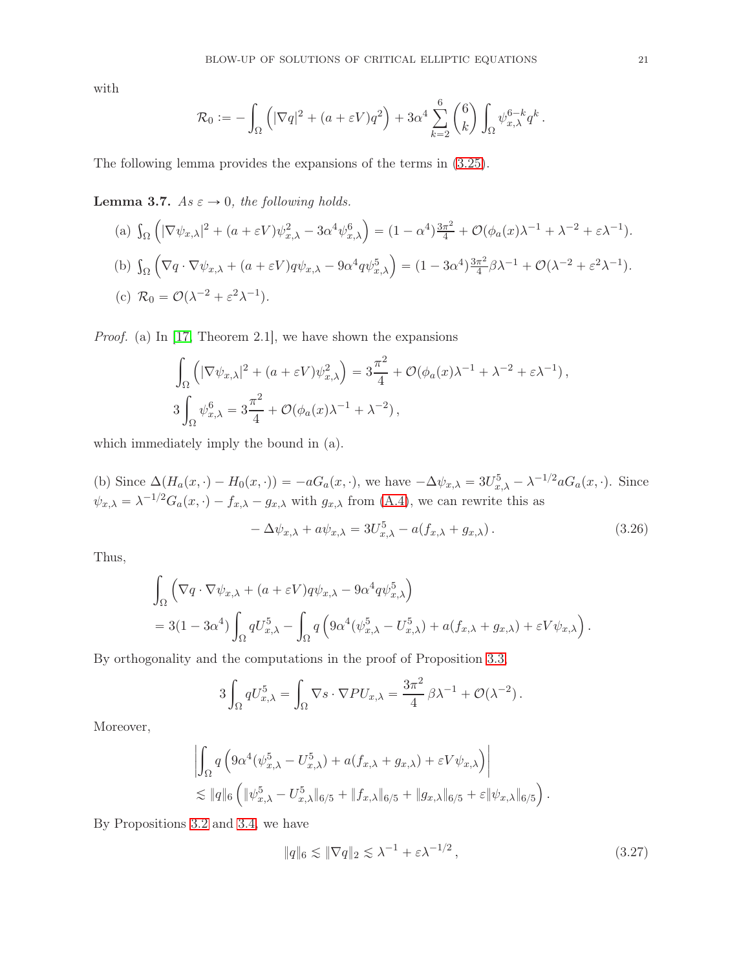with

$$
\mathcal{R}_0 := -\int_\Omega \left( |\nabla q|^2 + (a+\varepsilon V) q^2 \right) + 3\alpha^4 \sum_{k=2}^6 {6 \choose k} \int_\Omega \psi_{x,\lambda}^{6-k} q^k.
$$

The following lemma provides the expansions of the terms in [\(3.25\)](#page-19-1).

<span id="page-20-1"></span>**Lemma 3.7.** As  $\varepsilon \to 0$ , the following holds.

(a) 
$$
\int_{\Omega} \left( |\nabla \psi_{x,\lambda}|^2 + (a + \varepsilon V) \psi_{x,\lambda}^2 - 3\alpha^4 \psi_{x,\lambda}^6 \right) = (1 - \alpha^4) \frac{3\pi^2}{4} + \mathcal{O}(\phi_a(x)\lambda^{-1} + \lambda^{-2} + \varepsilon \lambda^{-1}).
$$
  
\n(b)  $\int_{\Omega} \left( \nabla q \cdot \nabla \psi_{x,\lambda} + (a + \varepsilon V) q \psi_{x,\lambda} - 9\alpha^4 q \psi_{x,\lambda}^5 \right) = (1 - 3\alpha^4) \frac{3\pi^2}{4} \beta \lambda^{-1} + \mathcal{O}(\lambda^{-2} + \varepsilon^2 \lambda^{-1}).$   
\n(c)  $\mathcal{R}_0 = \mathcal{O}(\lambda^{-2} + \varepsilon^2 \lambda^{-1}).$ 

Proof. (a) In [\[17,](#page-55-1) Theorem 2.1], we have shown the expansions

$$
\int_{\Omega} \left( |\nabla \psi_{x,\lambda}|^2 + (a + \varepsilon V) \psi_{x,\lambda}^2 \right) = 3 \frac{\pi^2}{4} + \mathcal{O}(\phi_a(x) \lambda^{-1} + \lambda^{-2} + \varepsilon \lambda^{-1}),
$$
  

$$
3 \int_{\Omega} \psi_{x,\lambda}^6 = 3 \frac{\pi^2}{4} + \mathcal{O}(\phi_a(x) \lambda^{-1} + \lambda^{-2}),
$$

which immediately imply the bound in (a).

(b) Since  $\Delta(H_a(x, \cdot) - H_0(x, \cdot)) = -aG_a(x, \cdot)$ , we have  $-\Delta \psi_{x,\lambda} = 3U_{x,\lambda}^5 - \lambda^{-1/2}aG_a(x, \cdot)$ . Since  $\psi_{x,\lambda} = \lambda^{-1/2} G_a(x, \cdot) - f_{x,\lambda} - g_{x,\lambda}$  with  $g_{x,\lambda}$  from [\(A.4\)](#page-50-2), we can rewrite this as

<span id="page-20-2"></span>
$$
-\Delta \psi_{x,\lambda} + a\psi_{x,\lambda} = 3U_{x,\lambda}^5 - a(f_{x,\lambda} + g_{x,\lambda}). \tag{3.26}
$$

Thus,

$$
\int_{\Omega} \left( \nabla q \cdot \nabla \psi_{x,\lambda} + (a + \varepsilon V) q \psi_{x,\lambda} - 9 \alpha^4 q \psi_{x,\lambda}^5 \right)
$$
  
= 3(1 - 3\alpha^4) \int\_{\Omega} q U\_{x,\lambda}^5 - \int\_{\Omega} q \left( 9 \alpha^4 (\psi\_{x,\lambda}^5 - U\_{x,\lambda}^5) + a(f\_{x,\lambda} + g\_{x,\lambda}) + \varepsilon V \psi\_{x,\lambda} \right).

By orthogonality and the computations in the proof of Proposition [3.3,](#page-16-4)

$$
3\int_{\Omega} qU_{x,\lambda}^5 = \int_{\Omega} \nabla s \cdot \nabla PU_{x,\lambda} = \frac{3\pi^2}{4} \beta \lambda^{-1} + \mathcal{O}(\lambda^{-2}).
$$

Moreover,

$$
\left| \int_{\Omega} q \left( 9\alpha^4 (\psi_{x,\lambda}^5 - U_{x,\lambda}^5) + a(f_{x,\lambda} + g_{x,\lambda}) + \varepsilon V \psi_{x,\lambda} \right) \right|
$$
  
\$\lesssim \|q\|\_6 \left( \|\psi\_{x,\lambda}^5 - U\_{x,\lambda}^5\|\_{6/5} + \|f\_{x,\lambda}\|\_{6/5} + \|g\_{x,\lambda}\|\_{6/5} + \varepsilon \|\psi\_{x,\lambda}\|\_{6/5} \right).

By Propositions [3.2](#page-15-4) and [3.4,](#page-17-2) we have

<span id="page-20-0"></span>
$$
||q||_6 \lesssim ||\nabla q||_2 \lesssim \lambda^{-1} + \varepsilon \lambda^{-1/2}, \qquad (3.27)
$$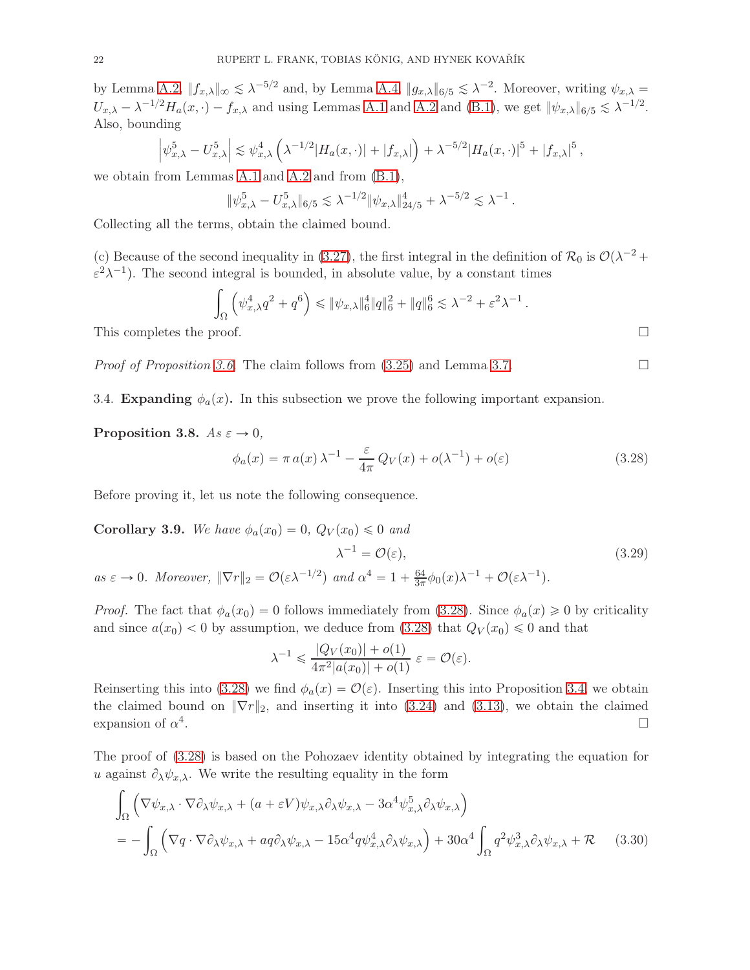by Lemma [A.2,](#page-50-0)  $||f_{x,\lambda}||_{\infty} \lesssim \lambda^{-5/2}$  and, by Lemma [A.4,](#page-50-3)  $||g_{x,\lambda}||_{6/5} \lesssim \lambda^{-2}$ . Moreover, writing  $\psi_{x,\lambda} =$  $U_{x,\lambda} - \lambda^{-1/2} H_a(x, \cdot) - f_{x,\lambda}$  and using Lemmas [A.1](#page-49-0) and [A.2](#page-50-0) and [\(B.1\)](#page-51-0), we get  $||\psi_{x,\lambda}||_{6/5} \lesssim \lambda^{-1/2}$ . Also, bounding

$$
\left|\psi_{x,\lambda}^5 - U_{x,\lambda}^5\right| \lesssim \psi_{x,\lambda}^4 \left(\lambda^{-1/2} |H_a(x,\cdot)| + |f_{x,\lambda}|\right) + \lambda^{-5/2} |H_a(x,\cdot)|^5 + |f_{x,\lambda}|^5,
$$

we obtain from Lemmas [A.1](#page-49-0) and [A.2](#page-50-0) and from [\(B.1\)](#page-51-0),

$$
\|\psi_{x,\lambda}^5 - U_{x,\lambda}^5\|_{6/5} \lesssim \lambda^{-1/2} \|\psi_{x,\lambda}\|_{24/5}^4 + \lambda^{-5/2} \lesssim \lambda^{-1}.
$$

Collecting all the terms, obtain the claimed bound.

(c) Because of the second inequality in [\(3.27\)](#page-20-0), the first integral in the definition of  $\mathcal{R}_0$  is  $\mathcal{O}(\lambda^{-2} +$  $\varepsilon^2 \lambda^{-1}$ ). The second integral is bounded, in absolute value, by a constant times

$$
\int_{\Omega} \left( \psi_{x,\lambda}^4 q^2 + q^6 \right) \leqslant \| \psi_{x,\lambda} \|_6^4 \| q \|_6^2 + \| q \|_6^6 \lesssim \lambda^{-2} + \varepsilon^2 \lambda^{-1} \, .
$$

This completes the proof.  $\Box$ 

<span id="page-21-0"></span>*Proof of Proposition [3.6.](#page-19-2)* The claim follows from  $(3.25)$  and Lemma [3.7.](#page-20-1)

3.4. Expanding  $\phi_a(x)$ . In this subsection we prove the following important expansion.

<span id="page-21-2"></span>Proposition 3.8.  $As \varepsilon \to 0$ ,

<span id="page-21-1"></span>
$$
\phi_a(x) = \pi a(x)\lambda^{-1} - \frac{\varepsilon}{4\pi}Q_V(x) + o(\lambda^{-1}) + o(\varepsilon)
$$
\n(3.28)

Before proving it, let us note the following consequence.

<span id="page-21-4"></span>**Corollary 3.9.** We have  $\phi_a(x_0) = 0$ ,  $Q_V(x_0) \leq 0$  and

<span id="page-21-5"></span>
$$
\lambda^{-1} = \mathcal{O}(\varepsilon),\tag{3.29}
$$

as  $\varepsilon \to 0$ . Moreover,  $\|\nabla r\|_2 = \mathcal{O}(\varepsilon \lambda^{-1/2})$  and  $\alpha^4 = 1 + \frac{64}{3\pi} \phi_0(x) \lambda^{-1} + \mathcal{O}(\varepsilon \lambda^{-1})$ .

*Proof.* The fact that  $\phi_a(x_0) = 0$  follows immediately from [\(3.28\)](#page-21-1). Since  $\phi_a(x) \geq 0$  by criticality and since  $a(x_0) < 0$  by assumption, we deduce from [\(3.28\)](#page-21-1) that  $Q_V(x_0) \leq 0$  and that

<span id="page-21-3"></span>
$$
\lambda^{-1} \leq \frac{|Q_V(x_0)| + o(1)}{4\pi^2 |a(x_0)| + o(1)} \varepsilon = \mathcal{O}(\varepsilon).
$$

Reinserting this into [\(3.28\)](#page-21-1) we find  $\phi_a(x) = \mathcal{O}(\varepsilon)$ . Inserting this into Proposition [3.4,](#page-17-2) we obtain the claimed bound on  $\|\nabla r\|_2$ , and inserting it into [\(3.24\)](#page-19-0) and [\(3.13\)](#page-16-2), we obtain the claimed expansion of  $\alpha^4$ . expansion of  $\alpha^4$ .

The proof of [\(3.28\)](#page-21-1) is based on the Pohozaev identity obtained by integrating the equation for u against  $\partial_{\lambda} \psi_{x,\lambda}$ . We write the resulting equality in the form

$$
\int_{\Omega} \left( \nabla \psi_{x,\lambda} \cdot \nabla \partial_{\lambda} \psi_{x,\lambda} + (a + \varepsilon V) \psi_{x,\lambda} \partial_{\lambda} \psi_{x,\lambda} - 3 \alpha^4 \psi_{x,\lambda}^5 \partial_{\lambda} \psi_{x,\lambda} \right)
$$
\n
$$
= - \int_{\Omega} \left( \nabla q \cdot \nabla \partial_{\lambda} \psi_{x,\lambda} + a q \partial_{\lambda} \psi_{x,\lambda} - 15 \alpha^4 q \psi_{x,\lambda}^4 \partial_{\lambda} \psi_{x,\lambda} \right) + 30 \alpha^4 \int_{\Omega} q^2 \psi_{x,\lambda}^3 \partial_{\lambda} \psi_{x,\lambda} + \mathcal{R} \qquad (3.30)
$$

$$
f_{\rm{max}}
$$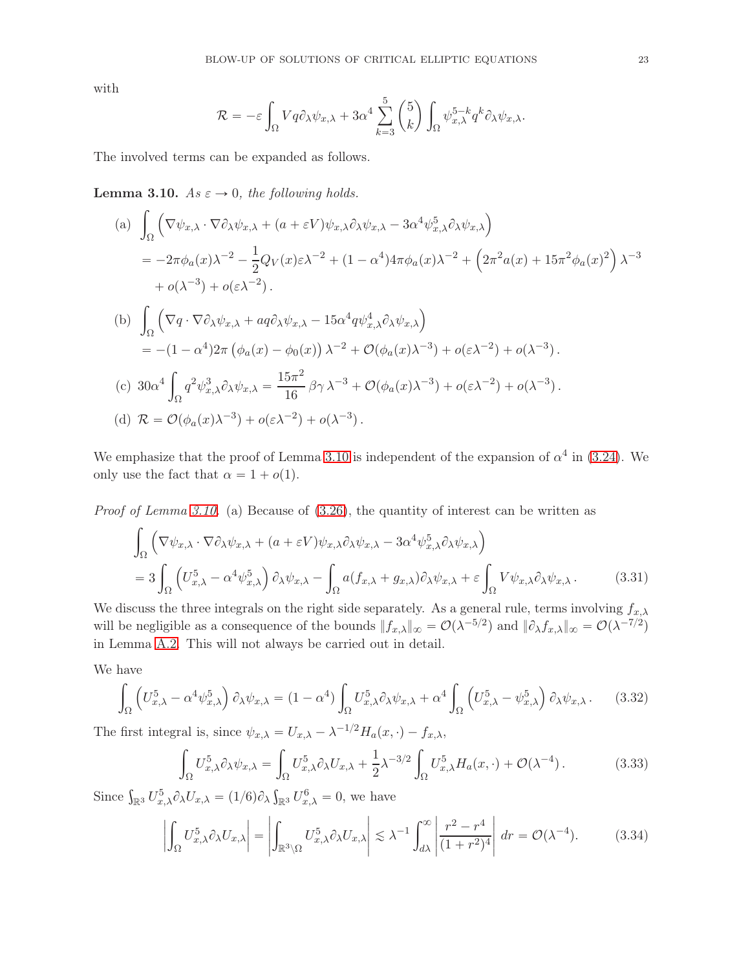with

$$
\mathcal{R} = -\varepsilon \int_{\Omega} V q \partial_{\lambda} \psi_{x,\lambda} + 3\alpha^4 \sum_{k=3}^{5} {5 \choose k} \int_{\Omega} \psi_{x,\lambda}^{5-k} q^k \partial_{\lambda} \psi_{x,\lambda}.
$$

The involved terms can be expanded as follows.

<span id="page-22-0"></span>**Lemma 3.10.**  $As \varepsilon \to 0$ , the following holds.

(a) 
$$
\int_{\Omega} \left( \nabla \psi_{x,\lambda} \cdot \nabla \partial_{\lambda} \psi_{x,\lambda} + (a + \varepsilon V) \psi_{x,\lambda} \partial_{\lambda} \psi_{x,\lambda} - 3 \alpha^4 \psi_{x,\lambda}^5 \partial_{\lambda} \psi_{x,\lambda} \right)
$$
  
\n
$$
= -2\pi \phi_a(x) \lambda^{-2} - \frac{1}{2} Q_V(x) \varepsilon \lambda^{-2} + (1 - \alpha^4) 4\pi \phi_a(x) \lambda^{-2} + \left( 2\pi^2 a(x) + 15\pi^2 \phi_a(x)^2 \right) \lambda^{-3}
$$
  
\n
$$
+ o(\lambda^{-3}) + o(\varepsilon \lambda^{-2}).
$$
  
\n(b) 
$$
\int_{\Omega} \left( \nabla q \cdot \nabla \partial_{\lambda} \psi_{x,\lambda} + a q \partial_{\lambda} \psi_{x,\lambda} - 15 \alpha^4 q \psi_{x,\lambda}^4 \partial_{\lambda} \psi_{x,\lambda} \right)
$$
  
\n
$$
= -(1 - \alpha^4) 2\pi \left( \phi_a(x) - \phi_0(x) \right) \lambda^{-2} + \mathcal{O}(\phi_a(x) \lambda^{-3}) + o(\varepsilon \lambda^{-2}) + o(\lambda^{-3}).
$$
  
\n(c) 
$$
30\alpha^4 \int_{\Omega} q^2 \psi_{x,\lambda}^3 \partial_{\lambda} \psi_{x,\lambda} = \frac{15\pi^2}{16} \beta \gamma \lambda^{-3} + \mathcal{O}(\phi_a(x) \lambda^{-3}) + o(\varepsilon \lambda^{-2}) + o(\lambda^{-3}).
$$
  
\n(d) 
$$
\mathcal{R} = \mathcal{O}(\phi_a(x) \lambda^{-3}) + o(\varepsilon \lambda^{-2}) + o(\lambda^{-3}).
$$

We emphasize that the proof of Lemma [3.10](#page-22-0) is independent of the expansion of  $\alpha^4$  in [\(3.24\)](#page-19-0). We only use the fact that  $\alpha = 1 + o(1)$ .

Proof of Lemma [3.10.](#page-22-0) (a) Because of  $(3.26)$ , the quantity of interest can be written as

$$
\int_{\Omega} \left( \nabla \psi_{x,\lambda} \cdot \nabla \partial_{\lambda} \psi_{x,\lambda} + (a + \varepsilon V) \psi_{x,\lambda} \partial_{\lambda} \psi_{x,\lambda} - 3 \alpha^4 \psi_{x,\lambda}^5 \partial_{\lambda} \psi_{x,\lambda} \right)
$$
\n
$$
= 3 \int_{\Omega} \left( U_{x,\lambda}^5 - \alpha^4 \psi_{x,\lambda}^5 \right) \partial_{\lambda} \psi_{x,\lambda} - \int_{\Omega} a(f_{x,\lambda} + g_{x,\lambda}) \partial_{\lambda} \psi_{x,\lambda} + \varepsilon \int_{\Omega} V \psi_{x,\lambda} \partial_{\lambda} \psi_{x,\lambda}. \tag{3.31}
$$

We discuss the three integrals on the right side separately. As a general rule, terms involving  $f_{x,\lambda}$ will be negligible as a consequence of the bounds  $||f_{x,\lambda}||_{\infty} = \mathcal{O}(\lambda^{-5/2})$  and  $||\partial_{\lambda} f_{x,\lambda}||_{\infty} = \mathcal{O}(\lambda^{-7/2})$ in Lemma [A.2.](#page-50-0) This will not always be carried out in detail.

We have

<span id="page-22-1"></span>
$$
\int_{\Omega} \left( U_{x,\lambda}^5 - \alpha^4 \psi_{x,\lambda}^5 \right) \partial_{\lambda} \psi_{x,\lambda} = (1 - \alpha^4) \int_{\Omega} U_{x,\lambda}^5 \partial_{\lambda} \psi_{x,\lambda} + \alpha^4 \int_{\Omega} \left( U_{x,\lambda}^5 - \psi_{x,\lambda}^5 \right) \partial_{\lambda} \psi_{x,\lambda}. \tag{3.32}
$$

The first integral is, since  $\psi_{x,\lambda} = U_{x,\lambda} - \lambda^{-1/2} H_a(x, \cdot) - f_{x,\lambda}$ ,

<span id="page-22-2"></span>
$$
\int_{\Omega} U_{x,\lambda}^5 \partial_{\lambda} \psi_{x,\lambda} = \int_{\Omega} U_{x,\lambda}^5 \partial_{\lambda} U_{x,\lambda} + \frac{1}{2} \lambda^{-3/2} \int_{\Omega} U_{x,\lambda}^5 H_a(x,\cdot) + \mathcal{O}(\lambda^{-4}). \tag{3.33}
$$

Since  $\int_{\mathbb{R}^3} U_{x,\lambda}^5 \partial_{\lambda} U_{x,\lambda} = (1/6) \partial_{\lambda} \int_{\mathbb{R}^3} U_{x,\lambda}^6 = 0$ , we have

$$
\left| \int_{\Omega} U_{x,\lambda}^5 \partial_{\lambda} U_{x,\lambda} \right| = \left| \int_{\mathbb{R}^3 \setminus \Omega} U_{x,\lambda}^5 \partial_{\lambda} U_{x,\lambda} \right| \lesssim \lambda^{-1} \int_{d\lambda}^{\infty} \left| \frac{r^2 - r^4}{(1 + r^2)^4} \right| dr = \mathcal{O}(\lambda^{-4}). \tag{3.34}
$$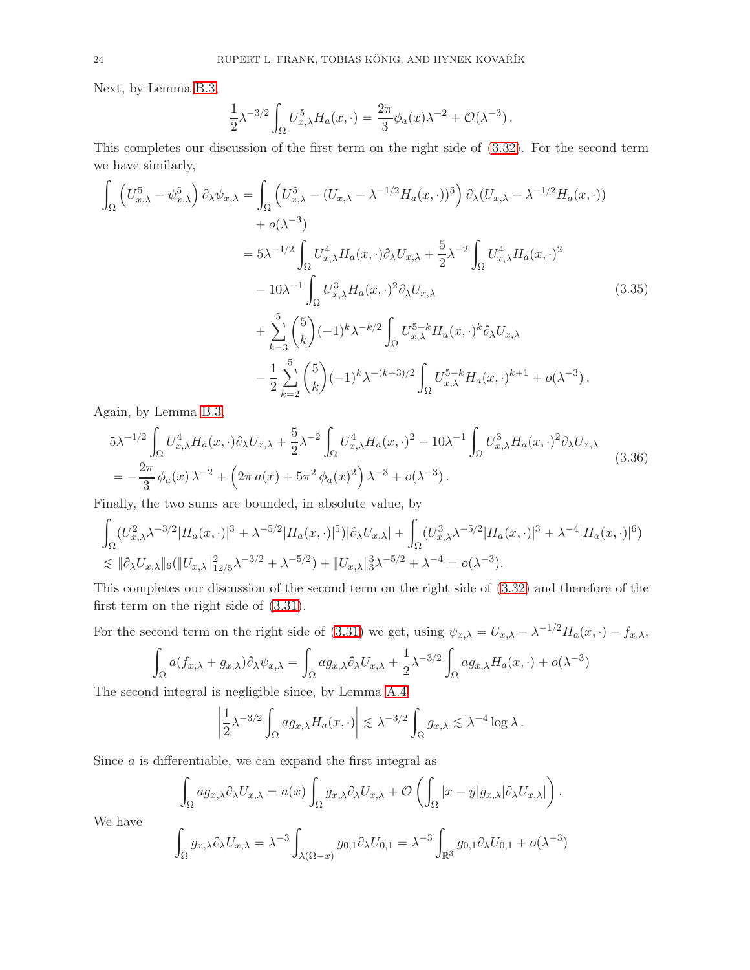Next, by Lemma [B.3,](#page-53-0)

$$
\frac{1}{2}\lambda^{-3/2}\int_{\Omega}U_{x,\lambda}^{5}H_{a}(x,\cdot)=\frac{2\pi}{3}\phi_{a}(x)\lambda^{-2}+\mathcal{O}(\lambda^{-3}).
$$

This completes our discussion of the first term on the right side of [\(3.32\)](#page-22-1). For the second term we have similarly,

$$
\int_{\Omega} \left( U_{x,\lambda}^{5} - \psi_{x,\lambda}^{5} \right) \partial_{\lambda} \psi_{x,\lambda} = \int_{\Omega} \left( U_{x,\lambda}^{5} - (U_{x,\lambda} - \lambda^{-1/2} H_{a}(x, \cdot))^{5} \right) \partial_{\lambda} (U_{x,\lambda} - \lambda^{-1/2} H_{a}(x, \cdot)) \n+ o(\lambda^{-3}) \n= 5\lambda^{-1/2} \int_{\Omega} U_{x,\lambda}^{4} H_{a}(x, \cdot) \partial_{\lambda} U_{x,\lambda} + \frac{5}{2} \lambda^{-2} \int_{\Omega} U_{x,\lambda}^{4} H_{a}(x, \cdot)^{2} \n- 10\lambda^{-1} \int_{\Omega} U_{x,\lambda}^{3} H_{a}(x, \cdot)^{2} \partial_{\lambda} U_{x,\lambda} \n+ \sum_{k=3}^{5} {5 \choose k} (-1)^{k} \lambda^{-k/2} \int_{\Omega} U_{x,\lambda}^{5-k} H_{a}(x, \cdot)^{k} \partial_{\lambda} U_{x,\lambda} \n- \frac{1}{2} \sum_{k=2}^{5} {5 \choose k} (-1)^{k} \lambda^{-(k+3)/2} \int_{\Omega} U_{x,\lambda}^{5-k} H_{a}(x, \cdot)^{k+1} + o(\lambda^{-3}).
$$
\n(3.35)

Again, by Lemma [B.3,](#page-53-0)

$$
5\lambda^{-1/2} \int_{\Omega} U_{x,\lambda}^4 H_a(x,\cdot) \partial_{\lambda} U_{x,\lambda} + \frac{5}{2} \lambda^{-2} \int_{\Omega} U_{x,\lambda}^4 H_a(x,\cdot)^2 - 10\lambda^{-1} \int_{\Omega} U_{x,\lambda}^3 H_a(x,\cdot)^2 \partial_{\lambda} U_{x,\lambda}
$$
  
= 
$$
-\frac{2\pi}{3} \phi_a(x) \lambda^{-2} + \left(2\pi a(x) + 5\pi^2 \phi_a(x)^2\right) \lambda^{-3} + o(\lambda^{-3}).
$$
 (3.36)

Finally, the two sums are bounded, in absolute value, by

$$
\int_{\Omega} (U_{x,\lambda}^2 \lambda^{-3/2} |H_a(x, \cdot)|^3 + \lambda^{-5/2} |H_a(x, \cdot)|^5) |\partial_{\lambda} U_{x,\lambda}| + \int_{\Omega} (U_{x,\lambda}^3 \lambda^{-5/2} |H_a(x, \cdot)|^3 + \lambda^{-4} |H_a(x, \cdot)|^6) \n\lesssim \|\partial_{\lambda} U_{x,\lambda}\|_{6} (\|U_{x,\lambda}\|_{12/5}^2 \lambda^{-3/2} + \lambda^{-5/2}) + \|U_{x,\lambda}\|_{3}^3 \lambda^{-5/2} + \lambda^{-4} = o(\lambda^{-3}).
$$

This completes our discussion of the second term on the right side of [\(3.32\)](#page-22-1) and therefore of the first term on the right side of [\(3.31\)](#page-22-2).

For the second term on the right side of [\(3.31\)](#page-22-2) we get, using  $\psi_{x,\lambda} = U_{x,\lambda} - \lambda^{-1/2} H_a(x, \cdot) - f_{x,\lambda}$ ,

$$
\int_{\Omega} a(f_{x,\lambda} + g_{x,\lambda}) \partial_{\lambda} \psi_{x,\lambda} = \int_{\Omega} a g_{x,\lambda} \partial_{\lambda} U_{x,\lambda} + \frac{1}{2} \lambda^{-3/2} \int_{\Omega} a g_{x,\lambda} H_a(x,\cdot) + o(\lambda^{-3})
$$

The second integral is negligible since, by Lemma [A.4,](#page-50-3)

$$
\left|\frac{1}{2}\lambda^{-3/2}\int_{\Omega}ag_{x,\lambda}H_a(x,\cdot)\right|\lesssim \lambda^{-3/2}\int_{\Omega}g_{x,\lambda}\lesssim \lambda^{-4}\log\lambda.
$$

Since  $a$  is differentiable, we can expand the first integral as

$$
\int_{\Omega} ag_{x,\lambda} \partial_{\lambda} U_{x,\lambda} = a(x) \int_{\Omega} g_{x,\lambda} \partial_{\lambda} U_{x,\lambda} + \mathcal{O}\left(\int_{\Omega} |x-y| g_{x,\lambda} | \partial_{\lambda} U_{x,\lambda}| \right).
$$

We have

$$
\int_{\Omega} g_{x,\lambda} \partial_{\lambda} U_{x,\lambda} = \lambda^{-3} \int_{\lambda(\Omega - x)} g_{0,1} \partial_{\lambda} U_{0,1} = \lambda^{-3} \int_{\mathbb{R}^3} g_{0,1} \partial_{\lambda} U_{0,1} + o(\lambda^{-3})
$$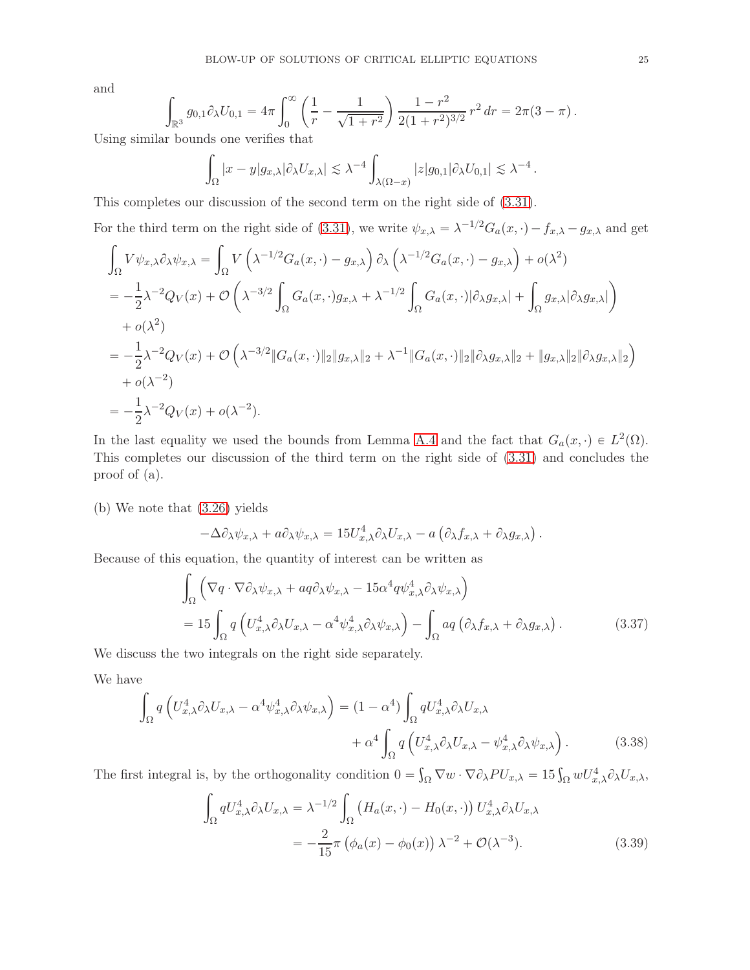and

$$
\int_{\mathbb{R}^3} g_{0,1} \partial_{\lambda} U_{0,1} = 4\pi \int_0^{\infty} \left( \frac{1}{r} - \frac{1}{\sqrt{1+r^2}} \right) \frac{1-r^2}{2(1+r^2)^{3/2}} r^2 dr = 2\pi (3-\pi).
$$

Using similar bounds one verifies that

$$
\int_{\Omega} |x - y| g_{x,\lambda} | \partial_{\lambda} U_{x,\lambda} | \leq \lambda^{-4} \int_{\lambda(\Omega - x)} |z| g_{0,1} | \partial_{\lambda} U_{0,1} | \leq \lambda^{-4}.
$$

This completes our discussion of the second term on the right side of [\(3.31\)](#page-22-2).

For the third term on the right side of [\(3.31\)](#page-22-2), we write  $\psi_{x,\lambda} = \lambda^{-1/2} G_a(x, \cdot) - f_{x,\lambda} - g_{x,\lambda}$  and get

$$
\int_{\Omega} V \psi_{x,\lambda} \partial_{\lambda} \psi_{x,\lambda} = \int_{\Omega} V \left( \lambda^{-1/2} G_a(x, \cdot) - g_{x,\lambda} \right) \partial_{\lambda} \left( \lambda^{-1/2} G_a(x, \cdot) - g_{x,\lambda} \right) + o(\lambda^2)
$$
\n
$$
= -\frac{1}{2} \lambda^{-2} Q_V(x) + \mathcal{O} \left( \lambda^{-3/2} \int_{\Omega} G_a(x, \cdot) g_{x,\lambda} + \lambda^{-1/2} \int_{\Omega} G_a(x, \cdot) \left| \partial_{\lambda} g_{x,\lambda} \right| + \int_{\Omega} g_{x,\lambda} \left| \partial_{\lambda} g_{x,\lambda} \right| \right)
$$
\n
$$
+ o(\lambda^2)
$$
\n
$$
= -\frac{1}{2} \lambda^{-2} Q_V(x) + \mathcal{O} \left( \lambda^{-3/2} \| G_a(x, \cdot) \|_2 \| g_{x,\lambda} \|_2 + \lambda^{-1} \| G_a(x, \cdot) \|_2 \| \partial_{\lambda} g_{x,\lambda} \|_2 + \| g_{x,\lambda} \|_2 \| \partial_{\lambda} g_{x,\lambda} \|_2 \right)
$$
\n
$$
+ o(\lambda^{-2})
$$
\n
$$
= -\frac{1}{2} \lambda^{-2} Q_V(x) + o(\lambda^{-2}).
$$

In the last equality we used the bounds from Lemma [A.4](#page-50-3) and the fact that  $G_a(x, \cdot) \in L^2(\Omega)$ . This completes our discussion of the third term on the right side of [\(3.31\)](#page-22-2) and concludes the proof of (a).

(b) We note that [\(3.26\)](#page-20-2) yields

<span id="page-24-1"></span>
$$
-\Delta \partial_{\lambda} \psi_{x,\lambda} + a \partial_{\lambda} \psi_{x,\lambda} = 15 U_{x,\lambda}^4 \partial_{\lambda} U_{x,\lambda} - a \left( \partial_{\lambda} f_{x,\lambda} + \partial_{\lambda} g_{x,\lambda} \right).
$$

Because of this equation, the quantity of interest can be written as

$$
\int_{\Omega} \left( \nabla q \cdot \nabla \partial_{\lambda} \psi_{x,\lambda} + a q \partial_{\lambda} \psi_{x,\lambda} - 15 \alpha^4 q \psi_{x,\lambda}^4 \partial_{\lambda} \psi_{x,\lambda} \right)
$$
\n
$$
= 15 \int_{\Omega} q \left( U_{x,\lambda}^4 \partial_{\lambda} U_{x,\lambda} - \alpha^4 \psi_{x,\lambda}^4 \partial_{\lambda} \psi_{x,\lambda} \right) - \int_{\Omega} a q \left( \partial_{\lambda} f_{x,\lambda} + \partial_{\lambda} g_{x,\lambda} \right). \tag{3.37}
$$

We discuss the two integrals on the right side separately.

We have

$$
\int_{\Omega} q \left( U_{x,\lambda}^4 \partial_{\lambda} U_{x,\lambda} - \alpha^4 \psi_{x,\lambda}^4 \partial_{\lambda} \psi_{x,\lambda} \right) = (1 - \alpha^4) \int_{\Omega} q U_{x,\lambda}^4 \partial_{\lambda} U_{x,\lambda} \n+ \alpha^4 \int_{\Omega} q \left( U_{x,\lambda}^4 \partial_{\lambda} U_{x,\lambda} - \psi_{x,\lambda}^4 \partial_{\lambda} \psi_{x,\lambda} \right).
$$
\n(3.38)

The first integral is, by the orthogonality condition  $0 = \int_{\Omega} \nabla w \cdot \nabla \partial_{\lambda} PU_{x,\lambda} = 15 \int_{\Omega} w U_{x,\lambda}^4 \partial_{\lambda} U_{x,\lambda}$ ,

<span id="page-24-2"></span><span id="page-24-0"></span>
$$
\int_{\Omega} q U_{x,\lambda}^4 \partial_{\lambda} U_{x,\lambda} = \lambda^{-1/2} \int_{\Omega} \left( H_a(x, \cdot) - H_0(x, \cdot) \right) U_{x,\lambda}^4 \partial_{\lambda} U_{x,\lambda}
$$

$$
= -\frac{2}{15} \pi \left( \phi_a(x) - \phi_0(x) \right) \lambda^{-2} + \mathcal{O}(\lambda^{-3}). \tag{3.39}
$$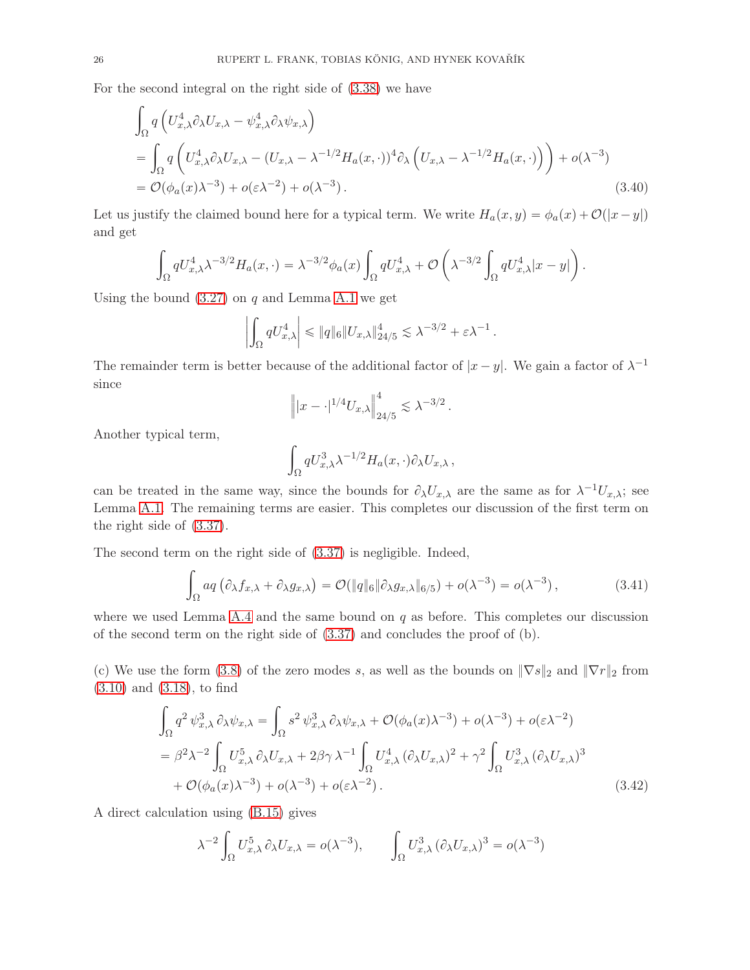For the second integral on the right side of [\(3.38\)](#page-24-0) we have

$$
\int_{\Omega} q \left( U_{x,\lambda}^4 \partial_{\lambda} U_{x,\lambda} - \psi_{x,\lambda}^4 \partial_{\lambda} \psi_{x,\lambda} \right)
$$
\n
$$
= \int_{\Omega} q \left( U_{x,\lambda}^4 \partial_{\lambda} U_{x,\lambda} - (U_{x,\lambda} - \lambda^{-1/2} H_a(x,\cdot))^4 \partial_{\lambda} \left( U_{x,\lambda} - \lambda^{-1/2} H_a(x,\cdot) \right) \right) + o(\lambda^{-3})
$$
\n
$$
= \mathcal{O}(\phi_a(x) \lambda^{-3}) + o(\epsilon \lambda^{-2}) + o(\lambda^{-3}). \tag{3.40}
$$

Let us justify the claimed bound here for a typical term. We write  $H_a(x, y) = \phi_a(x) + \mathcal{O}(|x-y|)$ and get

$$
\int_{\Omega} q U_{x,\lambda}^4 \lambda^{-3/2} H_a(x,\cdot) = \lambda^{-3/2} \phi_a(x) \int_{\Omega} q U_{x,\lambda}^4 + \mathcal{O}\left(\lambda^{-3/2} \int_{\Omega} q U_{x,\lambda}^4 |x-y|\right).
$$

Using the bound  $(3.27)$  on q and Lemma [A.1](#page-49-0) we get

$$
\left| \int_{\Omega} q U_{x,\lambda}^4 \right| \leqslant \| q \|_6 \| U_{x,\lambda} \|_{24/5}^4 \lesssim \lambda^{-3/2} + \varepsilon \lambda^{-1}.
$$

The remainder term is better because of the additional factor of  $|x - y|$ . We gain a factor of  $\lambda^{-1}$ since

<span id="page-25-2"></span>
$$
\left\| |x - \cdot|^{1/4} U_{x,\lambda} \right\|_{24/5}^4 \lesssim \lambda^{-3/2} \, .
$$

Another typical term,

$$
\int_{\Omega} q U_{x,\lambda}^3 \lambda^{-1/2} H_a(x,\cdot) \partial_{\lambda} U_{x,\lambda} ,
$$

can be treated in the same way, since the bounds for  $\partial_{\lambda}U_{x,\lambda}$  are the same as for  $\lambda^{-1}U_{x,\lambda}$ ; see Lemma [A.1.](#page-49-0) The remaining terms are easier. This completes our discussion of the first term on the right side of [\(3.37\)](#page-24-1).

The second term on the right side of [\(3.37\)](#page-24-1) is negligible. Indeed,

<span id="page-25-1"></span>
$$
\int_{\Omega} a q \left( \partial_{\lambda} f_{x,\lambda} + \partial_{\lambda} g_{x,\lambda} \right) = \mathcal{O}(\|q\|_6 \|\partial_{\lambda} g_{x,\lambda}\|_{6/5}) + o(\lambda^{-3}) = o(\lambda^{-3}), \tag{3.41}
$$

where we used Lemma  $A.4$  and the same bound on q as before. This completes our discussion of the second term on the right side of [\(3.37\)](#page-24-1) and concludes the proof of (b).

(c) We use the form [\(3.8\)](#page-15-0) of the zero modes s, as well as the bounds on  $\|\nabla s\|_2$  and  $\|\nabla r\|_2$  from [\(3.10\)](#page-15-2) and [\(3.18\)](#page-17-3), to find

$$
\int_{\Omega} q^2 \psi_{x,\lambda}^3 \partial_{\lambda} \psi_{x,\lambda} = \int_{\Omega} s^2 \psi_{x,\lambda}^3 \partial_{\lambda} \psi_{x,\lambda} + \mathcal{O}(\phi_a(x)\lambda^{-3}) + o(\lambda^{-3}) + o(\epsilon \lambda^{-2})
$$
\n
$$
= \beta^2 \lambda^{-2} \int_{\Omega} U_{x,\lambda}^5 \partial_{\lambda} U_{x,\lambda} + 2\beta \gamma \lambda^{-1} \int_{\Omega} U_{x,\lambda}^4 (\partial_{\lambda} U_{x,\lambda})^2 + \gamma^2 \int_{\Omega} U_{x,\lambda}^3 (\partial_{\lambda} U_{x,\lambda})^3
$$
\n
$$
+ \mathcal{O}(\phi_a(x)\lambda^{-3}) + o(\lambda^{-3}) + o(\epsilon \lambda^{-2}). \tag{3.42}
$$

A direct calculation using [\(B.15\)](#page-53-1) gives

<span id="page-25-0"></span>
$$
\lambda^{-2} \int_{\Omega} U_{x,\lambda}^5 \partial_{\lambda} U_{x,\lambda} = o(\lambda^{-3}), \qquad \int_{\Omega} U_{x,\lambda}^3 (\partial_{\lambda} U_{x,\lambda})^3 = o(\lambda^{-3})
$$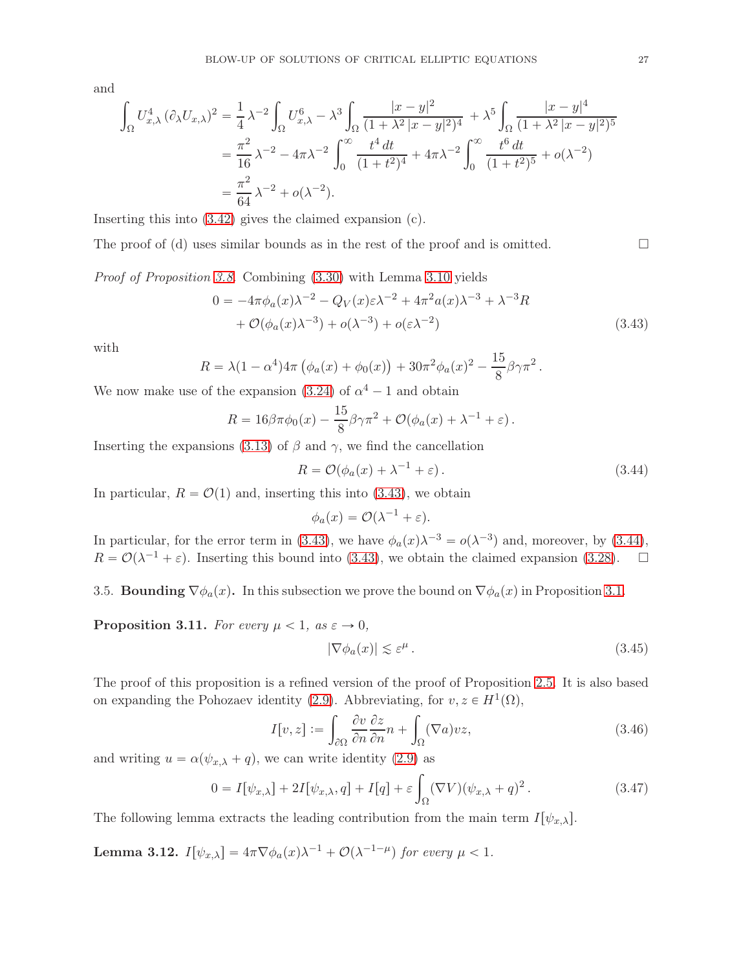and

$$
\int_{\Omega} U_{x,\lambda}^4 (\partial_{\lambda} U_{x,\lambda})^2 = \frac{1}{4} \lambda^{-2} \int_{\Omega} U_{x,\lambda}^6 - \lambda^3 \int_{\Omega} \frac{|x-y|^2}{(1+\lambda^2|x-y|^2)^4} + \lambda^5 \int_{\Omega} \frac{|x-y|^4}{(1+\lambda^2|x-y|^2)^5}
$$
  
=  $\frac{\pi^2}{16} \lambda^{-2} - 4\pi \lambda^{-2} \int_{0}^{\infty} \frac{t^4 dt}{(1+t^2)^4} + 4\pi \lambda^{-2} \int_{0}^{\infty} \frac{t^6 dt}{(1+t^2)^5} + o(\lambda^{-2})$   
=  $\frac{\pi^2}{64} \lambda^{-2} + o(\lambda^{-2}).$ 

Inserting this into [\(3.42\)](#page-25-0) gives the claimed expansion (c).

The proof of (d) uses similar bounds as in the rest of the proof and is omitted.  $\Box$ 

Proof of Proposition [3.8.](#page-21-2) Combining [\(3.30\)](#page-21-3) with Lemma [3.10](#page-22-0) yields

$$
0 = -4\pi\phi_a(x)\lambda^{-2} - Q_V(x)\varepsilon\lambda^{-2} + 4\pi^2 a(x)\lambda^{-3} + \lambda^{-3}R
$$
  
+ 
$$
\mathcal{O}(\phi_a(x)\lambda^{-3}) + o(\lambda^{-3}) + o(\varepsilon\lambda^{-2})
$$
 (3.43)

with

$$
R = \lambda (1 - \alpha^4) 4\pi \left( \phi_a(x) + \phi_0(x) \right) + 30\pi^2 \phi_a(x)^2 - \frac{15}{8} \beta \gamma \pi^2.
$$

We now make use of the expansion [\(3.24\)](#page-19-0) of  $\alpha^4 - 1$  and obtain

$$
R = 16\beta\pi\phi_0(x) - \frac{15}{8}\beta\gamma\pi^2 + \mathcal{O}(\phi_a(x) + \lambda^{-1} + \varepsilon).
$$

Inserting the expansions [\(3.13\)](#page-16-2) of  $\beta$  and  $\gamma$ , we find the cancellation

<span id="page-26-0"></span>
$$
R = \mathcal{O}(\phi_a(x) + \lambda^{-1} + \varepsilon). \tag{3.44}
$$

In particular,  $R = \mathcal{O}(1)$  and, inserting this into [\(3.43\)](#page-26-0), we obtain

<span id="page-26-1"></span>
$$
\phi_a(x) = \mathcal{O}(\lambda^{-1} + \varepsilon).
$$

In particular, for the error term in [\(3.43\)](#page-26-0), we have  $\phi_a(x)\lambda^{-3} = o(\lambda^{-3})$  and, moreover, by [\(3.44\)](#page-26-1),  $R = \mathcal{O}(\lambda^{-1} + \varepsilon)$ . Inserting this bound into [\(3.43\)](#page-26-0), we obtain the claimed expansion [\(3.28\)](#page-21-1).  $\Box$ 

3.5. **Bounding**  $\nabla \phi_a(x)$ . In this subsection we prove the bound on  $\nabla \phi_a(x)$  in Proposition [3.1.](#page-14-3)

<span id="page-26-2"></span>**Proposition 3.11.** For every  $\mu < 1$ , as  $\varepsilon \to 0$ ,

<span id="page-26-5"></span>
$$
|\nabla \phi_a(x)| \lesssim \varepsilon^{\mu} \,. \tag{3.45}
$$

The proof of this proposition is a refined version of the proof of Proposition [2.5.](#page-11-2) It is also based on expanding the Pohozaev identity [\(2.9\)](#page-11-5). Abbreviating, for  $v, z \in H^1(\Omega)$ ,

<span id="page-26-6"></span>
$$
I[v,z] := \int_{\partial\Omega} \frac{\partial v}{\partial n} \frac{\partial z}{\partial n} n + \int_{\Omega} (\nabla a) v z,
$$
\n(3.46)

and writing  $u = \alpha(\psi_{x,\lambda} + q)$ , we can write identity [\(2.9\)](#page-11-5) as

<span id="page-26-4"></span>
$$
0 = I[\psi_{x,\lambda}] + 2I[\psi_{x,\lambda}, q] + I[q] + \varepsilon \int_{\Omega} (\nabla V)(\psi_{x,\lambda} + q)^2.
$$
 (3.47)

The following lemma extracts the leading contribution from the main term  $I[\psi_{x,\lambda}].$ 

<span id="page-26-3"></span>**Lemma 3.12.**  $I[\psi_{x,\lambda}] = 4\pi \nabla \phi_a(x) \lambda^{-1} + \mathcal{O}(\lambda^{-1-\mu})$  for every  $\mu < 1$ .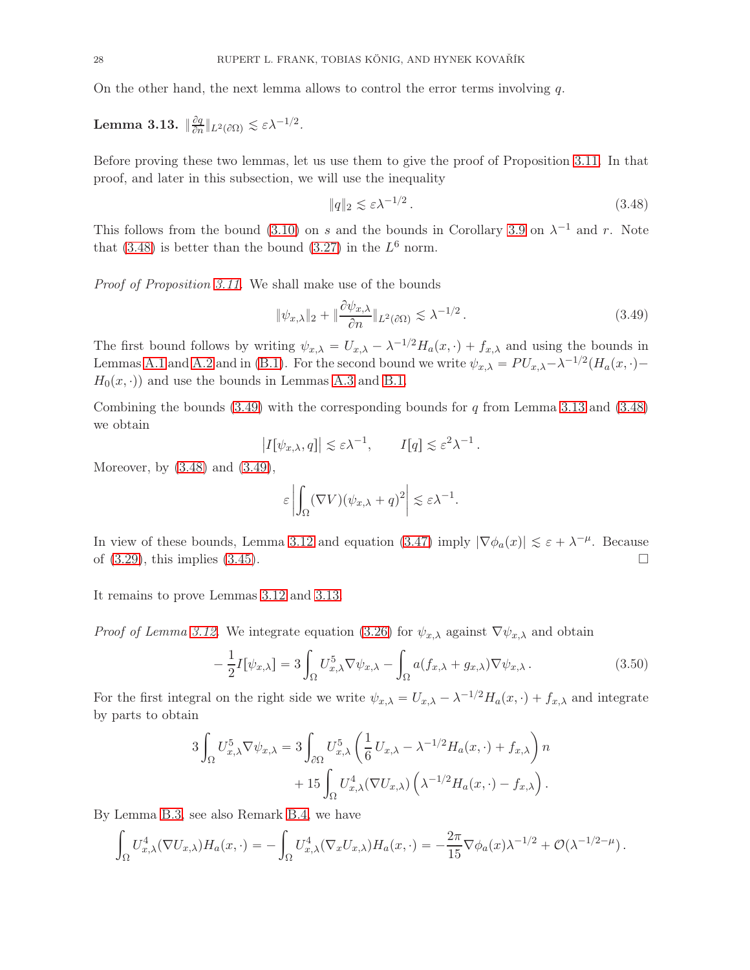On the other hand, the next lemma allows to control the error terms involving  $q$ .

<span id="page-27-2"></span>Lemma 3.13.  $\Vert \frac{\partial q}{\partial n}$  $\frac{\partial q}{\partial n}$ || $L^2(\partial\Omega) \lesssim \varepsilon \lambda^{-1/2}$ .

Before proving these two lemmas, let us use them to give the proof of Proposition [3.11.](#page-26-2) In that proof, and later in this subsection, we will use the inequality

<span id="page-27-0"></span>
$$
\|q\|_2 \lesssim \varepsilon \lambda^{-1/2} \,. \tag{3.48}
$$

This follows from the bound [\(3.10\)](#page-15-2) on s and the bounds in Corollary [3.9](#page-21-4) on  $\lambda^{-1}$  and r. Note that [\(3.48\)](#page-27-0) is better than the bound [\(3.27\)](#page-20-0) in the  $L^6$  norm.

Proof of Proposition [3.11.](#page-26-2) We shall make use of the bounds

<span id="page-27-1"></span>
$$
\|\psi_{x,\lambda}\|_2 + \|\frac{\partial \psi_{x,\lambda}}{\partial n}\|_{L^2(\partial \Omega)} \lesssim \lambda^{-1/2} \,. \tag{3.49}
$$

The first bound follows by writing  $\psi_{x,\lambda} = U_{x,\lambda} - \lambda^{-1/2} H_a(x, \cdot) + f_{x,\lambda}$  and using the bounds in Lemmas [A.1](#page-49-0) and [A.2](#page-50-0) and in [\(B.1\)](#page-51-0). For the second bound we write  $\psi_{x,\lambda} = PU_{x,\lambda} - \lambda^{-1/2} (H_a(x, \cdot) H_0(x, \cdot)$  and use the bounds in Lemmas [A.3](#page-50-1) and [B.1.](#page-51-1)

Combining the bounds [\(3.49\)](#page-27-1) with the corresponding bounds for q from Lemma [3.13](#page-27-2) and [\(3.48\)](#page-27-0) we obtain

$$
|I[\psi_{x,\lambda}, q]| \lesssim \varepsilon \lambda^{-1}, \qquad I[q] \lesssim \varepsilon^2 \lambda^{-1}.
$$

Moreover, by [\(3.48\)](#page-27-0) and [\(3.49\)](#page-27-1),

$$
\varepsilon \left| \int_{\Omega} (\nabla V) (\psi_{x,\lambda} + q)^2 \right| \lesssim \varepsilon \lambda^{-1}.
$$

In view of these bounds, Lemma [3.12](#page-26-3) and equation [\(3.47\)](#page-26-4) imply  $|\nabla \phi_a(x)| \leq \varepsilon + \lambda^{-\mu}$ . Because of  $(3.29)$ , this implies  $(3.45)$ .

It remains to prove Lemmas [3.12](#page-26-3) and [3.13.](#page-27-2)

*Proof of Lemma [3.12.](#page-26-3)* We integrate equation [\(3.26\)](#page-20-2) for  $\psi_{x,\lambda}$  against  $\nabla \psi_{x,\lambda}$  and obtain

<span id="page-27-3"></span>
$$
-\frac{1}{2}I[\psi_{x,\lambda}] = 3\int_{\Omega} U_{x,\lambda}^5 \nabla \psi_{x,\lambda} - \int_{\Omega} a(f_{x,\lambda} + g_{x,\lambda}) \nabla \psi_{x,\lambda}.
$$
 (3.50)

For the first integral on the right side we write  $\psi_{x,\lambda} = U_{x,\lambda} - \lambda^{-1/2} H_a(x, \cdot) + f_{x,\lambda}$  and integrate by parts to obtain

$$
3\int_{\Omega} U_{x,\lambda}^5 \nabla \psi_{x,\lambda} = 3\int_{\partial \Omega} U_{x,\lambda}^5 \left(\frac{1}{6} U_{x,\lambda} - \lambda^{-1/2} H_a(x,\cdot) + f_{x,\lambda}\right) n + 15\int_{\Omega} U_{x,\lambda}^4 (\nabla U_{x,\lambda}) \left(\lambda^{-1/2} H_a(x,\cdot) - f_{x,\lambda}\right).
$$

By Lemma [B.3,](#page-53-0) see also Remark [B.4,](#page-54-0) we have

$$
\int_{\Omega} U_{x,\lambda}^4 (\nabla U_{x,\lambda}) H_a(x,\cdot) = -\int_{\Omega} U_{x,\lambda}^4 (\nabla_x U_{x,\lambda}) H_a(x,\cdot) = -\frac{2\pi}{15} \nabla \phi_a(x) \lambda^{-1/2} + \mathcal{O}(\lambda^{-1/2-\mu}).
$$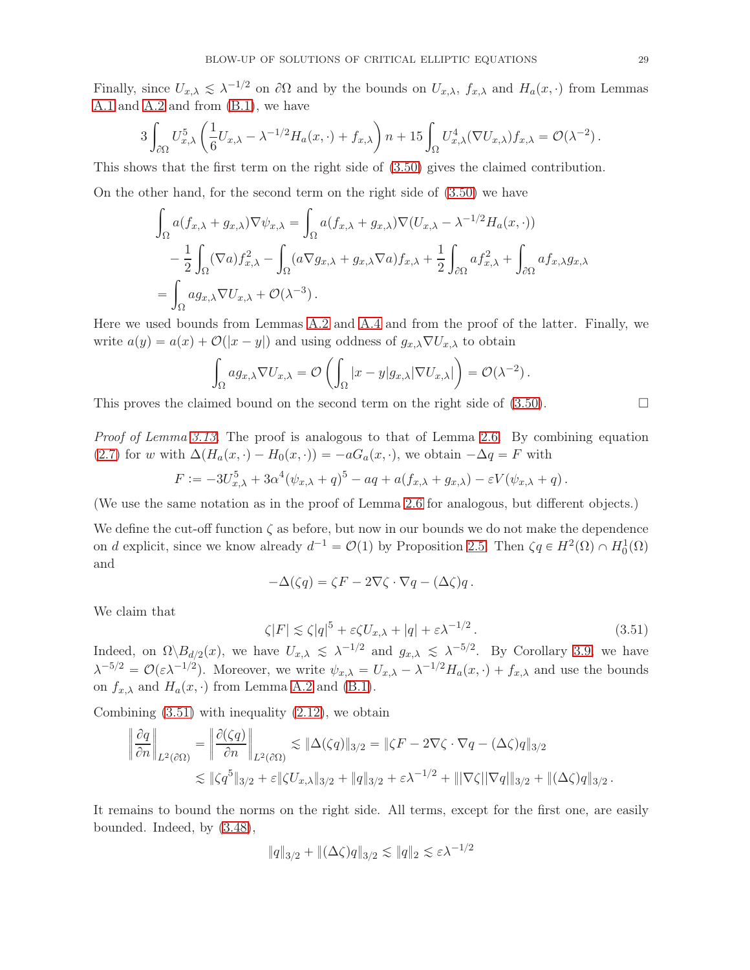Finally, since  $U_{x,\lambda} \leq \lambda^{-1/2}$  on  $\partial\Omega$  and by the bounds on  $U_{x,\lambda}$ ,  $f_{x,\lambda}$  and  $H_a(x, \cdot)$  from Lemmas [A.1](#page-49-0) and [A.2](#page-50-0) and from [\(B.1\)](#page-51-0), we have

$$
3\int_{\partial\Omega}U_{x,\lambda}^5\left(\frac{1}{6}U_{x,\lambda}-\lambda^{-1/2}H_a(x,\cdot)+f_{x,\lambda}\right)n+15\int_{\Omega}U_{x,\lambda}^4(\nabla U_{x,\lambda})f_{x,\lambda}=\mathcal{O}(\lambda^{-2}).
$$

This shows that the first term on the right side of [\(3.50\)](#page-27-3) gives the claimed contribution.

On the other hand, for the second term on the right side of [\(3.50\)](#page-27-3) we have

$$
\int_{\Omega} a(f_{x,\lambda} + g_{x,\lambda}) \nabla \psi_{x,\lambda} = \int_{\Omega} a(f_{x,\lambda} + g_{x,\lambda}) \nabla (U_{x,\lambda} - \lambda^{-1/2} H_a(x, \cdot))
$$
  
\n
$$
- \frac{1}{2} \int_{\Omega} (\nabla a) f_{x,\lambda}^2 - \int_{\Omega} (a \nabla g_{x,\lambda} + g_{x,\lambda} \nabla a) f_{x,\lambda} + \frac{1}{2} \int_{\partial \Omega} a f_{x,\lambda}^2 + \int_{\partial \Omega} a f_{x,\lambda} g_{x,\lambda}
$$
  
\n
$$
= \int_{\Omega} a g_{x,\lambda} \nabla U_{x,\lambda} + \mathcal{O}(\lambda^{-3}).
$$

Here we used bounds from Lemmas [A.2](#page-50-0) and [A.4](#page-50-3) and from the proof of the latter. Finally, we write  $a(y) = a(x) + \mathcal{O}(|x - y|)$  and using oddness of  $g_{x,\lambda} \nabla U_{x,\lambda}$  to obtain

$$
\int_{\Omega} ag_{x,\lambda} \nabla U_{x,\lambda} = \mathcal{O}\left(\int_{\Omega} |x - y| g_{x,\lambda} | \nabla U_{x,\lambda}|\right) = \mathcal{O}(\lambda^{-2}).
$$

This proves the claimed bound on the second term on the right side of  $(3.50)$ .

Proof of Lemma [3.13.](#page-27-2) The proof is analogous to that of Lemma [2.6.](#page-11-1) By combining equation [\(2.7\)](#page-10-4) for w with  $\Delta(H_a(x, \cdot) - H_0(x, \cdot)) = -aG_a(x, \cdot)$ , we obtain  $-\Delta q = F$  with

$$
F := -3U_{x,\lambda}^5 + 3\alpha^4(\psi_{x,\lambda} + q)^5 - aq + a(f_{x,\lambda} + g_{x,\lambda}) - \varepsilon V(\psi_{x,\lambda} + q).
$$

(We use the same notation as in the proof of Lemma [2.6](#page-11-1) for analogous, but different objects.)

We define the cut-off function  $\zeta$  as before, but now in our bounds we do not make the dependence on d explicit, since we know already  $d^{-1} = \mathcal{O}(1)$  by Proposition [2.5.](#page-11-2) Then  $\zeta q \in H^2(\Omega) \cap H_0^1(\Omega)$ and

$$
-\Delta(\zeta q)=\zeta F-2\nabla\zeta\cdot\nabla q-(\Delta\zeta)q\,.
$$

We claim that

<span id="page-28-0"></span>
$$
\zeta |F| \lesssim \zeta |q|^5 + \varepsilon \zeta U_{x,\lambda} + |q| + \varepsilon \lambda^{-1/2} \,. \tag{3.51}
$$

Indeed, on  $\Omega \backslash B_{d/2}(x)$ , we have  $U_{x,\lambda} \leq \lambda^{-1/2}$  and  $g_{x,\lambda} \leq \lambda^{-5/2}$ . By Corollary [3.9,](#page-21-4) we have  $\lambda^{-5/2} = \mathcal{O}(\varepsilon \lambda^{-1/2})$ . Moreover, we write  $\psi_{x,\lambda} = U_{x,\lambda} - \lambda^{-1/2} H_a(x,\cdot) + f_{x,\lambda}$  and use the bounds on  $f_{x,\lambda}$  and  $H_a(x, \cdot)$  from Lemma [A.2](#page-50-0) and [\(B.1\)](#page-51-0).

Combining  $(3.51)$  with inequality  $(2.12)$ , we obtain

$$
\left\| \frac{\partial q}{\partial n} \right\|_{L^2(\partial \Omega)} = \left\| \frac{\partial (\zeta q)}{\partial n} \right\|_{L^2(\partial \Omega)} \lesssim \|\Delta(\zeta q)\|_{3/2} = \|\zeta F - 2\nabla \zeta \cdot \nabla q - (\Delta \zeta) q\|_{3/2}
$$
  

$$
\lesssim \|\zeta q^5\|_{3/2} + \varepsilon \|\zeta U_{x,\lambda}\|_{3/2} + \|q\|_{3/2} + \varepsilon \lambda^{-1/2} + \|\nabla \zeta| \|\nabla q\|_{3/2} + \|(\Delta \zeta) q\|_{3/2}.
$$

It remains to bound the norms on the right side. All terms, except for the first one, are easily bounded. Indeed, by [\(3.48\)](#page-27-0),

$$
||q||_{3/2} + ||(\Delta \zeta)q||_{3/2} \lesssim ||q||_2 \lesssim \varepsilon \lambda^{-1/2}
$$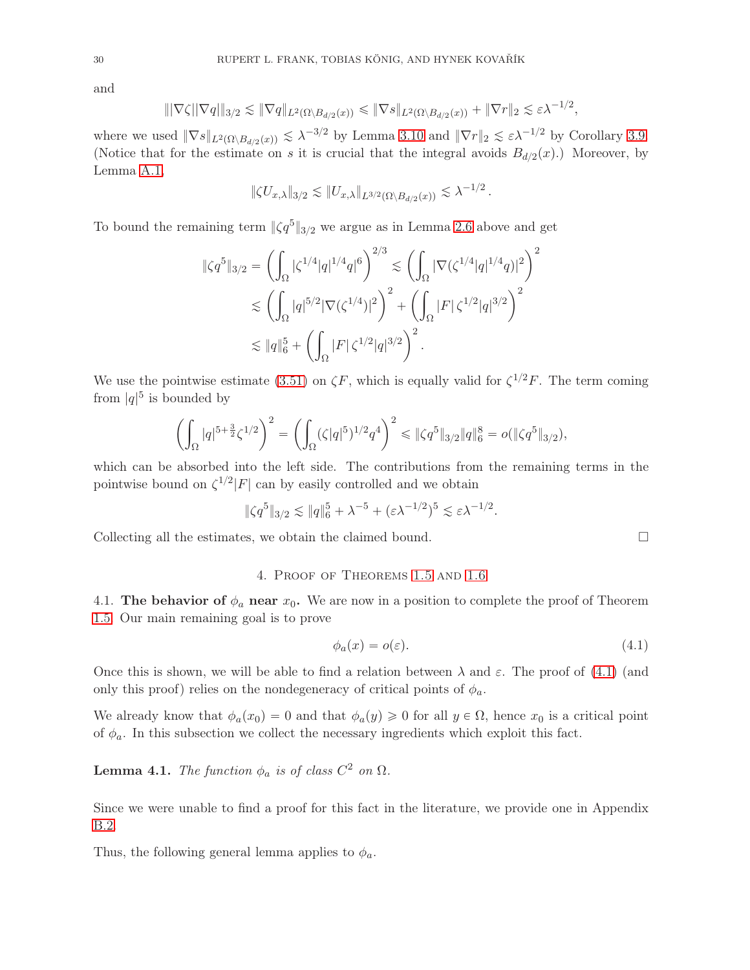and

$$
\|\nabla\zeta\|\nabla q\|_{3/2}\lesssim \|\nabla q\|_{L^2(\Omega\setminus B_{d/2}(x))}\le \|\nabla s\|_{L^2(\Omega\setminus B_{d/2}(x))}+\|\nabla r\|_2\lesssim \varepsilon\lambda^{-1/2},
$$

where we used  $\|\nabla s\|_{L^2(\Omega \setminus B_{d/2}(x))} \lesssim \lambda^{-3/2}$  by Lemma [3.10](#page-15-2) and  $\|\nabla r\|_2 \lesssim \varepsilon \lambda^{-1/2}$  by Corollary [3.9.](#page-21-4) (Notice that for the estimate on s it is crucial that the integral avoids  $B_{d/2}(x)$ .) Moreover, by Lemma [A.1,](#page-49-0)

$$
\|\zeta U_{x,\lambda}\|_{3/2} \lesssim \|U_{x,\lambda}\|_{L^{3/2}(\Omega \setminus B_{d/2}(x))} \lesssim \lambda^{-1/2}.
$$

To bound the remaining term  $\|\zeta q^5\|_{3/2}$  we argue as in Lemma [2.6](#page-11-1) above and get

$$
\|\zeta q^5\|_{3/2} = \left(\int_{\Omega} |\zeta^{1/4}|q|^{1/4}q|^6\right)^{2/3} \lesssim \left(\int_{\Omega} |\nabla(\zeta^{1/4}|q|^{1/4}q)|^2\right)^2
$$
  

$$
\lesssim \left(\int_{\Omega} |q|^{5/2} |\nabla(\zeta^{1/4})|^2\right)^2 + \left(\int_{\Omega} |F| \zeta^{1/2} |q|^{3/2}\right)^2
$$
  

$$
\lesssim \|q\|_6^5 + \left(\int_{\Omega} |F| \zeta^{1/2} |q|^{3/2}\right)^2.
$$

We use the pointwise estimate [\(3.51\)](#page-28-0) on  $\zeta F$ , which is equally valid for  $\zeta^{1/2}F$ . The term coming from  $|q|^5$  is bounded by

$$
\left(\int_{\Omega} |q|^{5+\frac{3}{2}} \zeta^{1/2}\right)^2 = \left(\int_{\Omega} (\zeta|q|^5)^{1/2} q^4\right)^2 \leq \|\zeta q^5\|_{3/2} \|q\|_6^8 = o(\|\zeta q^5\|_{3/2}),
$$

which can be absorbed into the left side. The contributions from the remaining terms in the pointwise bound on  $\zeta^{1/2} |F|$  can by easily controlled and we obtain

$$
\|\zeta q^5\|_{3/2} \lesssim \|q\|_6^5 + \lambda^{-5} + (\varepsilon \lambda^{-1/2})^5 \lesssim \varepsilon \lambda^{-1/2}.
$$

<span id="page-29-1"></span>Collecting all the estimates, we obtain the claimed bound.

#### 4. Proof of Theorems [1.5](#page-4-0) and [1.6](#page-5-1)

4.1. The behavior of  $\phi_a$  near  $x_0$ . We are now in a position to complete the proof of Theorem [1.5.](#page-4-0) Our main remaining goal is to prove

<span id="page-29-2"></span>
$$
\phi_a(x) = o(\varepsilon). \tag{4.1}
$$

Once this is shown, we will be able to find a relation between  $\lambda$  and  $\varepsilon$ . The proof of [\(4.1\)](#page-29-2) (and only this proof) relies on the nondegeneracy of critical points of  $\phi_a$ .

We already know that  $\phi_a(x_0) = 0$  and that  $\phi_a(y) \geq 0$  for all  $y \in \Omega$ , hence  $x_0$  is a critical point of  $\phi_a$ . In this subsection we collect the necessary ingredients which exploit this fact.

<span id="page-29-0"></span>**Lemma 4.1.** The function  $\phi_a$  is of class  $C^2$  on  $\Omega$ .

Since we were unable to find a proof for this fact in the literature, we provide one in Appendix [B.2.](#page-54-1)

Thus, the following general lemma applies to  $\phi_a$ .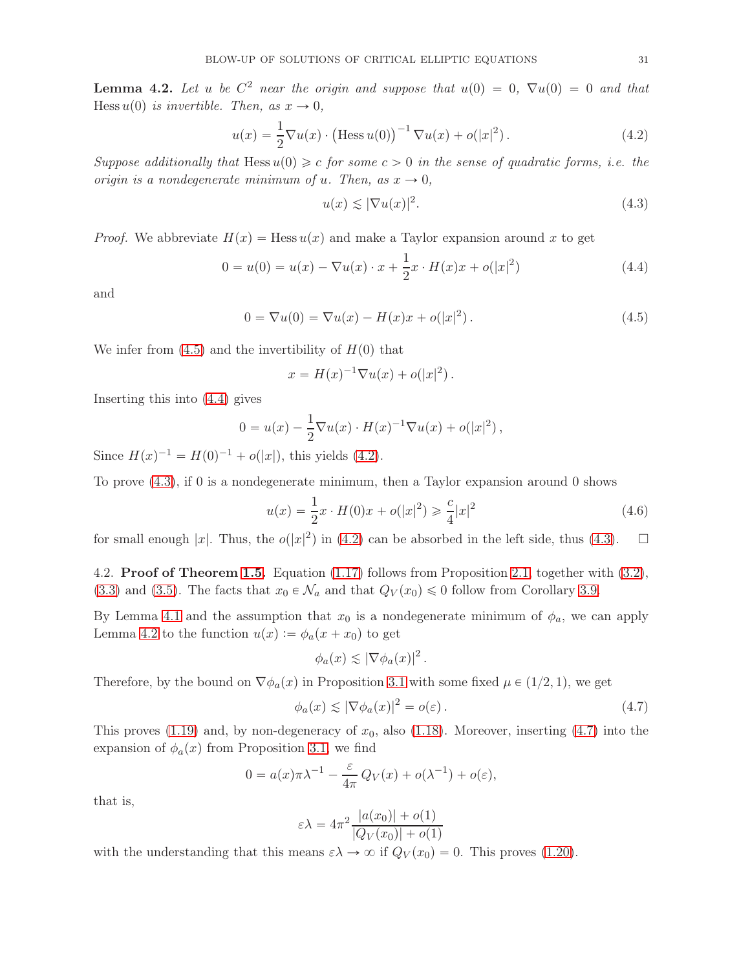<span id="page-30-4"></span>**Lemma 4.2.** Let u be  $C^2$  near the origin and suppose that  $u(0) = 0$ ,  $\nabla u(0) = 0$  and that Hess  $u(0)$  is invertible. Then, as  $x \to 0$ ,

<span id="page-30-2"></span>
$$
u(x) = \frac{1}{2} \nabla u(x) \cdot \left( \text{Hess } u(0) \right)^{-1} \nabla u(x) + o(|x|^2). \tag{4.2}
$$

Suppose additionally that Hess  $u(0) \geq c$  for some  $c > 0$  in the sense of quadratic forms, i.e. the origin is a nondegenerate minimum of u. Then, as  $x \to 0$ ,

<span id="page-30-3"></span>
$$
u(x) \lesssim |\nabla u(x)|^2. \tag{4.3}
$$

*Proof.* We abbreviate  $H(x) = \text{Hess } u(x)$  and make a Taylor expansion around x to get

<span id="page-30-1"></span>
$$
0 = u(0) = u(x) - \nabla u(x) \cdot x + \frac{1}{2}x \cdot H(x)x + o(|x|^2)
$$
\n(4.4)

and

<span id="page-30-0"></span>
$$
0 = \nabla u(0) = \nabla u(x) - H(x)x + o(|x|^2).
$$
 (4.5)

We infer from  $(4.5)$  and the invertibility of  $H(0)$  that

$$
x = H(x)^{-1} \nabla u(x) + o(|x|^2).
$$

Inserting this into [\(4.4\)](#page-30-1) gives

$$
0 = u(x) - \frac{1}{2} \nabla u(x) \cdot H(x)^{-1} \nabla u(x) + o(|x|^2) ,
$$

Since  $H(x)^{-1} = H(0)^{-1} + o(|x|)$ , this yields [\(4.2\)](#page-30-2).

To prove [\(4.3\)](#page-30-3), if 0 is a nondegenerate minimum, then a Taylor expansion around 0 shows

$$
u(x) = \frac{1}{2}x \cdot H(0)x + o(|x|^2) \ge \frac{c}{4}|x|^2 \tag{4.6}
$$

for small enough |x|. Thus, the  $o(|x|^2)$  in [\(4.2\)](#page-30-2) can be absorbed in the left side, thus [\(4.3\)](#page-30-3).  $\Box$ 

4.2. Proof of Theorem [1.5.](#page-4-0) Equation [\(1.17\)](#page-4-1) follows from Proposition [2.1,](#page-7-1) together with [\(3.2\)](#page-14-5), [\(3.3\)](#page-14-6) and [\(3.5\)](#page-14-4). The facts that  $x_0 \in \mathcal{N}_a$  and that  $Q_V(x_0) \leq 0$  follow from Corollary [3.9.](#page-21-4)

By Lemma [4.1](#page-29-0) and the assumption that  $x_0$  is a nondegenerate minimum of  $\phi_a$ , we can apply Lemma [4.2](#page-30-4) to the function  $u(x) := \phi_a(x + x_0)$  to get

$$
\phi_a(x) \lesssim |\nabla \phi_a(x)|^2.
$$

Therefore, by the bound on  $\nabla \phi_a(x)$  in Proposition [3.1](#page-14-3) with some fixed  $\mu \in (1/2, 1)$ , we get

<span id="page-30-5"></span>
$$
\phi_a(x) \lesssim |\nabla \phi_a(x)|^2 = o(\varepsilon). \tag{4.7}
$$

This proves [\(1.19\)](#page-5-2) and, by non-degeneracy of  $x_0$ , also [\(1.18\)](#page-5-3). Moreover, inserting [\(4.7\)](#page-30-5) into the expansion of  $\phi_a(x)$  from Proposition [3.1,](#page-14-3) we find

$$
0 = a(x)\pi\lambda^{-1} - \frac{\varepsilon}{4\pi}Q_V(x) + o(\lambda^{-1}) + o(\varepsilon),
$$

that is,

$$
\varepsilon \lambda = 4\pi^2 \frac{|a(x_0)| + o(1)}{|Q_V(x_0)| + o(1)}
$$

with the understanding that this means  $\varepsilon \lambda \to \infty$  if  $Q_V(x_0) = 0$ . This proves [\(1.20\)](#page-5-0).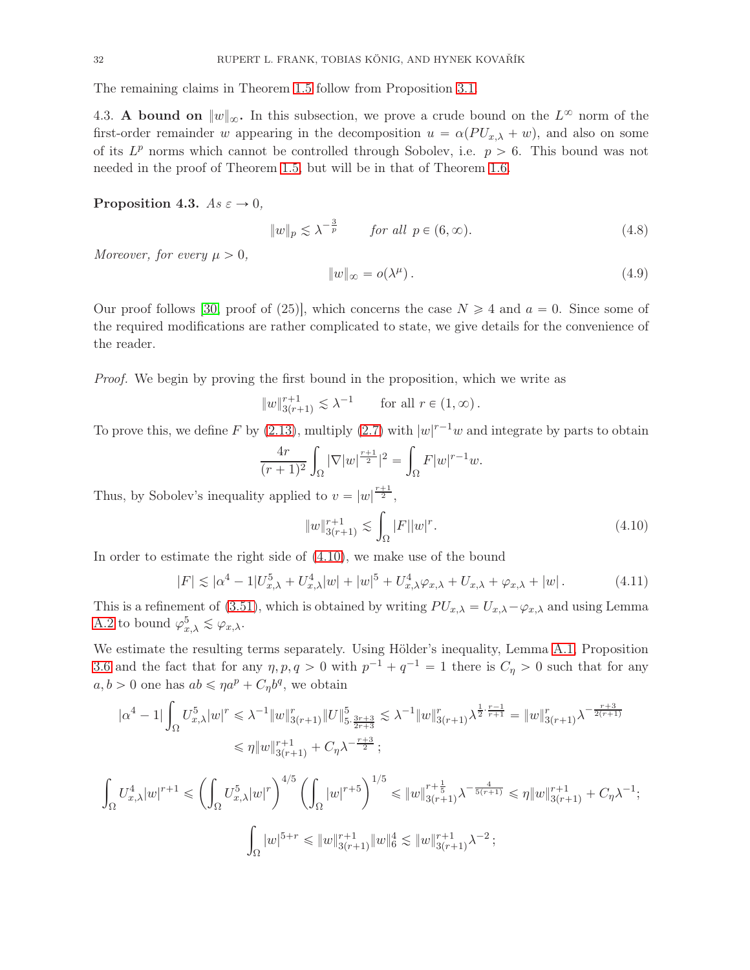<span id="page-31-0"></span>The remaining claims in Theorem [1.5](#page-4-0) follow from Proposition [3.1.](#page-14-3)

4.3. A bound on  $||w||_{\infty}$ . In this subsection, we prove a crude bound on the  $L^{\infty}$  norm of the first-order remainder w appearing in the decomposition  $u = \alpha (PU_{x,\lambda} + w)$ , and also on some of its  $L^p$  norms which cannot be controlled through Sobolev, i.e.  $p > 6$ . This bound was not needed in the proof of Theorem [1.5,](#page-4-0) but will be in that of Theorem [1.6.](#page-5-1)

### <span id="page-31-5"></span>Proposition 4.3.  $As \varepsilon \rightarrow 0$ ,

<span id="page-31-3"></span>
$$
||w||_p \lesssim \lambda^{-\frac{3}{p}} \qquad \text{for all } p \in (6, \infty). \tag{4.8}
$$

Moreover, for every  $\mu > 0$ ,

<span id="page-31-4"></span>
$$
||w||_{\infty} = o(\lambda^{\mu}). \tag{4.9}
$$

Our proof follows [\[30,](#page-56-4) proof of (25)], which concerns the case  $N \geq 4$  and  $a = 0$ . Since some of the required modifications are rather complicated to state, we give details for the convenience of the reader.

Proof. We begin by proving the first bound in the proposition, which we write as

$$
||w||_{3(r+1)}^{r+1} \lesssim \lambda^{-1} \quad \text{for all } r \in (1, \infty).
$$

To prove this, we define F by [\(2.13\)](#page-12-4), multiply [\(2.7\)](#page-10-4) with  $|w|^{r-1}w$  and integrate by parts to obtain

$$
\frac{4r}{(r+1)^2} \int_{\Omega} |\nabla |w|^{\frac{r+1}{2}}|^2 = \int_{\Omega} F|w|^{r-1}w.
$$

Thus, by Sobolev's inequality applied to  $v = |w|^{\frac{r+1}{2}}$ ,

<span id="page-31-1"></span>
$$
||w||_{3(r+1)}^{r+1} \lesssim \int_{\Omega} |F||w|^r.
$$
\n(4.10)

In order to estimate the right side of [\(4.10\)](#page-31-1), we make use of the bound

<span id="page-31-2"></span>
$$
|F| \lesssim |\alpha^4 - 1|U_{x,\lambda}^5 + U_{x,\lambda}^4|w| + |w|^5 + U_{x,\lambda}^4 \varphi_{x,\lambda} + U_{x,\lambda} + \varphi_{x,\lambda} + |w|.
$$
 (4.11)

This is a refinement of [\(3.51\)](#page-28-0), which is obtained by writing  $PU_{x,\lambda} - U_{x,\lambda} - \varphi_{x,\lambda}$  and using Lemma [A.2](#page-50-0) to bound  $\varphi_{x,\lambda}^5 \lesssim \varphi_{x,\lambda}$ .

We estimate the resulting terms separately. Using Hölder's inequality, Lemma [A.1,](#page-49-0) Proposition [3.6](#page-19-2) and the fact that for any  $\eta, p, q > 0$  with  $p^{-1} + q^{-1} = 1$  there is  $C_{\eta} > 0$  such that for any  $a, b > 0$  one has  $ab \leq \eta a^p + C_{\eta} b^q$ , we obtain

$$
|\alpha^{4} - 1| \int_{\Omega} U_{x,\lambda}^{5}|w|^{r} \leq \lambda^{-1} \|w\|_{3(r+1)}^{r} \|U\|_{5, \frac{3r+3}{2r+3}}^{5} \lesssim \lambda^{-1} \|w\|_{3(r+1)}^{r} \lambda^{\frac{1}{2} \cdot \frac{r-1}{r+1}} = \|w\|_{3(r+1)}^{r} \lambda^{-\frac{r+3}{2(r+1)}}
$$
  

$$
\leq \eta \|w\|_{3(r+1)}^{r+1} + C_{\eta} \lambda^{-\frac{r+3}{2}};
$$
  

$$
U_{1}^{4} \|w\|_{1}^{r+1} \leq \left(\int_{\Omega} U_{1}^{5} \|w\|_{1}^{r} \left(\int_{\Omega} |w|^{r+5}\right)^{1/5} \leq \|w\|_{1}^{r+\frac{1}{5}} \lambda^{-\frac{4}{5(r+1)}} \leq \eta \|w\|_{1}^{r+1} \leq C \lambda^{-1}
$$

$$
U_{\alpha,\lambda}^4 |w|^{r+1} \leq \left(\int_{\Omega} U_{x,\lambda}^5 |w|^r\right)^{1/5} \left(\int_{\Omega} |w|^{r+5}\right)^{1/5} \leq \|w\|_{3(r+1)}^{r+\frac{1}{5}} \lambda^{-\frac{4}{5(r+1)}} \leq \eta \|w\|_{3(r+1)}^{r+1} + C_{\eta} \lambda^{-1};
$$

$$
\int_{\Omega} |w|^{5+r} \leq \|w\|_{3(r+1)}^{r+1} \|w\|_{6}^4 \leq \|w\|_{3(r+1)}^{r+1} \lambda^{-2};
$$

ż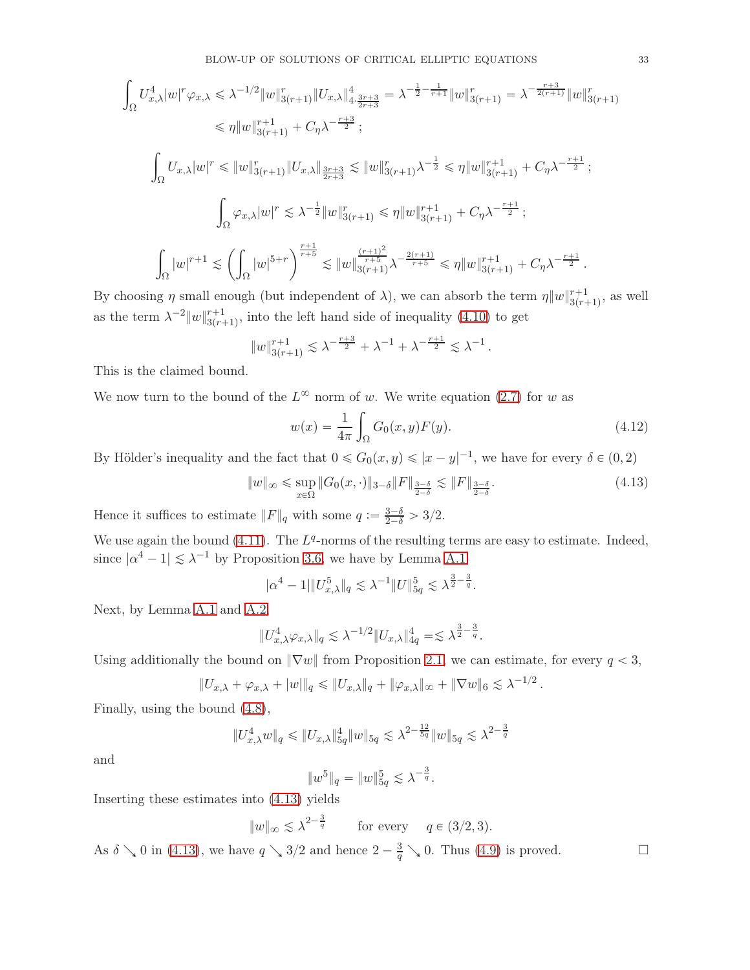$$
\int_{\Omega} U_{x,\lambda}^{4} |w|^{r} \varphi_{x,\lambda} \leq \lambda^{-1/2} \|w\|_{3(r+1)}^{r} \|U_{x,\lambda}\|_{4\cdot \frac{3r+3}{2r+3}}^{4} = \lambda^{-\frac{1}{2} - \frac{1}{r+1}} \|w\|_{3(r+1)}^{r} = \lambda^{-\frac{r+3}{2(r+1)}} \|w\|_{3(r+1)}^{r}
$$
\n
$$
\leq \eta \|w\|_{3(r+1)}^{r+1} + C_{\eta} \lambda^{-\frac{r+3}{2}};
$$
\n
$$
\int_{\Omega} U_{x,\lambda} |w|^{r} \leq \|w\|_{3(r+1)}^{r} \|U_{x,\lambda}\|_{\frac{3r+3}{2r+3}}^{3} \leq \|w\|_{3(r+1)}^{r} \lambda^{-\frac{1}{2}} \leq \eta \|w\|_{3(r+1)}^{r+1} + C_{\eta} \lambda^{-\frac{r+1}{2}};
$$
\n
$$
\int_{\Omega} \varphi_{x,\lambda} |w|^{r} \leq \lambda^{-\frac{1}{2}} \|w\|_{3(r+1)}^{r} \leq \eta \|w\|_{3(r+1)}^{r+1} + C_{\eta} \lambda^{-\frac{r+1}{2}};
$$
\n
$$
\int_{\Omega} |w|^{r+1} \leq \left(\int_{\Omega} |w|^{5+r}\right)^{\frac{r+1}{r+5}} \leq \|w\|_{3(r+1)}^{\frac{(r+1)^{2}}{r+5}} \lambda^{-\frac{2(r+1)}{r+5}} \leq \eta \|w\|_{3(r+1)}^{r+1} + C_{\eta} \lambda^{-\frac{r+1}{2}}.
$$

By choosing  $\eta$  small enough (but independent of  $\lambda$ ), we can absorb the term  $\eta \|w\|_{3(r+1)}^{r+1}$  $_{3(r+1)}^{r+1}$ , as well as the term  $\lambda^{-2}||w||_{3(r+1)}^{r+1}$  $a_{3(r+1)}^{r+1}$ , into the left hand side of inequality [\(4.10\)](#page-31-1) to get

$$
||w||_{3(r+1)}^{r+1} \lesssim \lambda^{-\frac{r+3}{2}} + \lambda^{-1} + \lambda^{-\frac{r+1}{2}} \lesssim \lambda^{-1}.
$$

This is the claimed bound.

We now turn to the bound of the  $L^{\infty}$  norm of w. We write equation [\(2.7\)](#page-10-4) for w as

$$
w(x) = \frac{1}{4\pi} \int_{\Omega} G_0(x, y) F(y).
$$
 (4.12)

By Hölder's inequality and the fact that  $0 \le G_0(x, y) \le |x - y|^{-1}$ , we have for every  $\delta \in (0, 2)$ 

<span id="page-32-0"></span>
$$
||w||_{\infty} \le \sup_{x \in \Omega} ||G_0(x, \cdot)||_{3-\delta} ||F||_{\frac{3-\delta}{2-\delta}} \lesssim ||F||_{\frac{3-\delta}{2-\delta}}.
$$
\n(4.13)

Hence it suffices to estimate  $||F||_q$  with some  $q := \frac{3-\delta}{2-\delta} > 3/2$ .

We use again the bound  $(4.11)$ . The  $L<sup>q</sup>$ -norms of the resulting terms are easy to estimate. Indeed, since  $|\alpha^4 - 1| \leq \lambda^{-1}$  by Proposition [3.6,](#page-19-2) we have by Lemma [A.1](#page-49-0)

$$
|\alpha^4 - 1| \|U_{x,\lambda}^5\|_q \lesssim \lambda^{-1} \|U\|_{5q}^5 \lesssim \lambda^{\frac{3}{2} - \frac{3}{q}}.
$$

Next, by Lemma [A.1](#page-49-0) and [A.2,](#page-50-0)

$$
||U_{x,\lambda}^4 \varphi_{x,\lambda}||_q \lesssim \lambda^{-1/2} ||U_{x,\lambda}||_{4q}^4 = \lesssim \lambda^{\frac{3}{2} - \frac{3}{q}}.
$$

Using additionally the bound on  $\|\nabla w\|$  from Proposition [2.1,](#page-7-1) we can estimate, for every  $q < 3$ ,

$$
||U_{x,\lambda} + \varphi_{x,\lambda} + |w||_q \le ||U_{x,\lambda}||_q + ||\varphi_{x,\lambda}||_{\infty} + ||\nabla w||_6 \lesssim \lambda^{-1/2}.
$$

Finally, using the bound [\(4.8\)](#page-31-3),

$$
||U_{x,\lambda}^4 w||_q \le ||U_{x,\lambda}||_{5q}^4 ||w||_{5q} \lesssim \lambda^{2-\frac{12}{5q}} ||w||_{5q} \lesssim \lambda^{2-\frac{3}{q}}
$$

and

$$
||w^5||_q = ||w||_{5q}^5 \leq \lambda^{-\frac{3}{q}}.
$$

Inserting these estimates into [\(4.13\)](#page-32-0) yields

$$
||w||_{\infty} \lesssim \lambda^{2-\frac{3}{q}}
$$
 for every  $q \in (3/2, 3)$ .

As  $\delta \searrow 0$  in [\(4.13\)](#page-32-0), we have  $q \searrow 3/2$  and hence  $2 - \frac{3}{q} \searrow 0$ . Thus [\(4.9\)](#page-31-4) is proved.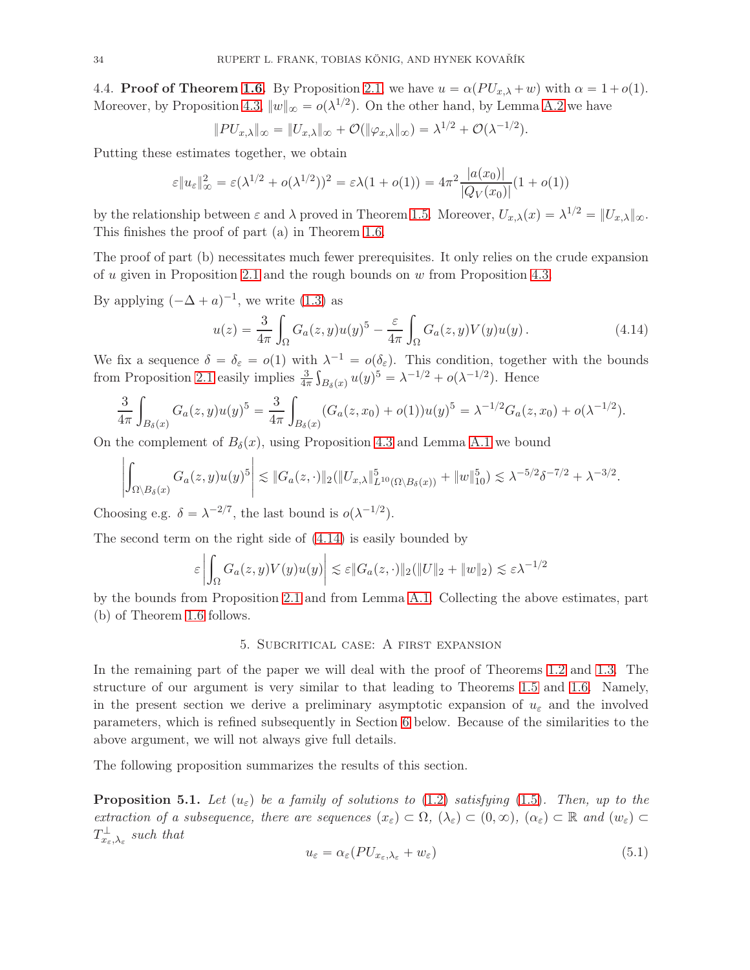4.4. **Proof of Theorem [1.6.](#page-5-1)** By Proposition [2.1,](#page-7-1) we have  $u = \alpha (PU_{x,\lambda} + w)$  with  $\alpha = 1+o(1)$ . Moreover, by Proposition [4.3,](#page-31-5)  $||w||_{\infty} = o(\lambda^{1/2})$ . On the other hand, by Lemma [A.2](#page-50-0) we have

$$
||P U_{x,\lambda}||_{\infty} = ||U_{x,\lambda}||_{\infty} + \mathcal{O}(|\varphi_{x,\lambda}||_{\infty}) = \lambda^{1/2} + \mathcal{O}(\lambda^{-1/2}).
$$

Putting these estimates together, we obtain

$$
\varepsilon \|u_{\varepsilon}\|_{\infty}^{2} = \varepsilon (\lambda^{1/2} + o(\lambda^{1/2}))^{2} = \varepsilon \lambda (1 + o(1)) = 4\pi^{2} \frac{|a(x_{0})|}{|Q_{V}(x_{0})|} (1 + o(1))
$$

by the relationship between  $\varepsilon$  and  $\lambda$  proved in Theorem [1.5.](#page-4-0) Moreover,  $U_{x,\lambda}(x) = \lambda^{1/2} = ||U_{x,\lambda}||_{\infty}$ . This finishes the proof of part (a) in Theorem [1.6.](#page-5-1)

The proof of part (b) necessitates much fewer prerequisites. It only relies on the crude expansion of u given in Proposition [2.1](#page-7-1) and the rough bounds on w from Proposition [4.3.](#page-31-5)

By applying  $(-\Delta + a)^{-1}$ , we write [\(1.3\)](#page-1-1) as

<span id="page-33-1"></span>
$$
u(z) = \frac{3}{4\pi} \int_{\Omega} G_a(z, y) u(y)^5 - \frac{\varepsilon}{4\pi} \int_{\Omega} G_a(z, y) V(y) u(y).
$$
 (4.14)

We fix a sequence  $\delta = \delta_{\varepsilon} = o(1)$  with  $\lambda^{-1} = o(\delta_{\varepsilon})$ . This condition, together with the bounds from Proposition [2.1](#page-7-1) easily implies  $\frac{3}{4\pi} \int_{B_\delta(x)} u(y)^5 = \lambda^{-1/2} + o(\lambda^{-1/2})$ . Hence

$$
\frac{3}{4\pi} \int_{B_\delta(x)} G_a(z, y) u(y)^5 = \frac{3}{4\pi} \int_{B_\delta(x)} (G_a(z, x_0) + o(1)) u(y)^5 = \lambda^{-1/2} G_a(z, x_0) + o(\lambda^{-1/2}).
$$

On the complement of  $B_\delta(x)$ , using Proposition [4.3](#page-31-5) and Lemma [A.1](#page-49-0) we bound

$$
\left| \int_{\Omega \setminus B_{\delta}(x)} G_a(z, y) u(y)^5 \right| \lesssim \|G_a(z, \cdot)\|_2 (\|U_{x, \lambda}\|_{L^{10}(\Omega \setminus B_{\delta}(x))}^5 + \|w\|_{10}^5) \lesssim \lambda^{-5/2} \delta^{-7/2} + \lambda^{-3/2}.
$$

Choosing e.g.  $\delta = \lambda^{-2/7}$ , the last bound is  $o(\lambda^{-1/2})$ .

The second term on the right side of [\(4.14\)](#page-33-1) is easily bounded by

$$
\varepsilon \left| \int_{\Omega} G_a(z, y) V(y) u(y) \right| \lesssim \varepsilon ||G_a(z, \cdot)||_2 (||U||_2 + ||w||_2) \lesssim \varepsilon \lambda^{-1/2}
$$

<span id="page-33-0"></span>by the bounds from Proposition [2.1](#page-7-1) and from Lemma [A.1.](#page-49-0) Collecting the above estimates, part (b) of Theorem [1.6](#page-5-1) follows.

#### 5. Subcritical case: A first expansion

In the remaining part of the paper we will deal with the proof of Theorems [1.2](#page-3-1) and [1.3.](#page-3-0) The structure of our argument is very similar to that leading to Theorems [1.5](#page-4-0) and [1.6.](#page-5-1) Namely, in the present section we derive a preliminary asymptotic expansion of  $u_{\varepsilon}$  and the involved parameters, which is refined subsequently in Section [6](#page-39-0) below. Because of the similarities to the above argument, we will not always give full details.

The following proposition summarizes the results of this section.

<span id="page-33-2"></span>**Proposition 5.1.** Let  $(u_{\varepsilon})$  be a family of solutions to [\(1.2\)](#page-1-0) satisfying [\(1.5\)](#page-1-2). Then, up to the extraction of a subsequence, there are sequences  $(x_{\varepsilon}) \subset \Omega$ ,  $(\lambda_{\varepsilon}) \subset (0, \infty)$ ,  $(\alpha_{\varepsilon}) \subset \mathbb{R}$  and  $(w_{\varepsilon}) \subset$  $T_{x_\varepsilon,\lambda_\varepsilon}^\perp$  such that

<span id="page-33-3"></span>
$$
u_{\varepsilon} = \alpha_{\varepsilon} (PU_{x_{\varepsilon},\lambda_{\varepsilon}} + w_{\varepsilon})
$$
\n<sup>(5.1)</sup>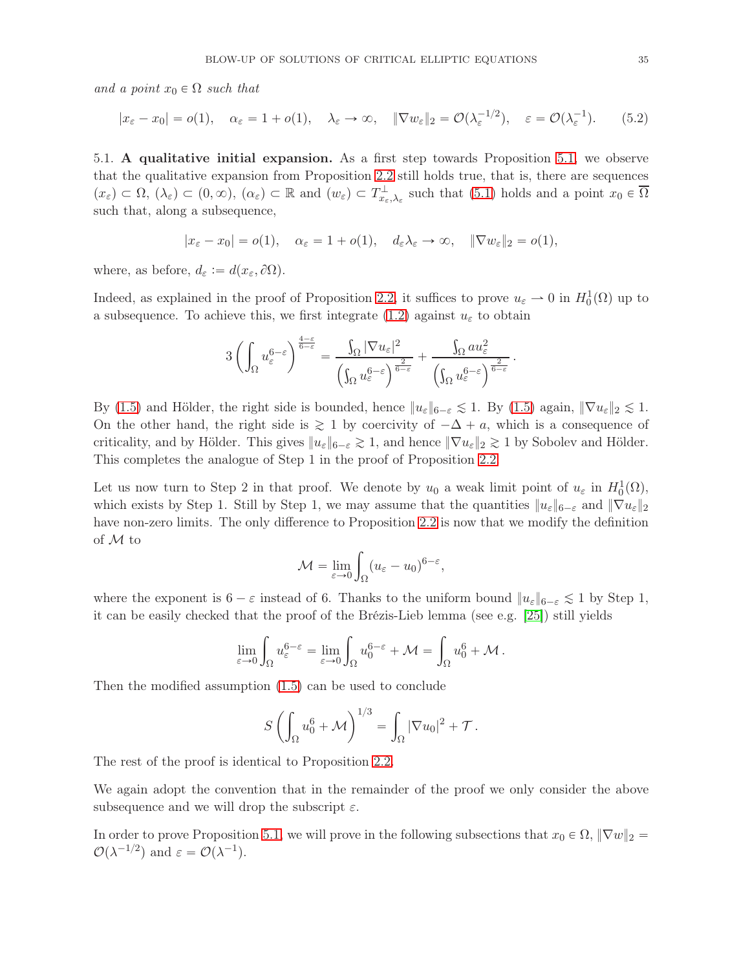and a point  $x_0 \in \Omega$  such that

<span id="page-34-1"></span><span id="page-34-0"></span>
$$
|x_{\varepsilon} - x_0| = o(1), \quad \alpha_{\varepsilon} = 1 + o(1), \quad \lambda_{\varepsilon} \to \infty, \quad \|\nabla w_{\varepsilon}\|_2 = \mathcal{O}(\lambda_{\varepsilon}^{-1/2}), \quad \varepsilon = \mathcal{O}(\lambda_{\varepsilon}^{-1}). \tag{5.2}
$$

5.1. A qualitative initial expansion. As a first step towards Proposition [5.1,](#page-33-2) we observe that the qualitative expansion from Proposition [2.2](#page-8-0) still holds true, that is, there are sequences  $(x_{\varepsilon}) \subset \Omega, (\lambda_{\varepsilon}) \subset (0, \infty), (\alpha_{\varepsilon}) \subset \mathbb{R}$  and  $(w_{\varepsilon}) \subset T_{x_{\varepsilon},\lambda_{\varepsilon}}^{\perp}$  such that  $(5.1)$  holds and a point  $x_0 \in \overline{\Omega}$ such that, along a subsequence,

$$
|x_{\varepsilon} - x_0| = o(1), \quad \alpha_{\varepsilon} = 1 + o(1), \quad d_{\varepsilon} \lambda_{\varepsilon} \to \infty, \quad \|\nabla w_{\varepsilon}\|_2 = o(1),
$$

where, as before,  $d_{\varepsilon} := d(x_{\varepsilon}, \partial \Omega)$ .

Indeed, as explained in the proof of Proposition [2.2,](#page-8-0) it suffices to prove  $u_{\varepsilon} \to 0$  in  $H_0^1(\Omega)$  up to a subsequence. To achieve this, we first integrate [\(1.2\)](#page-1-0) against  $u_{\varepsilon}$  to obtain

$$
3\left(\int_{\Omega}u_{\varepsilon}^{6-\varepsilon}\right)^{\frac{4-\varepsilon}{6-\varepsilon}}=\frac{\int_{\Omega}|\nabla u_{\varepsilon}|^2}{\left(\int_{\Omega}u_{\varepsilon}^{6-\varepsilon}\right)^{\frac{2}{6-\varepsilon}}}+\frac{\int_{\Omega}au_{\varepsilon}^2}{\left(\int_{\Omega}u_{\varepsilon}^{6-\varepsilon}\right)^{\frac{2}{6-\varepsilon}}}
$$

.

By [\(1.5\)](#page-1-2) and Hölder, the right side is bounded, hence  $||u_{\varepsilon}||_{6-\varepsilon} \lesssim 1$ . By (1.5) again,  $||\nabla u_{\varepsilon}||_2 \lesssim 1$ . On the other hand, the right side is  $\geq 1$  by coercivity of  $-\Delta + a$ , which is a consequence of criticality, and by Hölder. This gives  $||u_{\varepsilon}||_{6-\varepsilon} \gtrsim 1$ , and hence  $||\nabla u_{\varepsilon}||_2 \gtrsim 1$  by Sobolev and Hölder. This completes the analogue of Step 1 in the proof of Proposition [2.2.](#page-8-0)

Let us now turn to Step 2 in that proof. We denote by  $u_0$  a weak limit point of  $u_{\varepsilon}$  in  $H_0^1(\Omega)$ , which exists by Step 1. Still by Step 1, we may assume that the quantities  $||u_{\varepsilon}||_{6-\varepsilon}$  and  $||\nabla u_{\varepsilon}||_2$ have non-zero limits. The only difference to Proposition [2.2](#page-8-0) is now that we modify the definition of M to

$$
\mathcal{M} = \lim_{\varepsilon \to 0} \int_{\Omega} (u_{\varepsilon} - u_0)^{6-\varepsilon},
$$

where the exponent is  $6 - \varepsilon$  instead of 6. Thanks to the uniform bound  $||u_{\varepsilon}||_{6-\varepsilon} \lesssim 1$  by Step 1, it can be easily checked that the proof of the Brézis-Lieb lemma (see e.g. [\[25\]](#page-56-17)) still yields

$$
\lim_{\varepsilon \to 0} \int_{\Omega} u_{\varepsilon}^{6-\varepsilon} = \lim_{\varepsilon \to 0} \int_{\Omega} u_0^{6-\varepsilon} + \mathcal{M} = \int_{\Omega} u_0^6 + \mathcal{M}.
$$

Then the modified assumption [\(1.5\)](#page-1-2) can be used to conclude

$$
S\left(\int_{\Omega}u_0^6+\mathcal{M}\right)^{1/3}=\int_{\Omega}|\nabla u_0|^2+\mathcal{T}.
$$

The rest of the proof is identical to Proposition [2.2.](#page-8-0)

We again adopt the convention that in the remainder of the proof we only consider the above subsequence and we will drop the subscript  $\varepsilon$ .

In order to prove Proposition [5.1,](#page-33-2) we will prove in the following subsections that  $x_0 \in \Omega$ ,  $\|\nabla w\|_2 =$  $\mathcal{O}(\lambda^{-1/2})$  and  $\varepsilon = \mathcal{O}(\lambda^{-1})$ .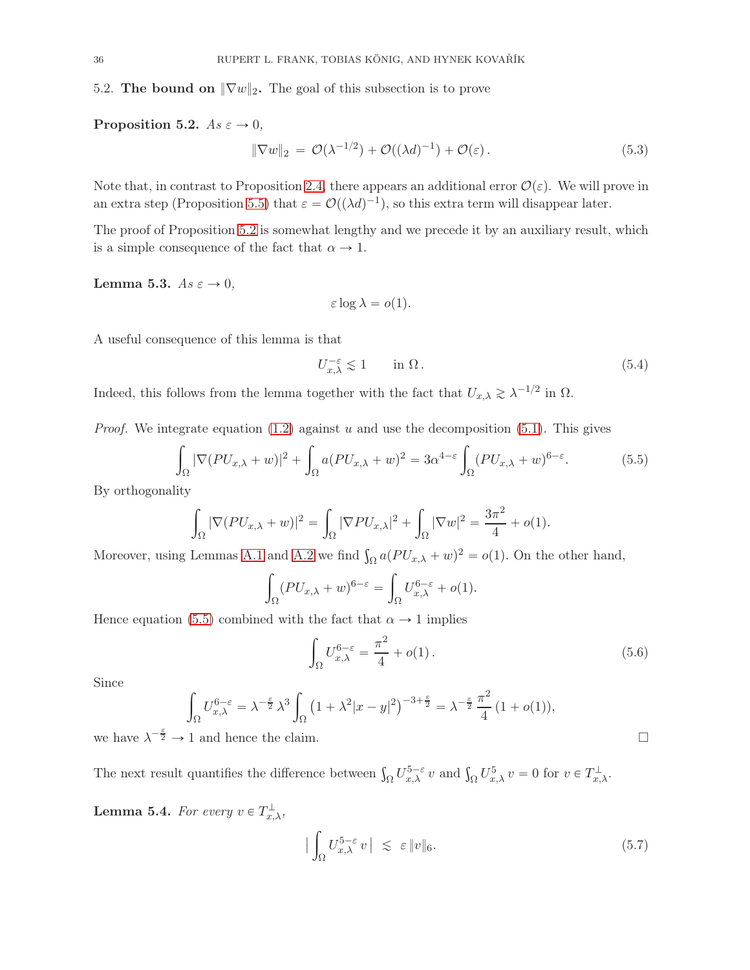5.2. The bound on  $\|\nabla w\|_2$ . The goal of this subsection is to prove

<span id="page-35-0"></span>Proposition 5.2.  $As \varepsilon \to 0$ ,

<span id="page-35-5"></span>
$$
\|\nabla w\|_2 = \mathcal{O}(\lambda^{-1/2}) + \mathcal{O}((\lambda d)^{-1}) + \mathcal{O}(\varepsilon).
$$
\n(5.3)

Note that, in contrast to Proposition [2.4,](#page-10-1) there appears an additional error  $\mathcal{O}(\varepsilon)$ . We will prove in an extra step (Proposition [5.5\)](#page-37-0) that  $\varepsilon = \mathcal{O}((\lambda d)^{-1})$ , so this extra term will disappear later.

The proof of Proposition [5.2](#page-35-0) is somewhat lengthy and we precede it by an auxiliary result, which is a simple consequence of the fact that  $\alpha \rightarrow 1$ .

<span id="page-35-2"></span>Lemma 5.3.  $As \varepsilon \to 0$ ,

$$
\varepsilon \log \lambda = o(1).
$$

A useful consequence of this lemma is that

<span id="page-35-3"></span>
$$
U_{x,\lambda}^{-\varepsilon} \lesssim 1 \qquad \text{in } \Omega \,. \tag{5.4}
$$

Indeed, this follows from the lemma together with the fact that  $U_{x,\lambda} \gtrsim \lambda^{-1/2}$  in  $\Omega$ .

*Proof.* We integrate equation  $(1.2)$  against u and use the decomposition  $(5.1)$ . This gives

<span id="page-35-1"></span>
$$
\int_{\Omega} |\nabla (PU_{x,\lambda} + w)|^2 + \int_{\Omega} a (PU_{x,\lambda} + w)^2 = 3\alpha^{4-\epsilon} \int_{\Omega} (PU_{x,\lambda} + w)^{6-\epsilon}.
$$
 (5.5)

By orthogonality

$$
\int_{\Omega} |\nabla (PU_{x,\lambda} + w)|^2 = \int_{\Omega} |\nabla PU_{x,\lambda}|^2 + \int_{\Omega} |\nabla w|^2 = \frac{3\pi^2}{4} + o(1).
$$

Moreover, using Lemmas [A.1](#page-49-0) and [A.2](#page-50-0) we find  $\int_{\Omega} a (PU_{x,\lambda} + w)^2 = o(1)$ . On the other hand,

$$
\int_{\Omega} (PU_{x,\lambda} + w)^{6-\varepsilon} = \int_{\Omega} U_{x,\lambda}^{6-\varepsilon} + o(1).
$$

Hence equation [\(5.5\)](#page-35-1) combined with the fact that  $\alpha \rightarrow 1$  implies

$$
\int_{\Omega} U_{x,\lambda}^{6-\varepsilon} = \frac{\pi^2}{4} + o(1).
$$
\n(5.6)

Since

$$
\int_{\Omega} U_{x,\lambda}^{6-\varepsilon} = \lambda^{-\frac{\varepsilon}{2}} \lambda^3 \int_{\Omega} \left( 1 + \lambda^2 |x - y|^2 \right)^{-3+\frac{\varepsilon}{2}} = \lambda^{-\frac{\varepsilon}{2}} \frac{\pi^2}{4} (1 + o(1)),
$$
  
we have  $\lambda^{-\frac{\varepsilon}{2}} \to 1$  and hence the claim.

The next result quantifies the difference between  $\int_{\Omega} U_{x,\lambda}^{5-\varepsilon} v$  and  $\int_{\Omega} U_{x,\lambda}^{5} v = 0$  for  $v \in T_{x,\lambda}^{\perp}$ .

<span id="page-35-4"></span>**Lemma 5.4.** For every  $v \in T_{x,\lambda}^{\perp}$ ,

$$
\left| \int_{\Omega} U_{x,\lambda}^{5-\varepsilon} v \right| \leq \varepsilon \|v\|_{6}.
$$
 (5.7)

$$
\sqcup
$$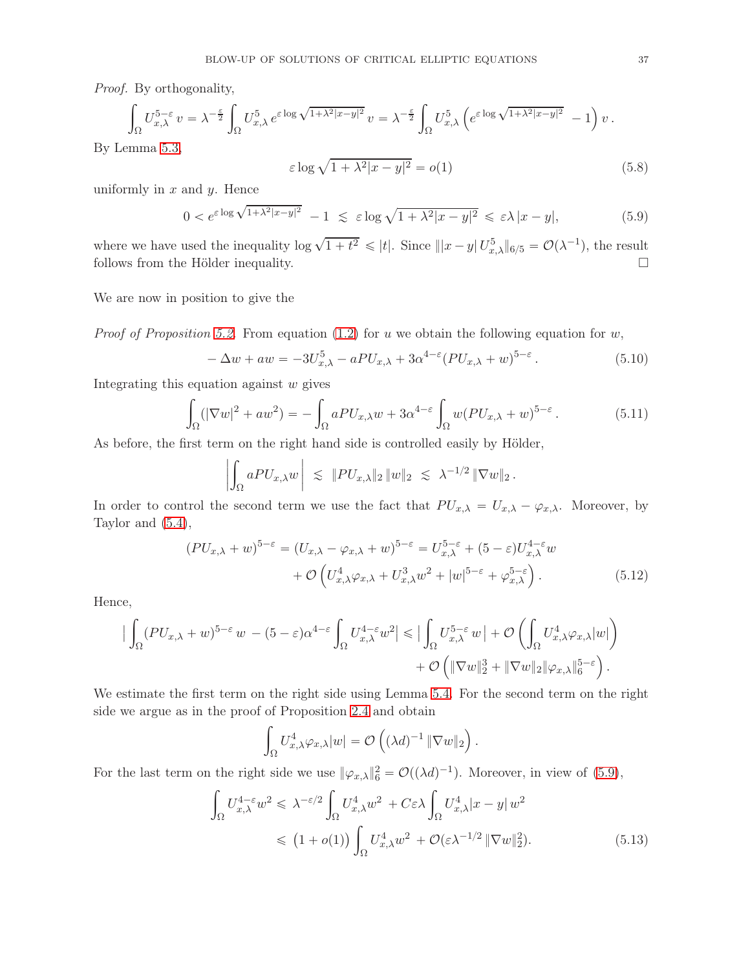Proof. By orthogonality,

$$
\int_{\Omega} U_{x,\lambda}^{5-\varepsilon} v = \lambda^{-\frac{\varepsilon}{2}} \int_{\Omega} U_{x,\lambda}^{5} e^{\varepsilon \log \sqrt{1+\lambda^{2}|x-y|^{2}}} v = \lambda^{-\frac{\varepsilon}{2}} \int_{\Omega} U_{x,\lambda}^{5} \left( e^{\varepsilon \log \sqrt{1+\lambda^{2}|x-y|^{2}}} - 1 \right) v.
$$
  
By Lemma 5.3,

$$
\varepsilon \log \sqrt{1 + \lambda^2 |x - y|^2} = o(1) \tag{5.8}
$$

uniformly in  $x$  and  $y$ . Hence

<span id="page-36-0"></span>
$$
0 < e^{\varepsilon \log \sqrt{1 + \lambda^2 |x - y|^2}} - 1 \leq \varepsilon \log \sqrt{1 + \lambda^2 |x - y|^2} \leq \varepsilon \lambda |x - y|,\tag{5.9}
$$

where we have used the inequality  $\log \sqrt{1+t^2} \leqslant |t|$ . Since  $||x-y| U_{x,\lambda}^5||_{6/5} = \mathcal{O}(\lambda^{-1})$ , the result follows from the Hölder inequality.  $\Box$ 

We are now in position to give the

*Proof of Proposition [5.2.](#page-35-0)* From equation [\(1.2\)](#page-1-0) for u we obtain the following equation for w,

<span id="page-36-3"></span>
$$
-\Delta w + aw = -3U_{x,\lambda}^5 - aPU_{x,\lambda} + 3\alpha^{4-\epsilon} (PU_{x,\lambda} + w)^{5-\epsilon}.
$$
\n(5.10)

Integrating this equation against  $w$  gives

<span id="page-36-1"></span>
$$
\int_{\Omega} (|\nabla w|^2 + aw^2) = -\int_{\Omega} aPU_{x,\lambda}w + 3\alpha^{4-\varepsilon} \int_{\Omega} w(PU_{x,\lambda} + w)^{5-\varepsilon}.
$$
\n(5.11)

As before, the first term on the right hand side is controlled easily by Hölder,

$$
\left|\int_{\Omega} aPU_{x,\lambda}w\right| \leq \|PU_{x,\lambda}\|_2 \|w\|_2 \leq \lambda^{-1/2} \|\nabla w\|_2.
$$

In order to control the second term we use the fact that  $PU_{x,\lambda} = U_{x,\lambda} - \varphi_{x,\lambda}$ . Moreover, by Taylor and [\(5.4\)](#page-35-3),

$$
(PU_{x,\lambda} + w)^{5-\varepsilon} = (U_{x,\lambda} - \varphi_{x,\lambda} + w)^{5-\varepsilon} = U_{x,\lambda}^{5-\varepsilon} + (5-\varepsilon)U_{x,\lambda}^{4-\varepsilon}w + \mathcal{O}\left(U_{x,\lambda}^4 \varphi_{x,\lambda} + U_{x,\lambda}^3 w^2 + |w|^{5-\varepsilon} + \varphi_{x,\lambda}^{5-\varepsilon}\right).
$$
(5.12)

Hence,

$$
\left| \int_{\Omega} (PU_{x,\lambda} + w)^{5-\varepsilon} w - (5-\varepsilon)\alpha^{4-\varepsilon} \int_{\Omega} U_{x,\lambda}^{4-\varepsilon} w^2 \right| \leq \left| \int_{\Omega} U_{x,\lambda}^{5-\varepsilon} w \right| + \mathcal{O}\left( \int_{\Omega} U_{x,\lambda}^4 \varphi_{x,\lambda} |w| \right) + \mathcal{O}\left( \|\nabla w\|_2^3 + \|\nabla w\|_2 \|\varphi_{x,\lambda}\|_6^{5-\varepsilon} \right).
$$

We estimate the first term on the right side using Lemma [5.4.](#page-35-4) For the second term on the right side we argue as in the proof of Proposition [2.4](#page-10-1) and obtain

<span id="page-36-4"></span><span id="page-36-2"></span>
$$
\int_{\Omega} U_{x,\lambda}^4 \varphi_{x,\lambda} |w| = \mathcal{O}\left( (\lambda d)^{-1} \|\nabla w\|_2 \right).
$$

For the last term on the right side we use  $\|\varphi_{x,\lambda}\|^2_6 = \mathcal{O}((\lambda d)^{-1})$ . Moreover, in view of [\(5.9\)](#page-36-0),

$$
\int_{\Omega} U_{x,\lambda}^{4-\varepsilon} w^2 \leq \lambda^{-\varepsilon/2} \int_{\Omega} U_{x,\lambda}^4 w^2 + C\varepsilon \lambda \int_{\Omega} U_{x,\lambda}^4 |x - y| w^2
$$
  

$$
\leq (1 + o(1)) \int_{\Omega} U_{x,\lambda}^4 w^2 + \mathcal{O}(\varepsilon \lambda^{-1/2} \|\nabla w\|_2^2).
$$
 (5.13)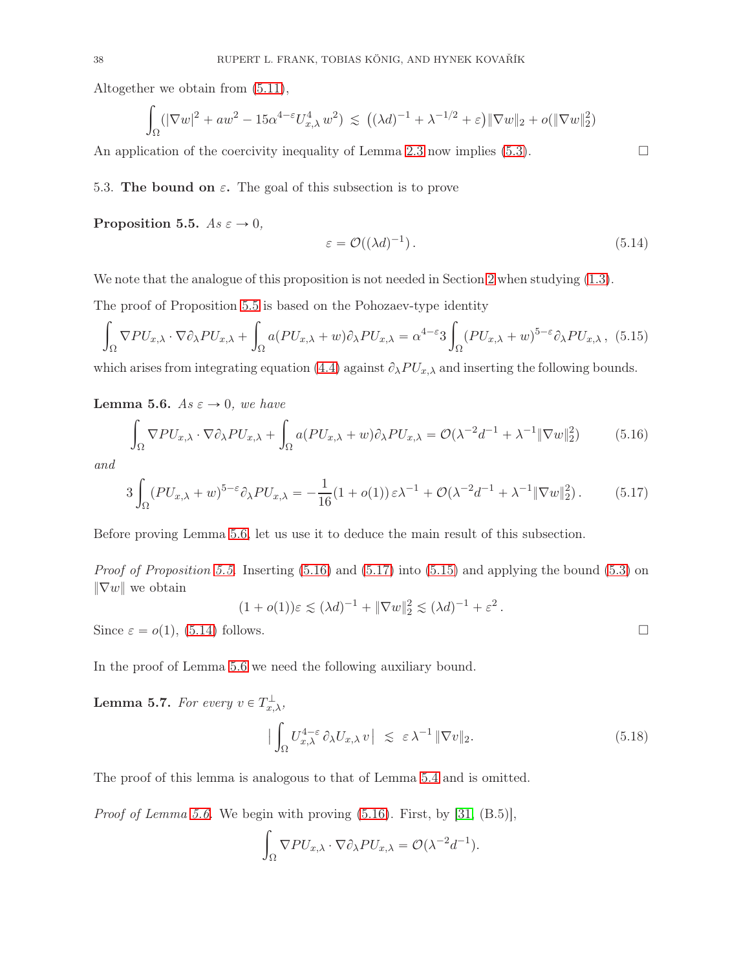Altogether we obtain from [\(5.11\)](#page-36-1),

$$
\int_{\Omega} (|\nabla w|^2 + aw^2 - 15\alpha^{4-\epsilon} U_{x,\lambda}^4 w^2) \le ((\lambda d)^{-1} + \lambda^{-1/2} + \epsilon) \|\nabla w\|_2 + o(\|\nabla w\|_2^2)
$$

An application of the coercivity inequality of Lemma [2.3](#page-10-0) now implies [\(5.3\)](#page-35-5).  $\Box$ 

#### 5.3. The bound on  $\varepsilon$ . The goal of this subsection is to prove

<span id="page-37-0"></span>Proposition 5.5.  $As \varepsilon \to 0$ ,

<span id="page-37-5"></span>
$$
\varepsilon = \mathcal{O}((\lambda d)^{-1}).\tag{5.14}
$$

We note that the analogue of this proposition is not needed in Section [2](#page-7-0) when studying  $(1.3)$ .

The proof of Proposition [5.5](#page-37-0) is based on the Pohozaev-type identity

<span id="page-37-4"></span>
$$
\int_{\Omega} \nabla P U_{x,\lambda} \cdot \nabla \partial_{\lambda} P U_{x,\lambda} + \int_{\Omega} a (P U_{x,\lambda} + w) \partial_{\lambda} P U_{x,\lambda} = \alpha^{4-\epsilon} 3 \int_{\Omega} (P U_{x,\lambda} + w)^{5-\epsilon} \partial_{\lambda} P U_{x,\lambda}, \tag{5.15}
$$

which arises from integrating equation [\(4.4\)](#page-30-1) against  $\partial_{\lambda}PU_{x,\lambda}$  and inserting the following bounds.

<span id="page-37-1"></span>**Lemma 5.6.** As  $\varepsilon \to 0$ , we have

<span id="page-37-2"></span>
$$
\int_{\Omega} \nabla P U_{x,\lambda} \cdot \nabla \partial_{\lambda} P U_{x,\lambda} + \int_{\Omega} a (P U_{x,\lambda} + w) \partial_{\lambda} P U_{x,\lambda} = \mathcal{O}(\lambda^{-2} d^{-1} + \lambda^{-1} \|\nabla w\|_2^2)
$$
(5.16)

and

<span id="page-37-3"></span>
$$
3\int_{\Omega} (PU_{x,\lambda} + w)^{5-\epsilon} \partial_{\lambda} PU_{x,\lambda} = -\frac{1}{16} (1 + o(1)) \epsilon \lambda^{-1} + \mathcal{O}(\lambda^{-2} d^{-1} + \lambda^{-1} \|\nabla w\|_2^2).
$$
 (5.17)

Before proving Lemma [5.6,](#page-37-1) let us use it to deduce the main result of this subsection.

*Proof of Proposition [5.5.](#page-37-0)* Inserting  $(5.16)$  and  $(5.17)$  into  $(5.15)$  and applying the bound  $(5.3)$  on  $\|\nabla w\|$  we obtain

$$
(1 + o(1))\varepsilon \lesssim (\lambda d)^{-1} + \|\nabla w\|_2^2 \lesssim (\lambda d)^{-1} + \varepsilon^2.
$$

Since  $\varepsilon = o(1)$ , [\(5.14\)](#page-37-5) follows.

In the proof of Lemma [5.6](#page-37-1) we need the following auxiliary bound.

<span id="page-37-6"></span>**Lemma 5.7.** For every  $v \in T_{x,\lambda}^{\perp}$ ,

$$
\left| \int_{\Omega} U_{x,\lambda}^{4-\varepsilon} \partial_{\lambda} U_{x,\lambda} v \right| \lesssim \varepsilon \lambda^{-1} \|\nabla v\|_2.
$$
 (5.18)

The proof of this lemma is analogous to that of Lemma [5.4](#page-35-4) and is omitted.

*Proof of Lemma [5.6.](#page-37-1)* We begin with proving  $(5.16)$ . First, by  $[31, (B.5)]$ ,

$$
\int_{\Omega} \nabla P U_{x,\lambda} \cdot \nabla \partial_{\lambda} P U_{x,\lambda} = \mathcal{O}(\lambda^{-2} d^{-1}).
$$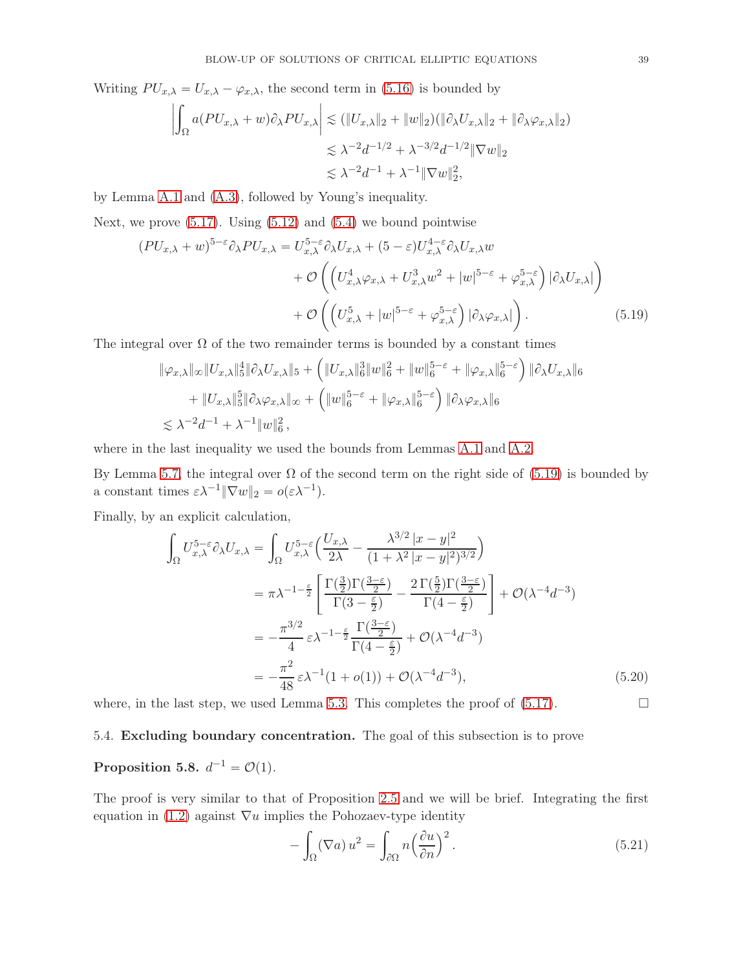Writing  $PU_{x,\lambda} = U_{x,\lambda} - \varphi_{x,\lambda}$ , the second term in [\(5.16\)](#page-37-2) is bounded by

$$
\left| \int_{\Omega} a(PU_{x,\lambda} + w) \partial_{\lambda} PU_{x,\lambda} \right| \lesssim (\|U_{x,\lambda}\|_2 + \|w\|_2)(\|\partial_{\lambda} U_{x,\lambda}\|_2 + \|\partial_{\lambda} \varphi_{x,\lambda}\|_2)
$$
  

$$
\lesssim \lambda^{-2} d^{-1/2} + \lambda^{-3/2} d^{-1/2} \|\nabla w\|_2
$$
  

$$
\lesssim \lambda^{-2} d^{-1} + \lambda^{-1} \|\nabla w\|_2^2,
$$

by Lemma [A.1](#page-49-0) and [\(A.3\)](#page-50-4), followed by Young's inequality.

Next, we prove  $(5.17)$ . Using  $(5.12)$  and  $(5.4)$  we bound pointwise

$$
(PU_{x,\lambda} + w)^{5-\varepsilon} \partial_{\lambda} PU_{x,\lambda} = U_{x,\lambda}^{5-\varepsilon} \partial_{\lambda} U_{x,\lambda} + (5-\varepsilon) U_{x,\lambda}^{4-\varepsilon} \partial_{\lambda} U_{x,\lambda} w + \mathcal{O}\left(\left(U_{x,\lambda}^4 \varphi_{x,\lambda} + U_{x,\lambda}^3 w^2 + |w|^{5-\varepsilon} + \varphi_{x,\lambda}^{5-\varepsilon}\right) |\partial_{\lambda} U_{x,\lambda}|\right) + \mathcal{O}\left(\left(U_{x,\lambda}^5 + |w|^{5-\varepsilon} + \varphi_{x,\lambda}^{5-\varepsilon}\right) |\partial_{\lambda} \varphi_{x,\lambda}|\right).
$$
(5.19)

The integral over  $\Omega$  of the two remainder terms is bounded by a constant times

<span id="page-38-0"></span>
$$
\|\varphi_{x,\lambda}\|_{\infty}\|U_{x,\lambda}\|_{5}^{4}\|\partial_{\lambda}U_{x,\lambda}\|_{5} + \left(\|U_{x,\lambda}\|_{6}^{3}\|w\|_{6}^{2} + \|w\|_{6}^{5-\varepsilon} + \|\varphi_{x,\lambda}\|_{6}^{5-\varepsilon}\right)\|\partial_{\lambda}U_{x,\lambda}\|_{6}
$$
  
+ 
$$
\|U_{x,\lambda}\|_{5}^{5}\|\partial_{\lambda}\varphi_{x,\lambda}\|_{\infty} + \left(\|w\|_{6}^{5-\varepsilon} + \|\varphi_{x,\lambda}\|_{6}^{5-\varepsilon}\right)\|\partial_{\lambda}\varphi_{x,\lambda}\|_{6}
$$
  

$$
\lesssim \lambda^{-2}d^{-1} + \lambda^{-1}\|w\|_{6}^{2},
$$

where in the last inequality we used the bounds from Lemmas [A.1](#page-49-0) and [A.2.](#page-50-0)

By Lemma [5.7,](#page-37-6) the integral over  $\Omega$  of the second term on the right side of [\(5.19\)](#page-38-0) is bounded by a constant times  $\varepsilon \lambda^{-1} \|\nabla w\|_2 = o(\varepsilon \lambda^{-1}).$ 

Finally, by an explicit calculation,

$$
\int_{\Omega} U_{x,\lambda}^{5-\epsilon} \partial_{\lambda} U_{x,\lambda} = \int_{\Omega} U_{x,\lambda}^{5-\epsilon} \left( \frac{U_{x,\lambda}}{2\lambda} - \frac{\lambda^{3/2} |x-y|^2}{(1+\lambda^2 |x-y|^2)^{3/2}} \right)
$$
\n
$$
= \pi \lambda^{-1-\frac{\epsilon}{2}} \left[ \frac{\Gamma(\frac{3}{2}) \Gamma(\frac{3-\epsilon}{2})}{\Gamma(3-\frac{\epsilon}{2})} - \frac{2 \Gamma(\frac{5}{2}) \Gamma(\frac{3-\epsilon}{2})}{\Gamma(4-\frac{\epsilon}{2})} \right] + \mathcal{O}(\lambda^{-4} d^{-3})
$$
\n
$$
= -\frac{\pi^{3/2}}{4} \epsilon \lambda^{-1-\frac{\epsilon}{2}} \frac{\Gamma(\frac{3-\epsilon}{2})}{\Gamma(4-\frac{\epsilon}{2})} + \mathcal{O}(\lambda^{-4} d^{-3})
$$
\n
$$
= -\frac{\pi^2}{48} \epsilon \lambda^{-1} (1 + o(1)) + \mathcal{O}(\lambda^{-4} d^{-3}), \tag{5.20}
$$

where, in the last step, we used Lemma [5.3.](#page-35-2) This completes the proof of  $(5.17)$ .

#### 5.4. Excluding boundary concentration. The goal of this subsection is to prove

# <span id="page-38-1"></span>Proposition 5.8.  $d^{-1} = \mathcal{O}(1)$ .

The proof is very similar to that of Proposition [2.5](#page-11-2) and we will be brief. Integrating the first equation in [\(1.2\)](#page-1-0) against  $\nabla u$  implies the Pohozaev-type identity

<span id="page-38-3"></span><span id="page-38-2"></span>
$$
-\int_{\Omega} (\nabla a) u^2 = \int_{\partial \Omega} n \left(\frac{\partial u}{\partial n}\right)^2.
$$
 (5.21)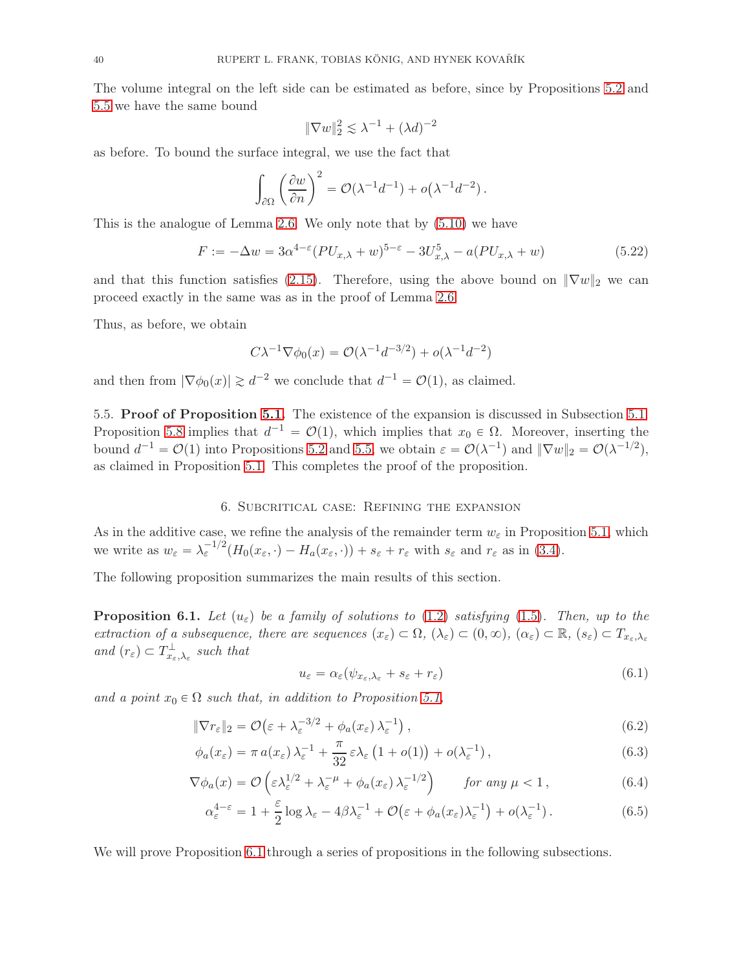The volume integral on the left side can be estimated as before, since by Propositions [5.2](#page-35-0) and [5.5](#page-37-0) we have the same bound

$$
\|\nabla w\|_2^2 \lesssim \lambda^{-1} + (\lambda d)^{-2}
$$

as before. To bound the surface integral, we use the fact that

$$
\int_{\partial\Omega} \left(\frac{\partial w}{\partial n}\right)^2 = \mathcal{O}(\lambda^{-1}d^{-1}) + o(\lambda^{-1}d^{-2}).
$$

This is the analogue of Lemma [2.6.](#page-11-1) We only note that by [\(5.10\)](#page-36-3) we have

<span id="page-39-6"></span>
$$
F := -\Delta w = 3\alpha^{4-\epsilon} (PU_{x,\lambda} + w)^{5-\epsilon} - 3U_{x,\lambda}^5 - a(PU_{x,\lambda} + w)
$$
\n(5.22)

and that this function satisfies [\(2.15\)](#page-12-3). Therefore, using the above bound on  $\|\nabla w\|_2$  we can proceed exactly in the same was as in the proof of Lemma [2.6.](#page-11-1)

Thus, as before, we obtain

$$
C\lambda^{-1}\nabla\phi_0(x) = \mathcal{O}(\lambda^{-1}d^{-3/2}) + o(\lambda^{-1}d^{-2})
$$

and then from  $|\nabla \phi_0(x)| \gtrsim d^{-2}$  we conclude that  $d^{-1} = \mathcal{O}(1)$ , as claimed.

5.5. Proof of Proposition [5.1.](#page-33-2) The existence of the expansion is discussed in Subsection [5.1.](#page-34-0) Proposition [5.8](#page-38-1) implies that  $d^{-1} = \mathcal{O}(1)$ , which implies that  $x_0 \in \Omega$ . Moreover, inserting the bound  $d^{-1} = \mathcal{O}(1)$  into Propositions [5.2](#page-35-0) and [5.5,](#page-37-0) we obtain  $\varepsilon = \mathcal{O}(\lambda^{-1})$  and  $\|\nabla w\|_2 = \mathcal{O}(\lambda^{-1/2})$ , as claimed in Proposition [5.1.](#page-33-2) This completes the proof of the proposition.

#### 6. Subcritical case: Refining the expansion

<span id="page-39-0"></span>As in the additive case, we refine the analysis of the remainder term  $w_{\varepsilon}$  in Proposition [5.1,](#page-33-2) which we write as  $w_{\varepsilon} = \lambda_{\varepsilon}^{-1/2} (H_0(x_{\varepsilon}, \cdot) - H_a(x_{\varepsilon}, \cdot)) + s_{\varepsilon} + r_{\varepsilon}$  with  $s_{\varepsilon}$  and  $r_{\varepsilon}$  as in [\(3.4\)](#page-14-2).

The following proposition summarizes the main results of this section.

<span id="page-39-1"></span>**Proposition 6.1.** Let  $(u_{\varepsilon})$  be a family of solutions to [\(1.2\)](#page-1-0) satisfying [\(1.5\)](#page-1-2). Then, up to the extraction of a subsequence, there are sequences  $(x_{\varepsilon}) \subset \Omega$ ,  $(\lambda_{\varepsilon}) \subset (0, \infty)$ ,  $(\alpha_{\varepsilon}) \subset \mathbb{R}$ ,  $(s_{\varepsilon}) \subset T_{x_{\varepsilon},\lambda_{\varepsilon}}$ and  $(r_{\varepsilon}) \subset T_{x_{\varepsilon},\lambda_{\varepsilon}}^{\perp}$  such that

<span id="page-39-5"></span><span id="page-39-4"></span><span id="page-39-3"></span><span id="page-39-2"></span>
$$
u_{\varepsilon} = \alpha_{\varepsilon} (\psi_{x_{\varepsilon}, \lambda_{\varepsilon}} + s_{\varepsilon} + r_{\varepsilon})
$$
\n(6.1)

and a point  $x_0 \in \Omega$  such that, in addition to Proposition [5.1,](#page-33-2)

$$
\|\nabla r_{\varepsilon}\|_{2} = \mathcal{O}\left(\varepsilon + \lambda_{\varepsilon}^{-3/2} + \phi_{a}(x_{\varepsilon})\lambda_{\varepsilon}^{-1}\right),\tag{6.2}
$$

$$
\phi_a(x_\varepsilon) = \pi a(x_\varepsilon) \lambda_\varepsilon^{-1} + \frac{\pi}{32} \varepsilon \lambda_\varepsilon \left(1 + o(1)\right) + o(\lambda_\varepsilon^{-1}), \tag{6.3}
$$

$$
\nabla \phi_a(x) = \mathcal{O}\left(\varepsilon \lambda_\varepsilon^{1/2} + \lambda_\varepsilon^{-\mu} + \phi_a(x_\varepsilon) \lambda_\varepsilon^{-1/2}\right) \qquad \text{for any } \mu < 1, \tag{6.4}
$$

$$
\alpha_{\varepsilon}^{4-\varepsilon} = 1 + \frac{\varepsilon}{2} \log \lambda_{\varepsilon} - 4\beta \lambda_{\varepsilon}^{-1} + \mathcal{O}\big(\varepsilon + \phi_a(x_{\varepsilon})\lambda_{\varepsilon}^{-1}\big) + o(\lambda_{\varepsilon}^{-1}). \tag{6.5}
$$

We will prove Proposition [6.1](#page-39-1) through a series of propositions in the following subsections.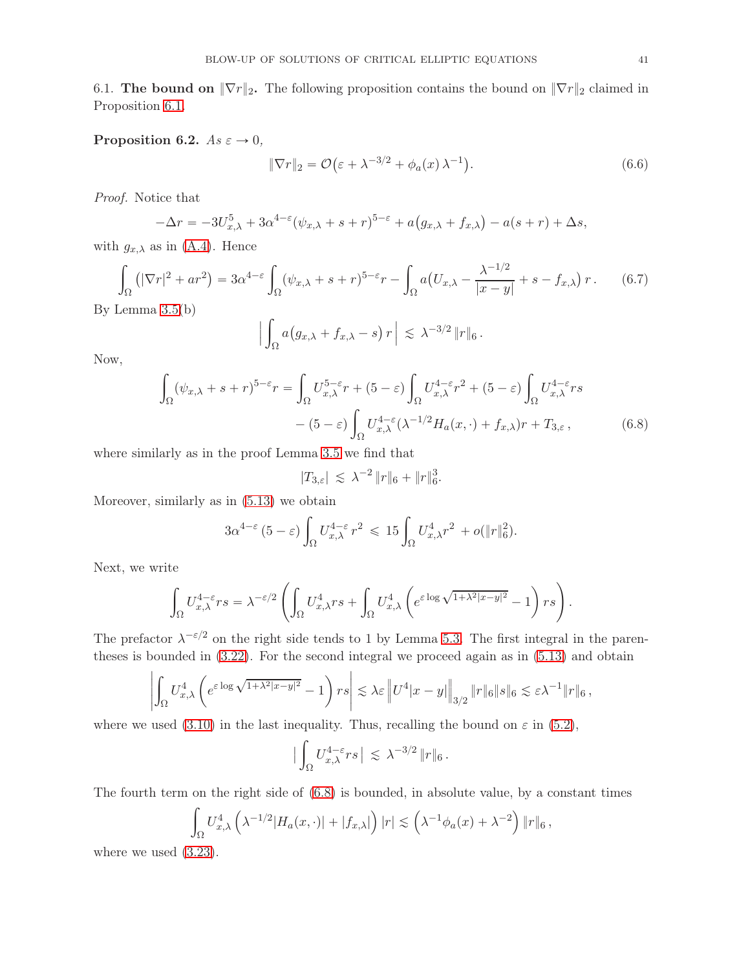6.1. The bound on  $\|\nabla r\|_2$ . The following proposition contains the bound on  $\|\nabla r\|_2$  claimed in Proposition [6.1.](#page-39-1)

<span id="page-40-3"></span>Proposition 6.2.  $As \varepsilon \to 0$ ,

<span id="page-40-2"></span>
$$
\|\nabla r\|_2 = \mathcal{O}\big(\varepsilon + \lambda^{-3/2} + \phi_a(x)\,\lambda^{-1}\big). \tag{6.6}
$$

Proof. Notice that

$$
-\Delta r = -3U_{x,\lambda}^5 + 3\alpha^{4-\epsilon}(\psi_{x,\lambda} + s + r)^{5-\epsilon} + a(g_{x,\lambda} + f_{x,\lambda}) - a(s+r) + \Delta s,
$$

with  $g_{x,\lambda}$  as in [\(A.4\)](#page-50-2). Hence

$$
\int_{\Omega} \left( |\nabla r|^2 + ar^2 \right) = 3\alpha^{4-\epsilon} \int_{\Omega} (\psi_{x,\lambda} + s + r)^{5-\epsilon} r - \int_{\Omega} a \left( U_{x,\lambda} - \frac{\lambda^{-1/2}}{|x-y|} + s - f_{x,\lambda} \right) r. \tag{6.7}
$$
\nLemma 3.5(b)

By Lemma [3.5\(](#page-18-2)b)

<span id="page-40-1"></span>
$$
\Big|\int_{\Omega} a(g_{x,\lambda}+f_{x,\lambda}-s)\,r\Big| \,\lesssim\, \lambda^{-3/2}\,\|r\|_6\,.
$$

Now,

$$
\int_{\Omega} (\psi_{x,\lambda} + s + r)^{5-\varepsilon} r = \int_{\Omega} U_{x,\lambda}^{5-\varepsilon} r + (5-\varepsilon) \int_{\Omega} U_{x,\lambda}^{4-\varepsilon} r^2 + (5-\varepsilon) \int_{\Omega} U_{x,\lambda}^{4-\varepsilon} rs
$$

$$
- (5-\varepsilon) \int_{\Omega} U_{x,\lambda}^{4-\varepsilon} (\lambda^{-1/2} H_a(x,\cdot) + f_{x,\lambda}) r + T_{3,\varepsilon}, \tag{6.8}
$$

where similarly as in the proof Lemma [3.5](#page-18-2) we find that

<span id="page-40-0"></span>
$$
|T_{3,\varepsilon}| \leq \lambda^{-2} \|r\|_6 + \|r\|_6^3.
$$

Moreover, similarly as in [\(5.13\)](#page-36-4) we obtain

$$
3\alpha^{4-\varepsilon} (5-\varepsilon) \int_{\Omega} U_{x,\lambda}^{4-\varepsilon} r^2 \leq 15 \int_{\Omega} U_{x,\lambda}^4 r^2 + o(\|r\|_6^2).
$$

Next, we write

$$
\int_{\Omega} U_{x,\lambda}^{4-\varepsilon} rs = \lambda^{-\varepsilon/2} \left( \int_{\Omega} U_{x,\lambda}^{4} rs + \int_{\Omega} U_{x,\lambda}^{4} \left( e^{\varepsilon \log \sqrt{1 + \lambda^{2} |x - y|^{2}}} - 1 \right) rs \right).
$$

The prefactor  $\lambda^{-\epsilon/2}$  on the right side tends to 1 by Lemma [5.3.](#page-35-2) The first integral in the parentheses is bounded in [\(3.22\)](#page-18-3). For the second integral we proceed again as in [\(5.13\)](#page-36-4) and obtain

$$
\left| \int_{\Omega} U_{x,\lambda}^4 \left( e^{\varepsilon \log \sqrt{1 + \lambda^2 |x - y|^2}} - 1 \right) rs \right| \lesssim \lambda \varepsilon \left\| U^4 |x - y| \right\|_{3/2} \|r\|_6 \|s\|_6 \lesssim \varepsilon \lambda^{-1} \|r\|_6,
$$

where we used [\(3.10\)](#page-15-2) in the last inequality. Thus, recalling the bound on  $\varepsilon$  in [\(5.2\)](#page-34-1),

$$
\big|\int_\Omega U_{x,\lambda}^{4-\varepsilon}rs\,\big|\,\lesssim\, \lambda^{-3/2}\,\|r\|_6\,.
$$

The fourth term on the right side of [\(6.8\)](#page-40-0) is bounded, in absolute value, by a constant times

$$
\int_{\Omega} U_{x,\lambda}^4 \left( \lambda^{-1/2} |H_a(x,\cdot)| + |f_{x,\lambda}| \right) |r| \lesssim \left( \lambda^{-1} \phi_a(x) + \lambda^{-2} \right) \|r\|_6,
$$

where we used [\(3.23\)](#page-18-4).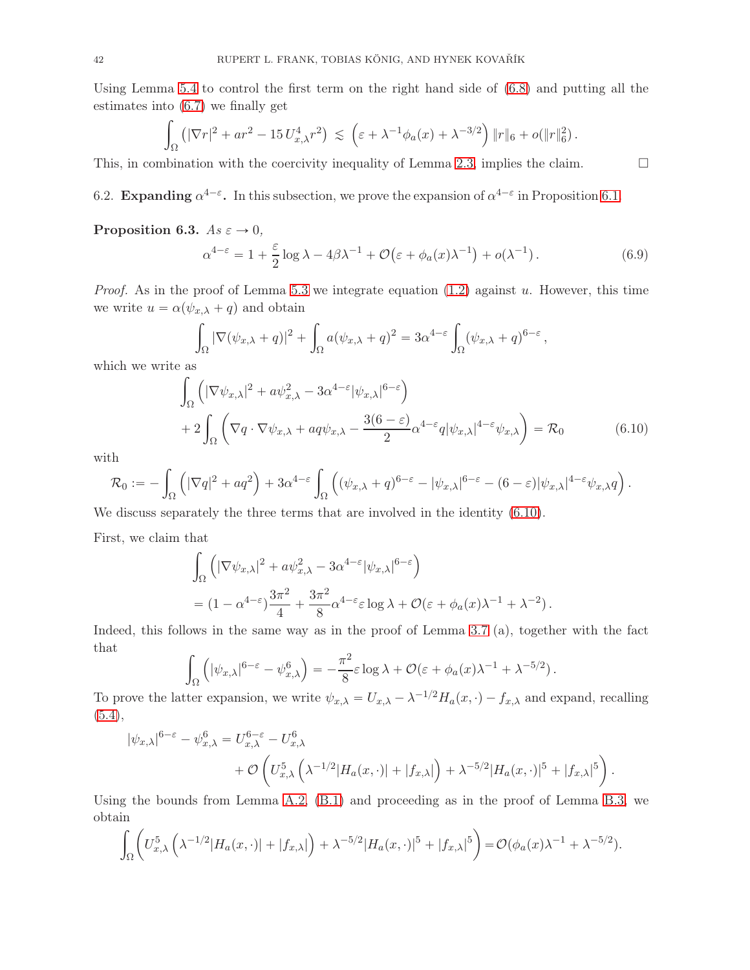Using Lemma [5.4](#page-35-4) to control the first term on the right hand side of [\(6.8\)](#page-40-0) and putting all the estimates into [\(6.7\)](#page-40-1) we finally get

$$
\int_{\Omega} \left( |\nabla r|^2 + ar^2 - 15 U_{x,\lambda}^4 r^2 \right) \lesssim \left( \varepsilon + \lambda^{-1} \phi_a(x) + \lambda^{-3/2} \right) \|r\|_6 + o(\|r\|_6^2).
$$

This, in combination with the coercivity inequality of Lemma [2.3,](#page-10-0) implies the claim.  $\square$ 

6.2. Expanding  $\alpha^{4-\epsilon}$ . In this subsection, we prove the expansion of  $\alpha^{4-\epsilon}$  in Proposition [6.1.](#page-39-1)

<span id="page-41-1"></span>Proposition 6.3.  $As \varepsilon \to 0$ ,

$$
\alpha^{4-\varepsilon} = 1 + \frac{\varepsilon}{2} \log \lambda - 4\beta \lambda^{-1} + \mathcal{O}\big(\varepsilon + \phi_a(x)\lambda^{-1}\big) + o(\lambda^{-1}).\tag{6.9}
$$

*Proof.* As in the proof of Lemma [5.3](#page-35-2) we integrate equation  $(1.2)$  against u. However, this time we write  $u = \alpha(\psi_{x,\lambda} + q)$  and obtain

$$
\int_{\Omega} |\nabla(\psi_{x,\lambda} + q)|^2 + \int_{\Omega} a(\psi_{x,\lambda} + q)^2 = 3\alpha^{4-\varepsilon} \int_{\Omega} (\psi_{x,\lambda} + q)^{6-\varepsilon},
$$

which we write as

$$
\int_{\Omega} \left( |\nabla \psi_{x,\lambda}|^2 + a \psi_{x,\lambda}^2 - 3\alpha^{4-\epsilon} |\psi_{x,\lambda}|^{6-\epsilon} \right) \n+ 2 \int_{\Omega} \left( \nabla q \cdot \nabla \psi_{x,\lambda} + a q \psi_{x,\lambda} - \frac{3(6-\epsilon)}{2} \alpha^{4-\epsilon} q |\psi_{x,\lambda}|^{4-\epsilon} \psi_{x,\lambda} \right) = \mathcal{R}_0
$$
\n(6.10)

with

$$
\mathcal{R}_0 := -\int_{\Omega} \left( |\nabla q|^2 + a q^2 \right) + 3 \alpha^{4-\varepsilon} \int_{\Omega} \left( (\psi_{x,\lambda} + q)^{6-\varepsilon} - |\psi_{x,\lambda}|^{6-\varepsilon} - (6-\varepsilon) |\psi_{x,\lambda}|^{4-\varepsilon} \psi_{x,\lambda} q \right).
$$

We discuss separately the three terms that are involved in the identity [\(6.10\)](#page-41-0).

First, we claim that

$$
\int_{\Omega} \left( |\nabla \psi_{x,\lambda}|^2 + a \psi_{x,\lambda}^2 - 3\alpha^{4-\epsilon} |\psi_{x,\lambda}|^{6-\epsilon} \right)
$$
  
=  $(1 - \alpha^{4-\epsilon}) \frac{3\pi^2}{4} + \frac{3\pi^2}{8} \alpha^{4-\epsilon} \epsilon \log \lambda + \mathcal{O}(\epsilon + \phi_a(x)\lambda^{-1} + \lambda^{-2}).$ 

Indeed, this follows in the same way as in the proof of Lemma [3.7](#page-20-1) (a), together with the fact that

$$
\int_{\Omega} \left( |\psi_{x,\lambda}|^{6-\varepsilon} - \psi_{x,\lambda}^6 \right) = -\frac{\pi^2}{8} \varepsilon \log \lambda + \mathcal{O}(\varepsilon + \phi_a(x)\lambda^{-1} + \lambda^{-5/2}).
$$

To prove the latter expansion, we write  $\psi_{x,\lambda} = U_{x,\lambda} - \lambda^{-1/2} H_a(x, \cdot) - f_{x,\lambda}$  and expand, recalling  $(5.4),$  $(5.4),$ 

$$
|\psi_{x,\lambda}|^{6-\varepsilon} - \psi_{x,\lambda}^6 = U_{x,\lambda}^{6-\varepsilon} - U_{x,\lambda}^6
$$
  
+  $\mathcal{O}\left(U_{x,\lambda}^5\left(\lambda^{-1/2}|H_a(x,\cdot)| + |f_{x,\lambda}|\right) + \lambda^{-5/2}|H_a(x,\cdot)|^5 + |f_{x,\lambda}|^5\right).$ 

Using the bounds from Lemma [A.2,](#page-50-0) [\(B.1\)](#page-51-0) and proceeding as in the proof of Lemma [B.3,](#page-53-0) we obtain

$$
\int_{\Omega} \left( U_{x,\lambda}^5 \left( \lambda^{-1/2} |H_a(x,\cdot)| + |f_{x,\lambda}| \right) + \lambda^{-5/2} |H_a(x,\cdot)|^5 + |f_{x,\lambda}|^5 \right) = \mathcal{O}(\phi_a(x)\lambda^{-1} + \lambda^{-5/2}).
$$

<span id="page-41-0"></span>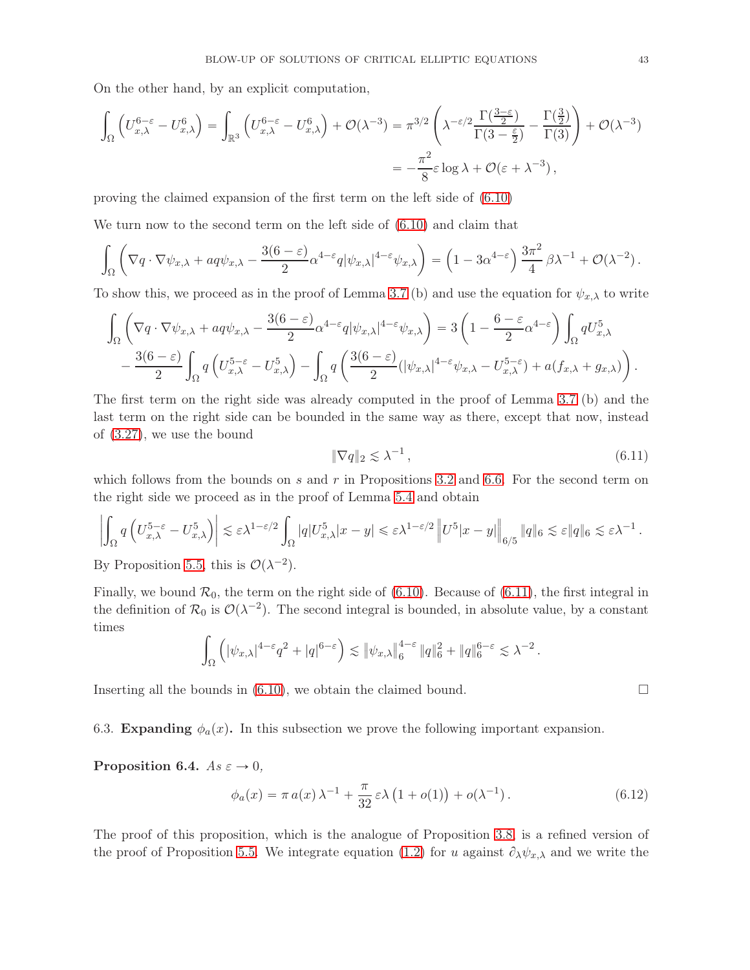On the other hand, by an explicit computation,

$$
\int_{\Omega} \left( U_{x,\lambda}^{6-\varepsilon} - U_{x,\lambda}^{6} \right) = \int_{\mathbb{R}^3} \left( U_{x,\lambda}^{6-\varepsilon} - U_{x,\lambda}^{6} \right) + \mathcal{O}(\lambda^{-3}) = \pi^{3/2} \left( \lambda^{-\varepsilon/2} \frac{\Gamma(\frac{3-\varepsilon}{2})}{\Gamma(3-\frac{\varepsilon}{2})} - \frac{\Gamma(\frac{3}{2})}{\Gamma(3)} \right) + \mathcal{O}(\lambda^{-3})
$$

$$
= -\frac{\pi^2}{8} \varepsilon \log \lambda + \mathcal{O}(\varepsilon + \lambda^{-3}),
$$

proving the claimed expansion of the first term on the left side of [\(6.10\)](#page-41-0)

We turn now to the second term on the left side of [\(6.10\)](#page-41-0) and claim that

$$
\int_{\Omega} \left( \nabla q \cdot \nabla \psi_{x,\lambda} + a q \psi_{x,\lambda} - \frac{3(6-\varepsilon)}{2} \alpha^{4-\varepsilon} q |\psi_{x,\lambda}|^{4-\varepsilon} \psi_{x,\lambda} \right) = \left( 1 - 3 \alpha^{4-\varepsilon} \right) \frac{3\pi^2}{4} \beta \lambda^{-1} + \mathcal{O}(\lambda^{-2}).
$$

To show this, we proceed as in the proof of Lemma [3.7](#page-20-1) (b) and use the equation for  $\psi_{x,\lambda}$  to write

$$
\int_{\Omega} \left( \nabla q \cdot \nabla \psi_{x,\lambda} + a q \psi_{x,\lambda} - \frac{3(6-\varepsilon)}{2} \alpha^{4-\varepsilon} q |\psi_{x,\lambda}|^{4-\varepsilon} \psi_{x,\lambda} \right) = 3 \left( 1 - \frac{6-\varepsilon}{2} \alpha^{4-\varepsilon} \right) \int_{\Omega} q U_{x,\lambda}^5
$$

$$
- \frac{3(6-\varepsilon)}{2} \int_{\Omega} q \left( U_{x,\lambda}^{5-\varepsilon} - U_{x,\lambda}^5 \right) - \int_{\Omega} q \left( \frac{3(6-\varepsilon)}{2} (|\psi_{x,\lambda}|^{4-\varepsilon} \psi_{x,\lambda} - U_{x,\lambda}^{5-\varepsilon}) + a(f_{x,\lambda} + g_{x,\lambda}) \right).
$$

The first term on the right side was already computed in the proof of Lemma [3.7](#page-20-1) (b) and the last term on the right side can be bounded in the same way as there, except that now, instead of [\(3.27\)](#page-20-0), we use the bound

<span id="page-42-0"></span>
$$
\|\nabla q\|_2 \lesssim \lambda^{-1},\tag{6.11}
$$

which follows from the bounds on s and r in Propositions [3.2](#page-15-4) and [6.6.](#page-40-2) For the second term on the right side we proceed as in the proof of Lemma [5.4](#page-35-4) and obtain

$$
\left| \int_{\Omega} q\left( U_{x,\lambda}^{5-\varepsilon} - U_{x,\lambda}^{5} \right) \right| \lesssim \varepsilon \lambda^{1-\varepsilon/2} \int_{\Omega} |q| U_{x,\lambda}^{5} |x-y| \leq \varepsilon \lambda^{1-\varepsilon/2} \left\| U^{5} |x-y| \right\|_{6/5} \|q\|_{6} \lesssim \varepsilon \|q\|_{6} \lesssim \varepsilon \lambda^{-1}.
$$

By Proposition [5.5,](#page-37-0) this is  $\mathcal{O}(\lambda^{-2})$ .

Finally, we bound  $\mathcal{R}_0$ , the term on the right side of [\(6.10\)](#page-41-0). Because of [\(6.11\)](#page-42-0), the first integral in the definition of  $\mathcal{R}_0$  is  $\mathcal{O}(\lambda^{-2})$ . The second integral is bounded, in absolute value, by a constant times

$$
\int_{\Omega} \left( |\psi_{x,\lambda}|^{4-\varepsilon} q^2 + |q|^{6-\varepsilon} \right) \lesssim \|\psi_{x,\lambda}\|_{6}^{4-\varepsilon} \|q\|_{6}^2 + \|q\|_{6}^{6-\varepsilon} \lesssim \lambda^{-2}.
$$

Inserting all the bounds in [\(6.10\)](#page-41-0), we obtain the claimed bound.  $\square$ 

6.3. Expanding  $\phi_a(x)$ . In this subsection we prove the following important expansion.

<span id="page-42-1"></span>Proposition 6.4.  $As \varepsilon \to 0$ ,

$$
\phi_a(x) = \pi a(x) \lambda^{-1} + \frac{\pi}{32} \varepsilon \lambda \left( 1 + o(1) \right) + o(\lambda^{-1}). \tag{6.12}
$$

The proof of this proposition, which is the analogue of Proposition [3.8,](#page-21-2) is a refined version of the proof of Proposition [5.5.](#page-37-0) We integrate equation [\(1.2\)](#page-1-0) for u against  $\partial_{\lambda}\psi_{x,\lambda}$  and we write the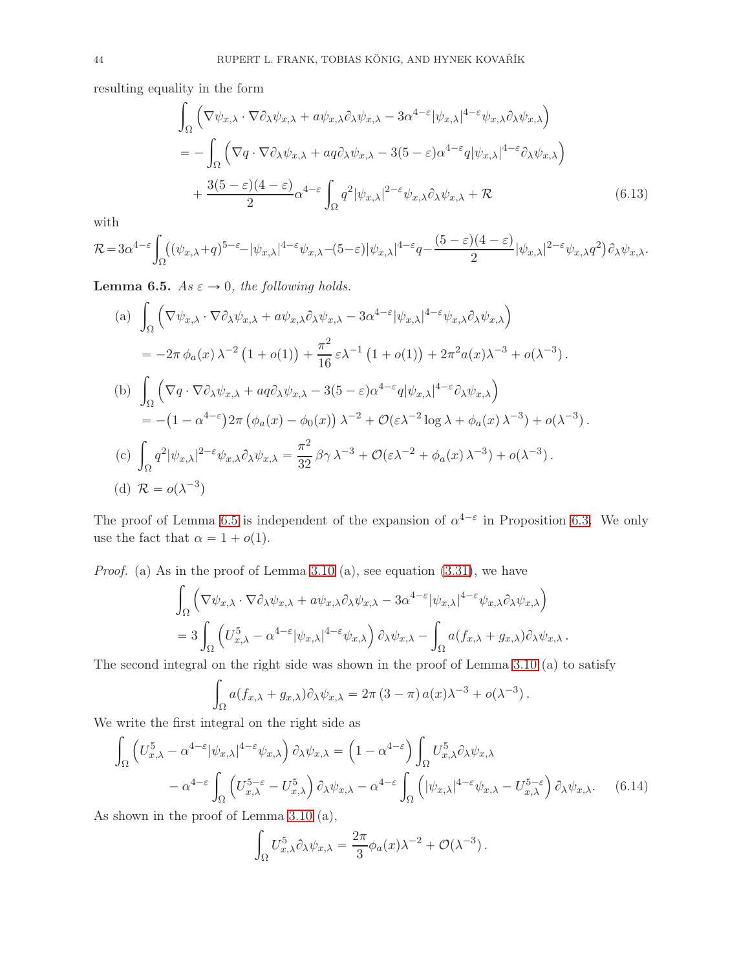resulting equality in the form

<span id="page-43-2"></span>
$$
\int_{\Omega} \left( \nabla \psi_{x,\lambda} \cdot \nabla \partial_{\lambda} \psi_{x,\lambda} + a \psi_{x,\lambda} \partial_{\lambda} \psi_{x,\lambda} - 3 \alpha^{4-\epsilon} |\psi_{x,\lambda}|^{4-\epsilon} \psi_{x,\lambda} \partial_{\lambda} \psi_{x,\lambda} \right) \n= - \int_{\Omega} \left( \nabla q \cdot \nabla \partial_{\lambda} \psi_{x,\lambda} + a q \partial_{\lambda} \psi_{x,\lambda} - 3(5-\epsilon) \alpha^{4-\epsilon} q |\psi_{x,\lambda}|^{4-\epsilon} \partial_{\lambda} \psi_{x,\lambda} \right) \n+ \frac{3(5-\epsilon)(4-\epsilon)}{2} \alpha^{4-\epsilon} \int_{\Omega} q^{2} |\psi_{x,\lambda}|^{2-\epsilon} \psi_{x,\lambda} \partial_{\lambda} \psi_{x,\lambda} + \mathcal{R}
$$
\n(6.13)

with

$$
\mathcal{R}=3\alpha^{4-\varepsilon}\int_{\Omega}((\psi_{x,\lambda}+q)^{5-\varepsilon}-|\psi_{x,\lambda}|^{4-\varepsilon}\psi_{x,\lambda}-(5-\varepsilon)|\psi_{x,\lambda}|^{4-\varepsilon}q-\frac{(5-\varepsilon)(4-\varepsilon)}{2}|\psi_{x,\lambda}|^{2-\varepsilon}\psi_{x,\lambda}q^{2})\partial_{\lambda}\psi_{x,\lambda}.
$$

<span id="page-43-0"></span>**Lemma 6.5.** As  $\varepsilon \to 0$ , the following holds.

(a) 
$$
\int_{\Omega} \left( \nabla \psi_{x,\lambda} \cdot \nabla \partial_{\lambda} \psi_{x,\lambda} + a \psi_{x,\lambda} \partial_{\lambda} \psi_{x,\lambda} - 3 \alpha^{4-\epsilon} |\psi_{x,\lambda}|^{4-\epsilon} \psi_{x,\lambda} \partial_{\lambda} \psi_{x,\lambda} \right)
$$
  
\n
$$
= -2\pi \phi_a(x) \lambda^{-2} (1 + o(1)) + \frac{\pi^2}{16} \epsilon \lambda^{-1} (1 + o(1)) + 2\pi^2 a(x) \lambda^{-3} + o(\lambda^{-3}).
$$
  
\n(b) 
$$
\int_{\Omega} \left( \nabla q \cdot \nabla \partial_{\lambda} \psi_{x,\lambda} + a q \partial_{\lambda} \psi_{x,\lambda} - 3(5 - \epsilon) \alpha^{4-\epsilon} q |\psi_{x,\lambda}|^{4-\epsilon} \partial_{\lambda} \psi_{x,\lambda} \right)
$$
  
\n
$$
= -(1 - \alpha^{4-\epsilon}) 2\pi (\phi_a(x) - \phi_0(x)) \lambda^{-2} + \mathcal{O}(\epsilon \lambda^{-2} \log \lambda + \phi_a(x) \lambda^{-3}) + o(\lambda^{-3}).
$$
  
\n(c) 
$$
\int_{\Omega} q^2 |\psi_{x,\lambda}|^{2-\epsilon} \psi_{x,\lambda} \partial_{\lambda} \psi_{x,\lambda} = \frac{\pi^2}{32} \beta \gamma \lambda^{-3} + \mathcal{O}(\epsilon \lambda^{-2} + \phi_a(x) \lambda^{-3}) + o(\lambda^{-3}).
$$
  
\n(d)  $\mathcal{R} = o(\lambda^{-3})$ 

The proof of Lemma [6.5](#page-43-0) is independent of the expansion of  $\alpha^{4-\epsilon}$  in Proposition [6.3.](#page-41-1) We only use the fact that  $\alpha = 1 + o(1)$ .

*Proof.* (a) As in the proof of Lemma [3.10](#page-22-0) (a), see equation  $(3.31)$ , we have

$$
\int_{\Omega} \left( \nabla \psi_{x,\lambda} \cdot \nabla \partial_{\lambda} \psi_{x,\lambda} + a \psi_{x,\lambda} \partial_{\lambda} \psi_{x,\lambda} - 3 \alpha^{4-\varepsilon} |\psi_{x,\lambda}|^{4-\varepsilon} \psi_{x,\lambda} \partial_{\lambda} \psi_{x,\lambda} \right) \n= 3 \int_{\Omega} \left( U_{x,\lambda}^5 - \alpha^{4-\varepsilon} |\psi_{x,\lambda}|^{4-\varepsilon} \psi_{x,\lambda} \right) \partial_{\lambda} \psi_{x,\lambda} - \int_{\Omega} a(f_{x,\lambda} + g_{x,\lambda}) \partial_{\lambda} \psi_{x,\lambda} .
$$

The second integral on the right side was shown in the proof of Lemma [3.10](#page-22-0) (a) to satisfy

$$
\int_{\Omega} a(f_{x,\lambda} + g_{x,\lambda}) \partial_{\lambda} \psi_{x,\lambda} = 2\pi (3 - \pi) a(x) \lambda^{-3} + o(\lambda^{-3}).
$$

We write the first integral on the right side as

$$
\int_{\Omega} \left( U_{x,\lambda}^{5} - \alpha^{4-\epsilon} |\psi_{x,\lambda}|^{4-\epsilon} \psi_{x,\lambda} \right) \partial_{\lambda} \psi_{x,\lambda} = \left( 1 - \alpha^{4-\epsilon} \right) \int_{\Omega} U_{x,\lambda}^{5} \partial_{\lambda} \psi_{x,\lambda} \n- \alpha^{4-\epsilon} \int_{\Omega} \left( U_{x,\lambda}^{5-\epsilon} - U_{x,\lambda}^{5} \right) \partial_{\lambda} \psi_{x,\lambda} - \alpha^{4-\epsilon} \int_{\Omega} \left( |\psi_{x,\lambda}|^{4-\epsilon} \psi_{x,\lambda} - U_{x,\lambda}^{5-\epsilon} \right) \partial_{\lambda} \psi_{x,\lambda}. \tag{6.14}
$$

As shown in the proof of Lemma [3.10](#page-22-0) (a),

<span id="page-43-1"></span>
$$
\int_{\Omega} U_{x,\lambda}^5 \partial_{\lambda} \psi_{x,\lambda} = \frac{2\pi}{3} \phi_a(x) \lambda^{-2} + \mathcal{O}(\lambda^{-3}).
$$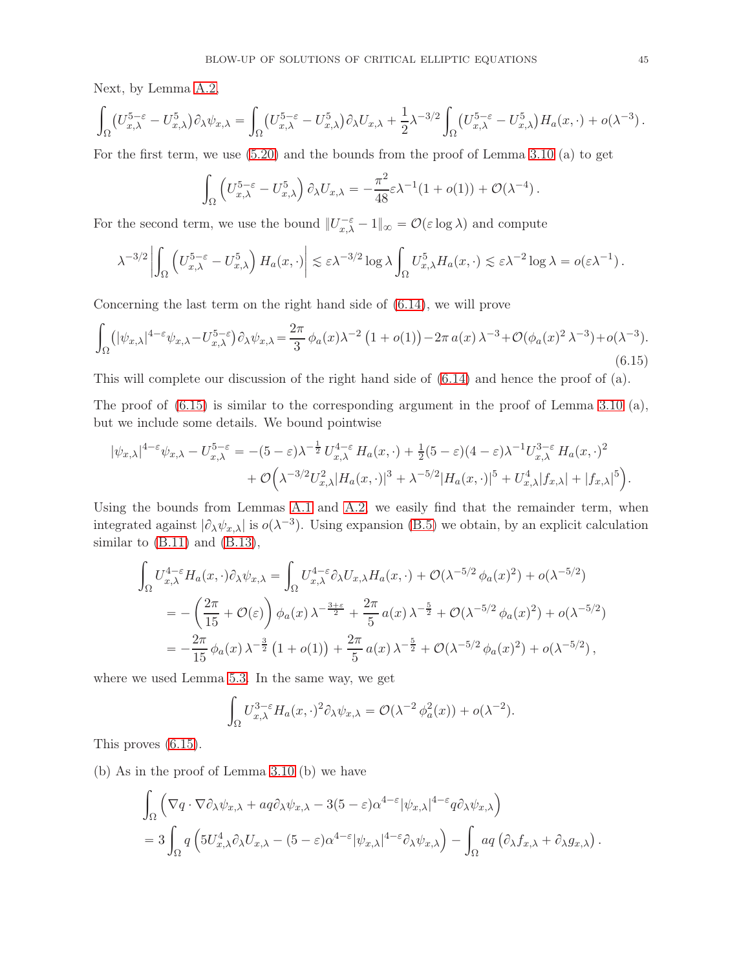Next, by Lemma [A.2,](#page-50-0)

$$
\int_{\Omega} \left( U_{x,\lambda}^{5-\varepsilon} - U_{x,\lambda}^{5} \right) \partial_{\lambda} \psi_{x,\lambda} = \int_{\Omega} \left( U_{x,\lambda}^{5-\varepsilon} - U_{x,\lambda}^{5} \right) \partial_{\lambda} U_{x,\lambda} + \frac{1}{2} \lambda^{-3/2} \int_{\Omega} \left( U_{x,\lambda}^{5-\varepsilon} - U_{x,\lambda}^{5} \right) H_a(x,\cdot) + o(\lambda^{-3}).
$$

For the first term, we use [\(5.20\)](#page-38-2) and the bounds from the proof of Lemma [3.10](#page-22-0) (a) to get

$$
\int_{\Omega} \left( U_{x,\lambda}^{5-\varepsilon} - U_{x,\lambda}^{5} \right) \partial_{\lambda} U_{x,\lambda} = -\frac{\pi^2}{48} \varepsilon \lambda^{-1} (1 + o(1)) + \mathcal{O}(\lambda^{-4}).
$$

For the second term, we use the bound  $||U_{x,\lambda}^{-\varepsilon} - 1||_{\infty} = \mathcal{O}(\varepsilon \log \lambda)$  and compute

$$
\lambda^{-3/2} \left| \int_{\Omega} \left( U_{x,\lambda}^{5-\varepsilon} - U_{x,\lambda}^{5} \right) H_a(x, \cdot) \right| \lesssim \varepsilon \lambda^{-3/2} \log \lambda \int_{\Omega} U_{x,\lambda}^{5} H_a(x, \cdot) \lesssim \varepsilon \lambda^{-2} \log \lambda = o(\varepsilon \lambda^{-1}).
$$

Concerning the last term on the right hand side of [\(6.14\)](#page-43-1), we will prove

<span id="page-44-0"></span>
$$
\int_{\Omega} \left( |\psi_{x,\lambda}|^{4-\varepsilon} \psi_{x,\lambda} - U_{x,\lambda}^{5-\varepsilon} \right) \partial_{\lambda} \psi_{x,\lambda} = \frac{2\pi}{3} \phi_a(x) \lambda^{-2} \left( 1 + o(1) \right) - 2\pi a(x) \lambda^{-3} + \mathcal{O}(\phi_a(x)^2 \lambda^{-3}) + o(\lambda^{-3}).
$$
\n(6.15)

This will complete our discussion of the right hand side of [\(6.14\)](#page-43-1) and hence the proof of (a).

The proof of  $(6.15)$  is similar to the corresponding argument in the proof of Lemma [3.10](#page-22-0) (a), but we include some details. We bound pointwise

$$
|\psi_{x,\lambda}|^{4-\varepsilon}\psi_{x,\lambda} - U_{x,\lambda}^{5-\varepsilon} = -(5-\varepsilon)\lambda^{-\frac{1}{2}}U_{x,\lambda}^{4-\varepsilon}H_a(x,\cdot) + \frac{1}{2}(5-\varepsilon)(4-\varepsilon)\lambda^{-1}U_{x,\lambda}^{3-\varepsilon}H_a(x,\cdot)^2
$$
  
+  $\mathcal{O}\Big(\lambda^{-3/2}U_{x,\lambda}^2|H_a(x,\cdot)|^3 + \lambda^{-5/2}|H_a(x,\cdot)|^5 + U_{x,\lambda}^4|f_{x,\lambda}| + |f_{x,\lambda}|^5\Big).$ 

Using the bounds from Lemmas [A.1](#page-49-0) and [A.2,](#page-50-0) we easily find that the remainder term, when integrated against  $|\partial_{\lambda}\psi_{x,\lambda}|$  is  $o(\lambda^{-3})$ . Using expansion [\(B.5\)](#page-52-0) we obtain, by an explicit calculation similar to [\(B.11\)](#page-53-2) and [\(B.13\)](#page-53-3),

$$
\int_{\Omega} U_{x,\lambda}^{4-\epsilon} H_a(x,\cdot) \partial_{\lambda} \psi_{x,\lambda} = \int_{\Omega} U_{x,\lambda}^{4-\epsilon} \partial_{\lambda} U_{x,\lambda} H_a(x,\cdot) + \mathcal{O}(\lambda^{-5/2} \phi_a(x)^2) + o(\lambda^{-5/2})
$$
\n
$$
= -\left(\frac{2\pi}{15} + \mathcal{O}(\epsilon)\right) \phi_a(x) \lambda^{-\frac{3+\epsilon}{2}} + \frac{2\pi}{5} a(x) \lambda^{-\frac{5}{2}} + \mathcal{O}(\lambda^{-5/2} \phi_a(x)^2) + o(\lambda^{-5/2})
$$
\n
$$
= -\frac{2\pi}{15} \phi_a(x) \lambda^{-\frac{3}{2}} \left(1 + o(1)\right) + \frac{2\pi}{5} a(x) \lambda^{-\frac{5}{2}} + \mathcal{O}(\lambda^{-5/2} \phi_a(x)^2) + o(\lambda^{-5/2}),
$$

where we used Lemma [5.3.](#page-35-2) In the same way, we get

$$
\int_{\Omega} U_{x,\lambda}^{3-\epsilon} H_a(x,\cdot)^2 \partial_{\lambda} \psi_{x,\lambda} = \mathcal{O}(\lambda^{-2} \phi_a^2(x)) + o(\lambda^{-2}).
$$

This proves [\(6.15\)](#page-44-0).

(b) As in the proof of Lemma [3.10](#page-22-0) (b) we have

$$
\int_{\Omega} \left( \nabla q \cdot \nabla \partial_{\lambda} \psi_{x,\lambda} + a q \partial_{\lambda} \psi_{x,\lambda} - 3(5 - \varepsilon) \alpha^{4-\varepsilon} |\psi_{x,\lambda}|^{4-\varepsilon} q \partial_{\lambda} \psi_{x,\lambda} \right) \n= 3 \int_{\Omega} q \left( 5U_{x,\lambda}^4 \partial_{\lambda} U_{x,\lambda} - (5 - \varepsilon) \alpha^{4-\varepsilon} |\psi_{x,\lambda}|^{4-\varepsilon} \partial_{\lambda} \psi_{x,\lambda} \right) - \int_{\Omega} a q \left( \partial_{\lambda} f_{x,\lambda} + \partial_{\lambda} g_{x,\lambda} \right).
$$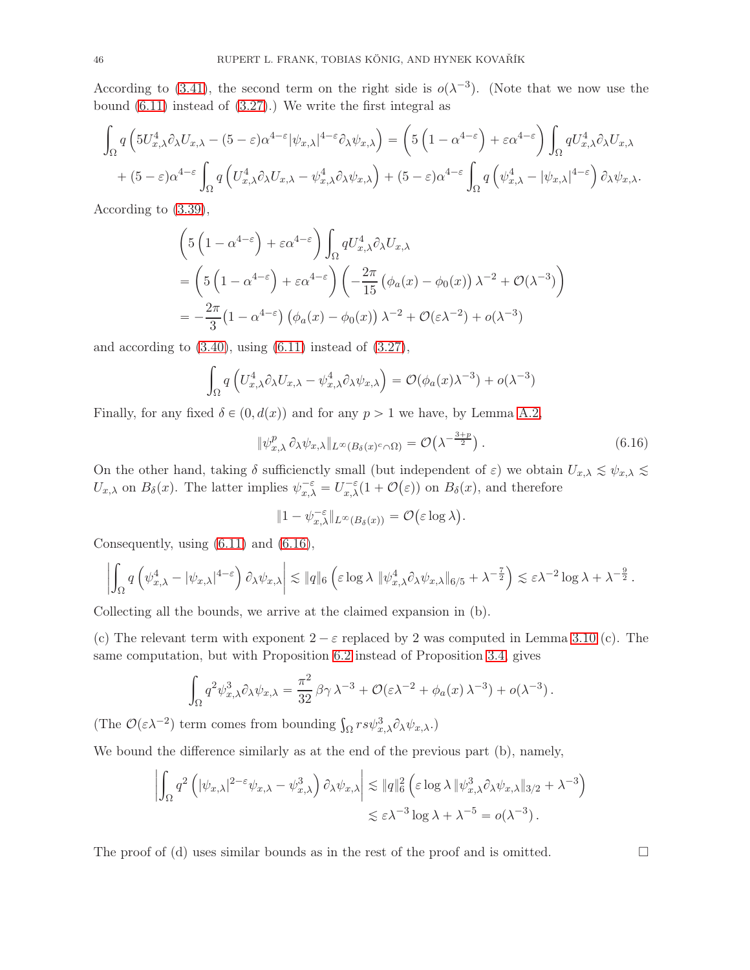According to [\(3.41\)](#page-25-1), the second term on the right side is  $o(\lambda^{-3})$ . (Note that we now use the bound [\(6.11\)](#page-42-0) instead of [\(3.27\)](#page-20-0).) We write the first integral as

$$
\int_{\Omega} q\left(5U_{x,\lambda}^4 \partial_{\lambda} U_{x,\lambda} - (5-\varepsilon)\alpha^{4-\varepsilon} |\psi_{x,\lambda}|^{4-\varepsilon} \partial_{\lambda} \psi_{x,\lambda}\right) = \left(5\left(1 - \alpha^{4-\varepsilon}\right) + \varepsilon \alpha^{4-\varepsilon}\right) \int_{\Omega} q U_{x,\lambda}^4 \partial_{\lambda} U_{x,\lambda} + (5-\varepsilon)\alpha^{4-\varepsilon} \int_{\Omega} q\left(U_{x,\lambda}^4 \partial_{\lambda} U_{x,\lambda} - \psi_{x,\lambda}^4 \partial_{\lambda} \psi_{x,\lambda}\right) + (5-\varepsilon)\alpha^{4-\varepsilon} \int_{\Omega} q\left(\psi_{x,\lambda}^4 - |\psi_{x,\lambda}|^{4-\varepsilon}\right) \partial_{\lambda} \psi_{x,\lambda}.
$$

According to [\(3.39\)](#page-24-2),

$$
\begin{split} &\left(5\left(1-\alpha^{4-\varepsilon}\right)+\varepsilon\alpha^{4-\varepsilon}\right)\int_{\Omega}qU_{x,\lambda}^{4}\partial_{\lambda}U_{x,\lambda} \\ &=\left(5\left(1-\alpha^{4-\varepsilon}\right)+\varepsilon\alpha^{4-\varepsilon}\right)\left(-\frac{2\pi}{15}\left(\phi_{a}(x)-\phi_{0}(x)\right)\lambda^{-2}+\mathcal{O}(\lambda^{-3})\right) \\ &=-\frac{2\pi}{3}\left(1-\alpha^{4-\varepsilon}\right)\left(\phi_{a}(x)-\phi_{0}(x)\right)\lambda^{-2}+\mathcal{O}(\varepsilon\lambda^{-2})+o(\lambda^{-3}) \end{split}
$$

and according to  $(3.40)$ , using  $(6.11)$  instead of  $(3.27)$ ,

$$
\int_{\Omega} q\left( U_{x,\lambda}^4 \partial_{\lambda} U_{x,\lambda} - \psi_{x,\lambda}^4 \partial_{\lambda} \psi_{x,\lambda} \right) = \mathcal{O}(\phi_a(x) \lambda^{-3}) + o(\lambda^{-3})
$$

Finally, for any fixed  $\delta \in (0, d(x))$  and for any  $p > 1$  we have, by Lemma [A.2,](#page-50-0)

<span id="page-45-0"></span>
$$
\|\psi_{x,\lambda}^p \partial_{\lambda} \psi_{x,\lambda}\|_{L^{\infty}(B_{\delta}(x)^c \cap \Omega)} = \mathcal{O}\left(\lambda^{-\frac{3+p}{2}}\right). \tag{6.16}
$$

On the other hand, taking  $\delta$  sufficienctly small (but independent of  $\varepsilon$ ) we obtain  $U_{x,\lambda} \leq \psi_{x,\lambda} \leq$  $U_{x,\lambda}$  on  $B_{\delta}(x)$ . The latter implies  $\psi_{x,\lambda}^{-\varepsilon} = U_{x,\lambda}^{-\varepsilon}(1+\mathcal{O}(\varepsilon))$  on  $B_{\delta}(x)$ , and therefore

$$
||1 - \psi_{x,\lambda}^{-\varepsilon}||_{L^{\infty}(B_{\delta}(x))} = \mathcal{O}(\varepsilon \log \lambda).
$$

Consequently, using [\(6.11\)](#page-42-0) and [\(6.16\)](#page-45-0),

$$
\left|\int_{\Omega} q\left(\psi_{x,\lambda}^4 - |\psi_{x,\lambda}|^{4-\varepsilon}\right) \partial_{\lambda} \psi_{x,\lambda}\right| \lesssim \|q\|_6 \left(\varepsilon \log \lambda \, \|\psi_{x,\lambda}^4 \partial_{\lambda} \psi_{x,\lambda}\|_{6/5} + \lambda^{-\frac{7}{2}}\right) \lesssim \varepsilon \lambda^{-2} \log \lambda + \lambda^{-\frac{9}{2}}.
$$

Collecting all the bounds, we arrive at the claimed expansion in (b).

(c) The relevant term with exponent  $2 - \varepsilon$  replaced by 2 was computed in Lemma [3.10](#page-22-0) (c). The same computation, but with Proposition [6.2](#page-40-3) instead of Proposition [3.4,](#page-17-2) gives

$$
\int_{\Omega} q^2 \psi_{x,\lambda}^3 \partial_{\lambda} \psi_{x,\lambda} = \frac{\pi^2}{32} \beta \gamma \lambda^{-3} + \mathcal{O}(\varepsilon \lambda^{-2} + \phi_a(x) \lambda^{-3}) + o(\lambda^{-3}).
$$

(The  $\mathcal{O}(\varepsilon \lambda^{-2})$  term comes from bounding  $\int_{\Omega} rs\psi_{x,\lambda}^{3} \partial_{\lambda} \psi_{x,\lambda}$ .)

We bound the difference similarly as at the end of the previous part (b), namely,

$$
\left| \int_{\Omega} q^2 \left( |\psi_{x,\lambda}|^{2-\epsilon} \psi_{x,\lambda} - \psi_{x,\lambda}^3 \right) \partial_{\lambda} \psi_{x,\lambda} \right| \lesssim \|q\|_6^2 \left( \epsilon \log \lambda \|\psi_{x,\lambda}^3 \partial_{\lambda} \psi_{x,\lambda}\|_{3/2} + \lambda^{-3} \right) \lesssim \epsilon \lambda^{-3} \log \lambda + \lambda^{-5} = o(\lambda^{-3}).
$$

The proof of (d) uses similar bounds as in the rest of the proof and is omitted.  $\Box$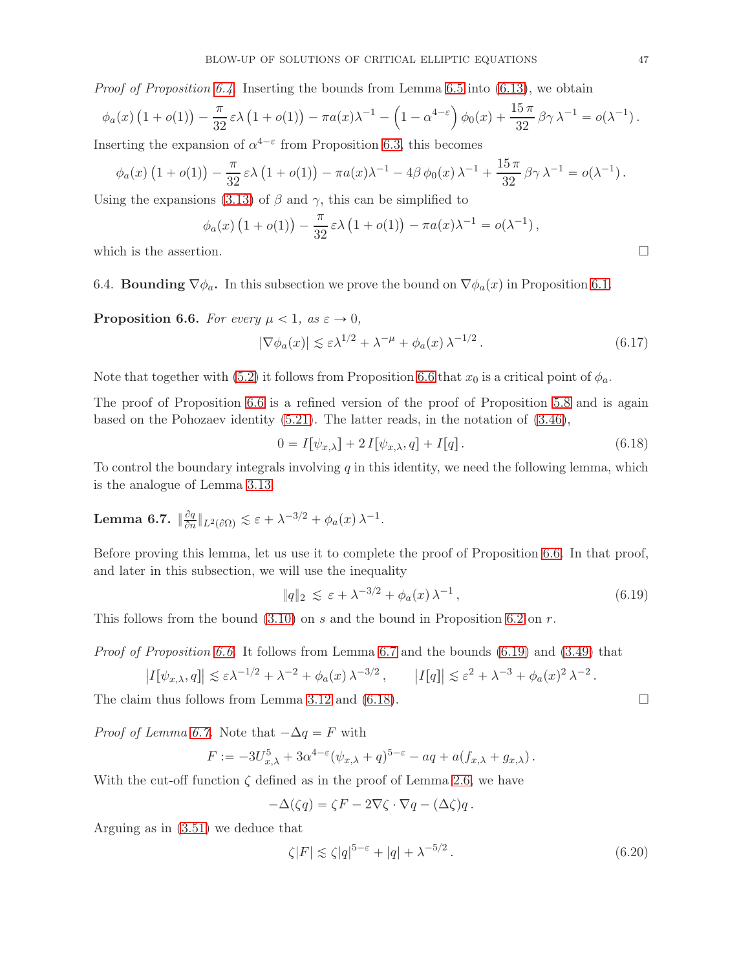*Proof of Proposition [6.4.](#page-42-1)* Inserting the bounds from Lemma [6.5](#page-43-0) into  $(6.13)$ , we obtain

$$
\phi_a(x)\left(1+o(1)\right)-\frac{\pi}{32}\varepsilon\lambda\left(1+o(1)\right)-\pi a(x)\lambda^{-1}-\left(1-\alpha^{4-\varepsilon}\right)\phi_0(x)+\frac{15\pi}{32}\beta\gamma\lambda^{-1}=o(\lambda^{-1}).
$$

Inserting the expansion of  $\alpha^{4-\epsilon}$  from Proposition [6.3,](#page-41-1) this becomes

$$
\phi_a(x) \left(1 + o(1)\right) - \frac{\pi}{32} \varepsilon \lambda \left(1 + o(1)\right) - \pi a(x) \lambda^{-1} - 4\beta \phi_0(x) \lambda^{-1} + \frac{15\pi}{32} \beta \gamma \lambda^{-1} = o(\lambda^{-1}).
$$

Using the expansions [\(3.13\)](#page-16-2) of  $\beta$  and  $\gamma$ , this can be simplified to

$$
\phi_a(x) (1 + o(1)) - \frac{\pi}{32} \varepsilon \lambda (1 + o(1)) - \pi a(x) \lambda^{-1} = o(\lambda^{-1}),
$$

which is the assertion.  $\Box$ 

6.4. **Bounding**  $\nabla \phi_a$ . In this subsection we prove the bound on  $\nabla \phi_a(x)$  in Proposition [6.1.](#page-39-1)

<span id="page-46-0"></span>**Proposition 6.6.** For every  $\mu < 1$ , as  $\varepsilon \to 0$ ,

$$
|\nabla \phi_a(x)| \lesssim \varepsilon \lambda^{1/2} + \lambda^{-\mu} + \phi_a(x) \lambda^{-1/2}.
$$
 (6.17)

Note that together with [\(5.2\)](#page-34-1) it follows from Proposition [6.6](#page-46-0) that  $x_0$  is a critical point of  $\phi_a$ .

The proof of Proposition [6.6](#page-46-0) is a refined version of the proof of Proposition [5.8](#page-38-1) and is again based on the Pohozaev identity [\(5.21\)](#page-38-3). The latter reads, in the notation of [\(3.46\)](#page-26-6),

<span id="page-46-3"></span>
$$
0 = I[\psi_{x,\lambda}] + 2I[\psi_{x,\lambda}, q] + I[q]. \qquad (6.18)
$$

To control the boundary integrals involving q in this identity, we need the following lemma, which is the analogue of Lemma [3.13.](#page-27-2)

<span id="page-46-1"></span>**Lemma 6.7.** 
$$
\|\frac{\partial q}{\partial n}\|_{L^2(\partial\Omega)} \lesssim \varepsilon + \lambda^{-3/2} + \phi_a(x)\,\lambda^{-1}.
$$

Before proving this lemma, let us use it to complete the proof of Proposition [6.6.](#page-46-0) In that proof, and later in this subsection, we will use the inequality

<span id="page-46-2"></span>
$$
||q||_2 \lesssim \varepsilon + \lambda^{-3/2} + \phi_a(x)\,\lambda^{-1},\tag{6.19}
$$

This follows from the bound  $(3.10)$  on s and the bound in Proposition [6.2](#page-40-3) on r.

*Proof of Proposition [6.6.](#page-46-0)* It follows from Lemma [6.7](#page-46-1) and the bounds  $(6.19)$  and  $(3.49)$  that

$$
\left|I[\psi_{x,\lambda},q]\right| \lesssim \varepsilon \lambda^{-1/2} + \lambda^{-2} + \phi_a(x) \lambda^{-3/2}, \qquad \left|I[q]\right| \lesssim \varepsilon^2 + \lambda^{-3} + \phi_a(x)^2 \lambda^{-2}.
$$

The claim thus follows from Lemma [3.12](#page-26-3) and [\(6.18\)](#page-46-3).  $\Box$ 

*Proof of Lemma [6.7.](#page-46-1)* Note that  $-\Delta q = F$  with

$$
F := -3U_{x,\lambda}^5 + 3\alpha^{4-\varepsilon} (\psi_{x,\lambda} + q)^{5-\varepsilon} - aq + a(f_{x,\lambda} + g_{x,\lambda}).
$$

With the cut-off function  $\zeta$  defined as in the proof of Lemma [2.6,](#page-11-1) we have

$$
-\Delta(\zeta q) = \zeta F - 2\nabla\zeta \cdot \nabla q - (\Delta\zeta)q.
$$

Arguing as in [\(3.51\)](#page-28-0) we deduce that

$$
\zeta|F| \lesssim \zeta|q|^{5-\varepsilon} + |q| + \lambda^{-5/2}.
$$
\n(6.20)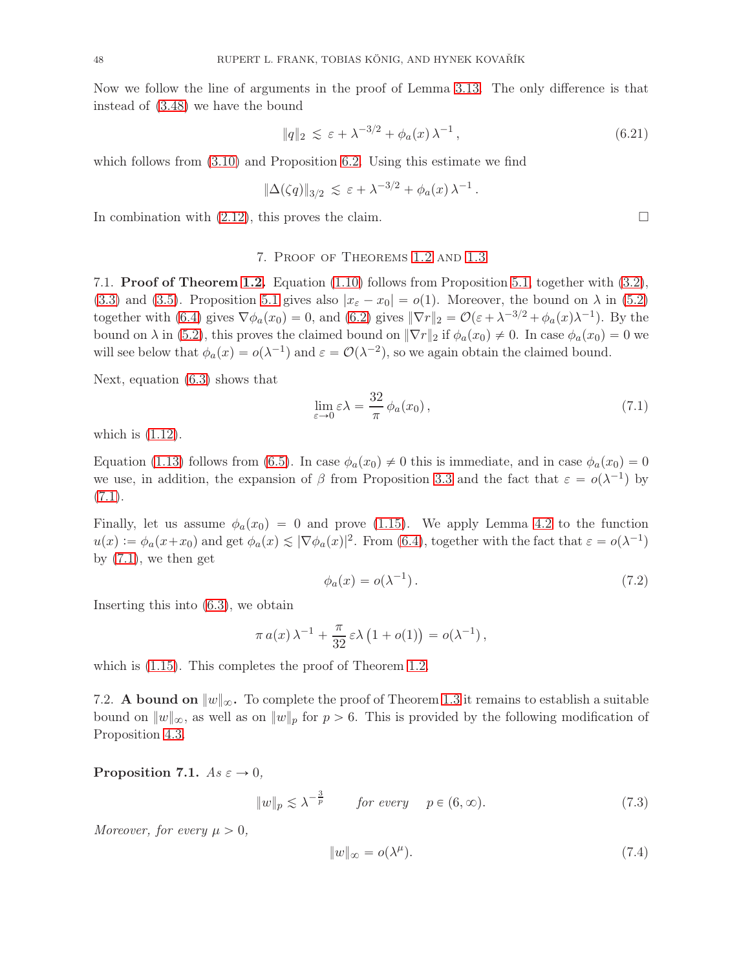Now we follow the line of arguments in the proof of Lemma [3.13.](#page-27-2) The only difference is that instead of [\(3.48\)](#page-27-0) we have the bound

$$
||q||_2 \lesssim \varepsilon + \lambda^{-3/2} + \phi_a(x)\,\lambda^{-1},\tag{6.21}
$$

which follows from  $(3.10)$  and Proposition [6.2.](#page-40-3) Using this estimate we find

$$
\|\Delta(\zeta q)\|_{3/2} \,\lesssim\,\varepsilon + \lambda^{-3/2} + \phi_a(x)\,\lambda^{-1}\,.
$$

<span id="page-47-1"></span>In combination with  $(2.12)$ , this proves the claim.

#### 7. Proof of Theorems [1.2](#page-3-1) and [1.3](#page-3-0)

7.1. Proof of Theorem [1.2.](#page-3-1) Equation [\(1.10\)](#page-3-2) follows from Proposition [5.1,](#page-33-2) together with [\(3.2\)](#page-14-5), [\(3.3\)](#page-14-6) and [\(3.5\)](#page-14-4). Proposition [5.1](#page-33-2) gives also  $|x_{\varepsilon} - x_0| = o(1)$ . Moreover, the bound on  $\lambda$  in [\(5.2\)](#page-34-1) together with [\(6.4\)](#page-39-2) gives  $\nabla \phi_a(x_0) = 0$ , and [\(6.2\)](#page-39-3) gives  $\|\nabla r\|_2 = \mathcal{O}(\varepsilon + \lambda^{-3/2} + \phi_a(x)\lambda^{-1})$ . By the bound on  $\lambda$  in [\(5.2\)](#page-34-1), this proves the claimed bound on  $\|\nabla r\|_2$  if  $\phi_a(x_0) \neq 0$ . In case  $\phi_a(x_0) = 0$  we will see below that  $\phi_a(x) = o(\lambda^{-1})$  and  $\varepsilon = \mathcal{O}(\lambda^{-2})$ , so we again obtain the claimed bound.

Next, equation [\(6.3\)](#page-39-4) shows that

<span id="page-47-2"></span>
$$
\lim_{\varepsilon \to 0} \varepsilon \lambda = \frac{32}{\pi} \phi_a(x_0), \tag{7.1}
$$

which is  $(1.12)$ .

Equation [\(1.13\)](#page-3-4) follows from [\(6.5\)](#page-39-5). In case  $\phi_a(x_0) \neq 0$  this is immediate, and in case  $\phi_a(x_0) = 0$ we use, in addition, the expansion of  $\beta$  from Proposition [3.3](#page-16-4) and the fact that  $\varepsilon = o(\lambda^{-1})$  by  $(7.1).$  $(7.1).$ 

Finally, let us assume  $\phi_a(x_0) = 0$  and prove [\(1.15\)](#page-3-5). We apply Lemma [4.2](#page-30-4) to the function  $u(x) := \phi_a(x+x_0)$  and get  $\phi_a(x) \leq |\nabla \phi_a(x)|^2$ . From [\(6.4\)](#page-39-2), together with the fact that  $\varepsilon = o(\lambda^{-1})$ by  $(7.1)$ , we then get

$$
\phi_a(x) = o(\lambda^{-1}).\tag{7.2}
$$

Inserting this into [\(6.3\)](#page-39-4), we obtain

$$
\pi a(x)\lambda^{-1} + \frac{\pi}{32} \varepsilon \lambda (1 + o(1)) = o(\lambda^{-1}),
$$

<span id="page-47-0"></span>which is  $(1.15)$ . This completes the proof of Theorem [1.2.](#page-3-1)

7.2. A bound on  $||w||_{\infty}$ . To complete the proof of Theorem [1.3](#page-3-0) it remains to establish a suitable bound on  $||w||_{\infty}$ , as well as on  $||w||_{p}$  for  $p > 6$ . This is provided by the following modification of Proposition [4.3.](#page-31-5)

<span id="page-47-5"></span>Proposition 7.1.  $As \varepsilon \to 0$ ,

<span id="page-47-3"></span> $||w||_p \lesssim \lambda^{-\frac{3}{p}}$  for every  $p \in (6, \infty)$ . (7.3)

Moreover, for every  $\mu > 0$ ,

<span id="page-47-4"></span>
$$
||w||_{\infty} = o(\lambda^{\mu}). \tag{7.4}
$$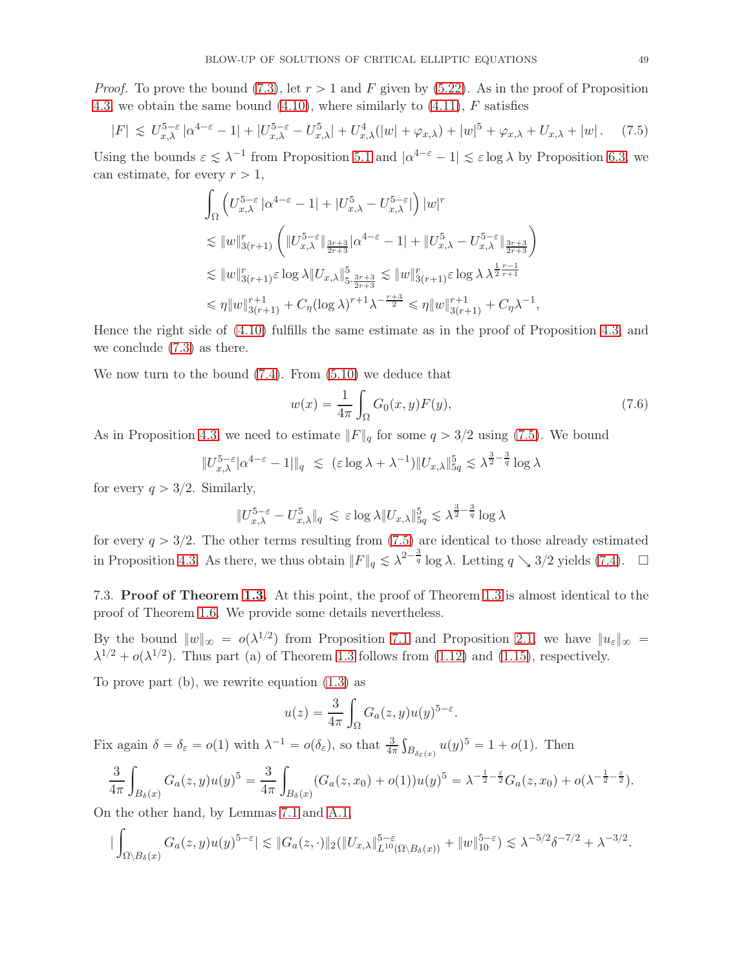*Proof.* To prove the bound [\(7.3\)](#page-47-3), let  $r > 1$  and F given by [\(5.22\)](#page-39-6). As in the proof of Proposition [4.3,](#page-31-5) we obtain the same bound  $(4.10)$ , where similarly to  $(4.11)$ , F satisfies

<span id="page-48-0"></span>
$$
|F| \lesssim U_{x,\lambda}^{5-\varepsilon} |\alpha^{4-\varepsilon}-1| + |U_{x,\lambda}^{5-\varepsilon}-U_{x,\lambda}^{5}| + U_{x,\lambda}^{4}(|w|+\varphi_{x,\lambda}) + |w|^{5} + \varphi_{x,\lambda} + U_{x,\lambda} + |w|.
$$
 (7.5)

Using the bounds  $\varepsilon \lesssim \lambda^{-1}$  from Proposition [5.1](#page-33-2) and  $|\alpha^{4-\varepsilon} - 1| \lesssim \varepsilon \log \lambda$  by Proposition [6.3,](#page-41-1) we can estimate, for every  $r > 1$ ,

$$
\int_{\Omega} \left( U_{x,\lambda}^{5-\varepsilon} \left| \alpha^{4-\varepsilon} - 1 \right| + |U_{x,\lambda}^{5} - U_{x,\lambda}^{5-\varepsilon}| \right) |w|^{r}
$$
\n
$$
\lesssim \|w\|_{3(r+1)}^{r} \left( \|U_{x,\lambda}^{5-\varepsilon}\|_{\frac{3r+3}{2r+3}} \right) \alpha^{4-\varepsilon} - 1 + \|U_{x,\lambda}^{5} - U_{x,\lambda}^{5-\varepsilon}\|_{\frac{3r+3}{2r+3}} \right)
$$
\n
$$
\lesssim \|w\|_{3(r+1)}^{r} \varepsilon \log \lambda \|U_{x,\lambda}\|_{5,\frac{3r+3}{2r+3}}^{5} \lesssim \|w\|_{3(r+1)}^{r} \varepsilon \log \lambda \lambda^{\frac{1}{2}\frac{r-1}{r+1}}
$$
\n
$$
\leq \eta \|w\|_{3(r+1)}^{r+1} + C_{\eta} (\log \lambda)^{r+1} \lambda^{-\frac{r+3}{2}} \leq \eta \|w\|_{3(r+1)}^{r+1} + C_{\eta} \lambda^{-1},
$$

Hence the right side of [\(4.10\)](#page-31-1) fulfills the same estimate as in the proof of Proposition [4.3,](#page-31-5) and we conclude [\(7.3\)](#page-47-3) as there.

We now turn to the bound [\(7.4\)](#page-47-4). From [\(5.10\)](#page-36-3) we deduce that

$$
w(x) = \frac{1}{4\pi} \int_{\Omega} G_0(x, y) F(y),
$$
\n(7.6)

As in Proposition [4.3,](#page-31-5) we need to estimate  $||F||_q$  for some  $q > 3/2$  using [\(7.5\)](#page-48-0). We bound

$$
||U_{x,\lambda}^{5-\varepsilon}|\alpha^{4-\varepsilon}-1||_q \le (\varepsilon \log \lambda + \lambda^{-1})||U_{x,\lambda}||_{5q}^5 \lesssim \lambda^{\frac{3}{2}-\frac{3}{q}} \log \lambda
$$

for every  $q > 3/2$ . Similarly,

$$
\|U_{x,\lambda}^{5-\varepsilon}-U_{x,\lambda}^{5}\|_{q}\,\lesssim\, \varepsilon\log\lambda \|U_{x,\lambda}\|_{5q}^{5}\lesssim \lambda^{\frac{3}{2}-\frac{3}{q}}\log\lambda
$$

for every  $q > 3/2$ . The other terms resulting from [\(7.5\)](#page-48-0) are identical to those already estimated in Proposition [4.3.](#page-31-5) As there, we thus obtain  $||F||_q \leq \lambda^{2-\frac{3}{q}} \log \lambda$ . Letting  $q \searrow 3/2$  yields [\(7.4\)](#page-47-4).  $\square$ 

7.3. Proof of Theorem [1.3.](#page-3-0) At this point, the proof of Theorem [1.3](#page-3-0) is almost identical to the proof of Theorem [1.6.](#page-5-1) We provide some details nevertheless.

By the bound  $||w||_{\infty} = o(\lambda^{1/2})$  from Proposition [7.1](#page-47-5) and Proposition [2.1,](#page-7-1) we have  $||u_{\varepsilon}||_{\infty} =$  $\lambda^{1/2} + o(\lambda^{1/2})$ . Thus part (a) of Theorem [1.3](#page-3-0) follows from [\(1.12\)](#page-3-3) and [\(1.15\)](#page-3-5), respectively.

To prove part (b), we rewrite equation [\(1.3\)](#page-1-1) as

$$
u(z) = \frac{3}{4\pi} \int_{\Omega} G_a(z, y) u(y)^{5-\varepsilon}.
$$

Fix again  $\delta = \delta_{\varepsilon} = o(1)$  with  $\lambda^{-1} = o(\delta_{\varepsilon})$ , so that  $\frac{3}{4\pi} \int_{B_{\delta_{\varepsilon}}(x)} u(y)^5 = 1 + o(1)$ . Then

$$
\frac{3}{4\pi} \int_{B_\delta(x)} G_a(z,y) u(y)^5 = \frac{3}{4\pi} \int_{B_\delta(x)} (G_a(z,x_0) + o(1)) u(y)^5 = \lambda^{-\frac{1}{2} - \frac{\varepsilon}{2}} G_a(z,x_0) + o(\lambda^{-\frac{1}{2} - \frac{\varepsilon}{2}}).
$$

On the other hand, by Lemmas [7.1](#page-47-5) and [A.1,](#page-49-0)

$$
|\int_{\Omega\setminus B_\delta(x)}G_a(z,y)u(y)^{5-\varepsilon}|\lesssim \|G_a(z,\cdot)\|_2(\|U_{x,\lambda}\|_{L^{10}(\Omega\setminus B_\delta(x))}^{5-\varepsilon}+\|w\|_{10}^{5-\varepsilon})\lesssim \lambda^{-5/2}\delta^{-7/2}+\lambda^{-3/2}.
$$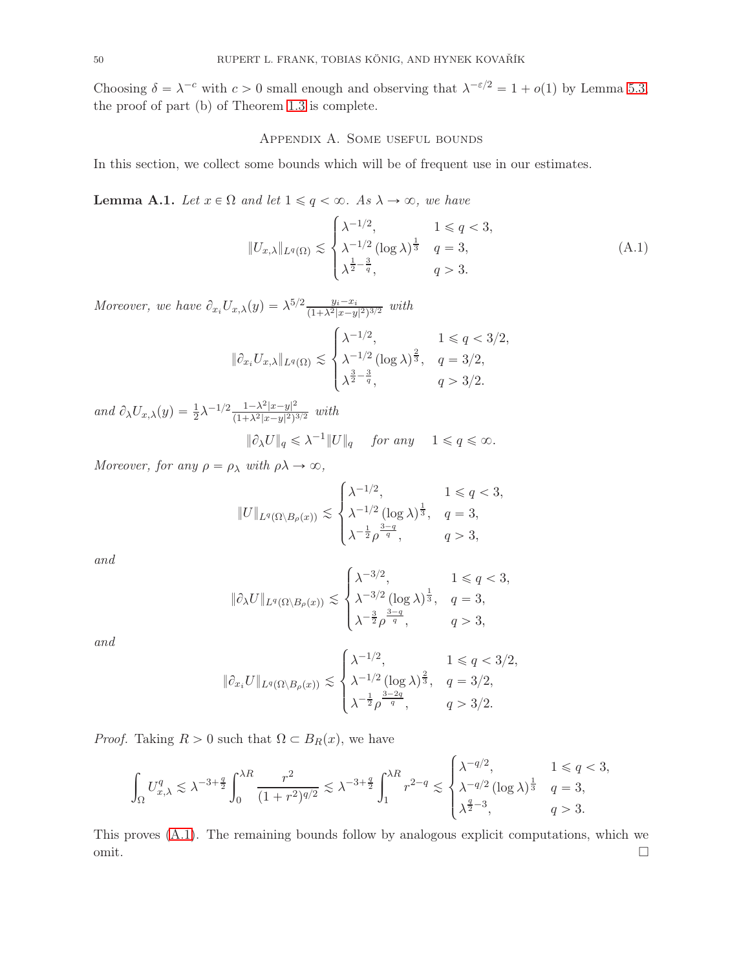Choosing  $\delta = \lambda^{-c}$  with  $c > 0$  small enough and observing that  $\lambda^{-\epsilon/2} = 1 + o(1)$  by Lemma [5.3,](#page-35-2) the proof of part (b) of Theorem [1.3](#page-3-0) is complete.

#### Appendix A. Some useful bounds

In this section, we collect some bounds which will be of frequent use in our estimates.

<span id="page-49-0"></span>**Lemma A.1.** Let  $x \in \Omega$  and let  $1 \leq q < \infty$ . As  $\lambda \to \infty$ , we have

<span id="page-49-1"></span>
$$
||U_{x,\lambda}||_{L^{q}(\Omega)} \lesssim \begin{cases} \lambda^{-1/2}, & 1 \le q < 3, \\ \lambda^{-1/2} (\log \lambda)^{\frac{1}{3}} & q = 3, \\ \lambda^{\frac{1}{2} - \frac{3}{q}}, & q > 3. \end{cases}
$$
(A.1)

Moreover, we have  $\partial_{x_i} U_{x,\lambda}(y) = \lambda^{5/2} \frac{y_i - x_i}{(1 + \lambda^2 |x - y|^2)^{3/2}}$  with

$$
\|\partial_{x_i} U_{x,\lambda}\|_{L^q(\Omega)} \lesssim \begin{cases} \lambda^{-1/2}, & 1 \le q < 3/2, \\ \lambda^{-1/2} (\log \lambda)^{\frac{2}{3}}, & q = 3/2, \\ \lambda^{\frac{3}{2} - \frac{3}{q}}, & q > 3/2. \end{cases}
$$

and  $\partial_{\lambda}U_{x,\lambda}(y) = \frac{1}{2}\lambda^{-1/2}\frac{1-\lambda^2|x-y|^2}{(1+\lambda^2|x-y|^2)^2}$  $\frac{1-\lambda^{-}|x-y|^{-}}{(1+\lambda^{2}|x-y|^{2})^{3/2}}$  with

 $\|\partial_{\lambda}U\|_q \leq \lambda^{-1} \|U\|_q$  for any  $1 \leq q \leq \infty$ .

 $Moreover, \ for \ any \ \rho = \rho_{\lambda} \ with \ \rho \lambda \rightarrow \infty,$ 

$$
||U||_{L^q(\Omega\setminus B_\rho(x))} \lesssim \begin{cases} \lambda^{-1/2}, & 1 \le q < 3, \\ \lambda^{-1/2} (\log \lambda)^{\frac{1}{3}}, & q = 3, \\ \lambda^{-\frac{1}{2}} \rho^{\frac{3-q}{q}}, & q > 3, \end{cases}
$$

and

$$
\|\partial_{\lambda}U\|_{L^{q}(\Omega\setminus B_{\rho}(x))}\lesssim\begin{cases} \lambda^{-3/2},&1\leqslant q<3,\\ \lambda^{-3/2}(\log\lambda)^{\frac{1}{3}},&q=3,\\ \lambda^{-\frac{3}{2}}\rho^{\frac{3-q}{q}},&q>3,\end{cases}
$$

and

$$
\|\partial_{x_i} U\|_{L^q(\Omega \setminus B_\rho(x))} \lesssim \begin{cases} \lambda^{-1/2}, & 1 \le q < 3/2, \\ \lambda^{-1/2} (\log \lambda)^{\frac{2}{3}}, & q = 3/2, \\ \lambda^{-\frac{1}{2}} \rho^{\frac{3-2q}{q}}, & q > 3/2. \end{cases}
$$

*Proof.* Taking  $R > 0$  such that  $\Omega \subset B_R(x)$ , we have

$$
\int_{\Omega} U_{x,\lambda}^{q} \lesssim \lambda^{-3+\frac{q}{2}} \int_{0}^{\lambda R} \frac{r^{2}}{(1+r^{2})^{q/2}} \lesssim \lambda^{-3+\frac{q}{2}} \int_{1}^{\lambda R} r^{2-q} \lesssim \begin{cases} \lambda^{-q/2}, & 1 \leq q < 3, \\ \lambda^{-q/2} (\log \lambda)^{\frac{1}{3}} & q = 3, \\ \lambda^{\frac{q}{2}-3}, & q > 3. \end{cases}
$$

This proves [\(A.1\)](#page-49-1). The remaining bounds follow by analogous explicit computations, which we  $\Box$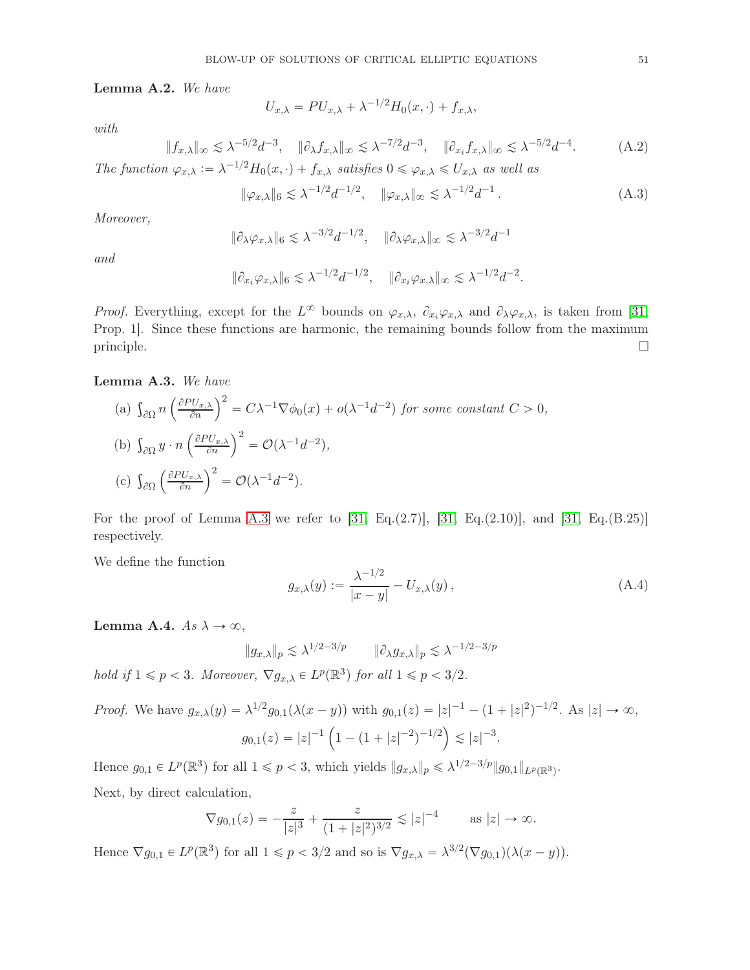<span id="page-50-0"></span>Lemma A.2. We have

with

$$
U_{x,\lambda} = PU_{x,\lambda} + \lambda^{-1/2} H_0(x,\cdot) + f_{x,\lambda},
$$

$$
||f_{x,\lambda}||_{\infty} \lesssim \lambda^{-5/2} d^{-3}, \quad ||\partial_{\lambda} f_{x,\lambda}||_{\infty} \lesssim \lambda^{-7/2} d^{-3}, \quad ||\partial_{x_i} f_{x,\lambda}||_{\infty} \lesssim \lambda^{-5/2} d^{-4}.
$$
 (A.2)

The function  $\varphi_{x,\lambda} := \lambda^{-1/2} H_0(x, \cdot) + f_{x,\lambda}$  satisfies  $0 \le \varphi_{x,\lambda} \le U_{x,\lambda}$  as well as

<span id="page-50-4"></span>
$$
\|\varphi_{x,\lambda}\|_6 \lesssim \lambda^{-1/2} d^{-1/2}, \quad \|\varphi_{x,\lambda}\|_{\infty} \lesssim \lambda^{-1/2} d^{-1} \,. \tag{A.3}
$$

Moreover,

$$
\|\partial_{\lambda}\varphi_{x,\lambda}\|_6 \lesssim \lambda^{-3/2} d^{-1/2}, \quad \|\partial_{\lambda}\varphi_{x,\lambda}\|_{\infty} \lesssim \lambda^{-3/2} d^{-1}
$$

and

$$
\|\partial_{x_i}\varphi_{x,\lambda}\|_6\lesssim \lambda^{-1/2}d^{-1/2},\quad \|\partial_{x_i}\varphi_{x,\lambda}\|_{\infty}\lesssim \lambda^{-1/2}d^{-2}.
$$

*Proof.* Everything, except for the  $L^{\infty}$  bounds on  $\varphi_{x,\lambda}$ ,  $\partial_{x_i}\varphi_{x,\lambda}$  and  $\partial_{\lambda}\varphi_{x,\lambda}$ , is taken from [\[31,](#page-56-5) Prop. 1]. Since these functions are harmonic, the remaining bounds follow from the maximum principle.

#### <span id="page-50-1"></span>Lemma A.3. We have

(a) 
$$
\int_{\partial\Omega} n \left( \frac{\partial P U_{x,\lambda}}{\partial n} \right)^2 = C\lambda^{-1} \nabla \phi_0(x) + o(\lambda^{-1} d^{-2})
$$
 for some constant  $C > 0$ ,  
\n(b)  $\int_{\partial\Omega} y \cdot n \left( \frac{\partial P U_{x,\lambda}}{\partial n} \right)^2 = \mathcal{O}(\lambda^{-1} d^{-2}),$   
\n(c)  $\int_{\partial\Omega} \left( \frac{\partial P U_{x,\lambda}}{\partial n} \right)^2 = \mathcal{O}(\lambda^{-1} d^{-2}).$ 

For the proof of Lemma [A.3](#page-50-1) we refer to  $[31, Eq.(2.7)], [31, Eq.(2.10)],$  $[31, Eq.(2.7)], [31, Eq.(2.10)],$  $[31, Eq.(2.7)], [31, Eq.(2.10)],$  and  $[31, Eq.(B.25)]$ respectively.

We define the function

<span id="page-50-2"></span>
$$
g_{x,\lambda}(y) := \frac{\lambda^{-1/2}}{|x - y|} - U_{x,\lambda}(y),
$$
\n(A.4)

<span id="page-50-3"></span>Lemma A.4.  $As \lambda \to \infty$ ,

$$
\|g_{x,\lambda}\|_p \lesssim \lambda^{1/2-3/p} \qquad \|\partial_\lambda g_{x,\lambda}\|_p \lesssim \lambda^{-1/2-3/p}
$$

hold if  $1 \leqslant p < 3$ . Moreover,  $\nabla g_{x,\lambda} \in L^p(\mathbb{R}^3)$  for all  $1 \leqslant p < 3/2$ .

*Proof.* We have 
$$
g_{x,\lambda}(y) = \lambda^{1/2} g_{0,1}(\lambda(x - y))
$$
 with  $g_{0,1}(z) = |z|^{-1} - (1 + |z|^2)^{-1/2}$ . As  $|z| \to \infty$ ,  

$$
g_{0,1}(z) = |z|^{-1} \left(1 - (1 + |z|^{-2})^{-1/2}\right) \lesssim |z|^{-3}.
$$

Hence  $g_{0,1} \in L^p(\mathbb{R}^3)$  for all  $1 \leq p < 3$ , which yields  $||g_{x,\lambda}||_p \leq \lambda^{1/2 - 3/p} ||g_{0,1}||_{L^p(\mathbb{R}^3)}$ . Next, by direct calculation,

$$
\nabla g_{0,1}(z) = -\frac{z}{|z|^3} + \frac{z}{(1+|z|^2)^{3/2}} \lesssim |z|^{-4} \quad \text{as } |z| \to \infty.
$$

Hence  $\nabla g_{0,1} \in L^p(\mathbb{R}^3)$  for all  $1 \leq p < 3/2$  and so is  $\nabla g_{x,\lambda} = \lambda^{3/2} (\nabla g_{0,1})(\lambda (x - y)).$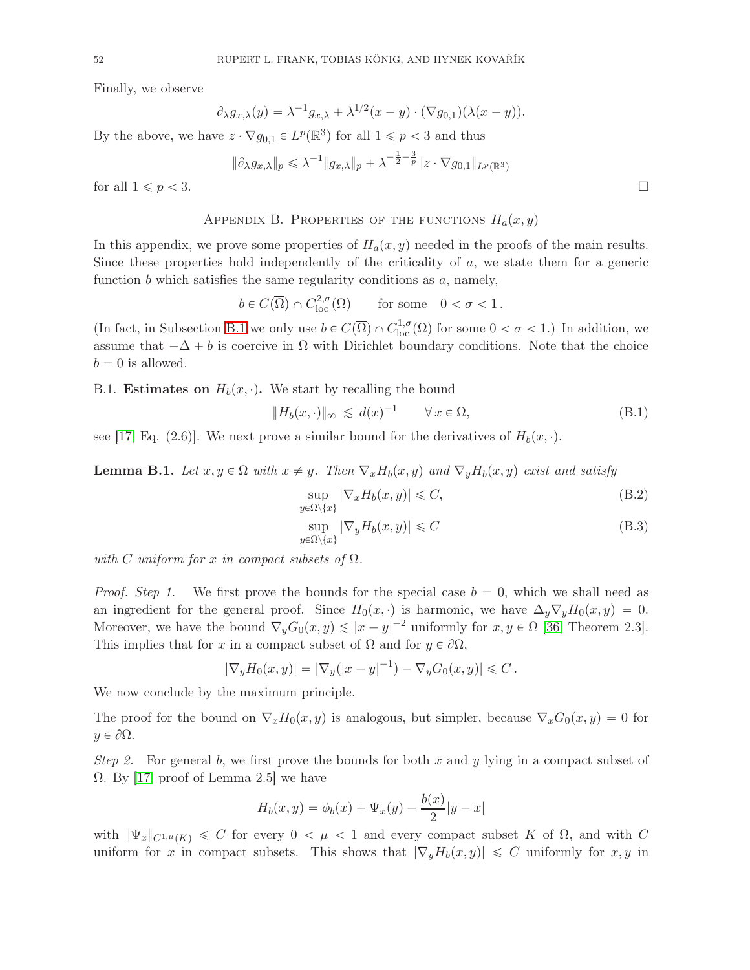Finally, we observe

$$
\partial_{\lambda}g_{x,\lambda}(y) = \lambda^{-1}g_{x,\lambda} + \lambda^{1/2}(x-y) \cdot (\nabla g_{0,1})(\lambda(x-y)).
$$

By the above, we have  $z \cdot \nabla g_{0,1} \in L^p(\mathbb{R}^3)$  for all  $1 \leq p < 3$  and thus

$$
\|\partial_{\lambda}g_{x,\lambda}\|_{p}\leqslant\lambda^{-1}\|g_{x,\lambda}\|_{p}+\lambda^{-\frac{1}{2}-\frac{3}{p}}\|z\cdot\nabla g_{0,1}\|_{L^{p}(\mathbb{R}^{3})}
$$

for all  $1 \leqslant p < 3$ .

#### APPENDIX B. PROPERTIES OF THE FUNCTIONS  $H_a(x, y)$

In this appendix, we prove some properties of  $H_a(x, y)$  needed in the proofs of the main results. Since these properties hold independently of the criticality of  $a$ , we state them for a generic function  $b$  which satisfies the same regularity conditions as  $a$ , namely,

 $b \in C(\overline{\Omega}) \cap C^{2,\sigma}_{loc}(\Omega)$  for some  $0 < \sigma < 1$ .

(In fact, in Subsection [B.1](#page-51-2) we only use  $b \in C(\overline{\Omega}) \cap C^{1,\sigma}_{loc}(\Omega)$  for some  $0 < \sigma < 1$ .) In addition, we assume that  $-\Delta + b$  is coercive in  $\Omega$  with Dirichlet boundary conditions. Note that the choice  $b = 0$  is allowed.

<span id="page-51-2"></span>B.1. **Estimates on**  $H_b(x, \cdot)$ . We start by recalling the bound

<span id="page-51-0"></span>
$$
||H_b(x, \cdot)||_{\infty} \leq d(x)^{-1} \qquad \forall x \in \Omega,
$$
\n(B.1)

see [\[17,](#page-55-1) Eq. (2.6)]. We next prove a similar bound for the derivatives of  $H_b(x, \cdot)$ .

<span id="page-51-1"></span>**Lemma B.1.** Let  $x, y \in \Omega$  with  $x \neq y$ . Then  $\nabla_x H_b(x, y)$  and  $\nabla_y H_b(x, y)$  exist and satisfy

$$
\sup_{y \in \Omega \setminus \{x\}} |\nabla_x H_b(x, y)| \leq C,\tag{B.2}
$$

<span id="page-51-4"></span>
$$
\sup_{y \in \Omega \setminus \{x\}} |\nabla_y H_b(x, y)| \leq C \tag{B.3}
$$

with C uniform for x in compact subsets of  $\Omega$ .

*Proof. Step 1.* We first prove the bounds for the special case  $b = 0$ , which we shall need as an ingredient for the general proof. Since  $H_0(x, \cdot)$  is harmonic, we have  $\Delta_y \nabla_y H_0(x, y) = 0$ . Moreover, we have the bound  $\nabla_y G_0(x, y) \lesssim |x - y|^{-2}$  uniformly for  $x, y \in \Omega$  [\[36,](#page-56-18) Theorem 2.3]. This implies that for x in a compact subset of  $\Omega$  and for  $y \in \partial \Omega$ ,

$$
|\nabla_y H_0(x, y)| = |\nabla_y(|x - y|^{-1}) - \nabla_y G_0(x, y)| \leq C.
$$

We now conclude by the maximum principle.

The proof for the bound on  $\nabla_x H_0(x, y)$  is analogous, but simpler, because  $\nabla_x G_0(x, y) = 0$  for  $y \in \partial \Omega$ .

Step 2. For general b, we first prove the bounds for both x and y lying in a compact subset of  $\Omega$ . By [\[17,](#page-55-1) proof of Lemma 2.5] we have

$$
H_b(x, y) = \phi_b(x) + \Psi_x(y) - \frac{b(x)}{2}|y - x|
$$

with  $\|\Psi_x\|_{C^{1,\mu}(K)} \leq C$  for every  $0 < \mu < 1$  and every compact subset K of  $\Omega$ , and with C uniform for x in compact subsets. This shows that  $|\nabla_y H_b(x, y)| \leq C$  uniformly for  $x, y$  in

<span id="page-51-3"></span>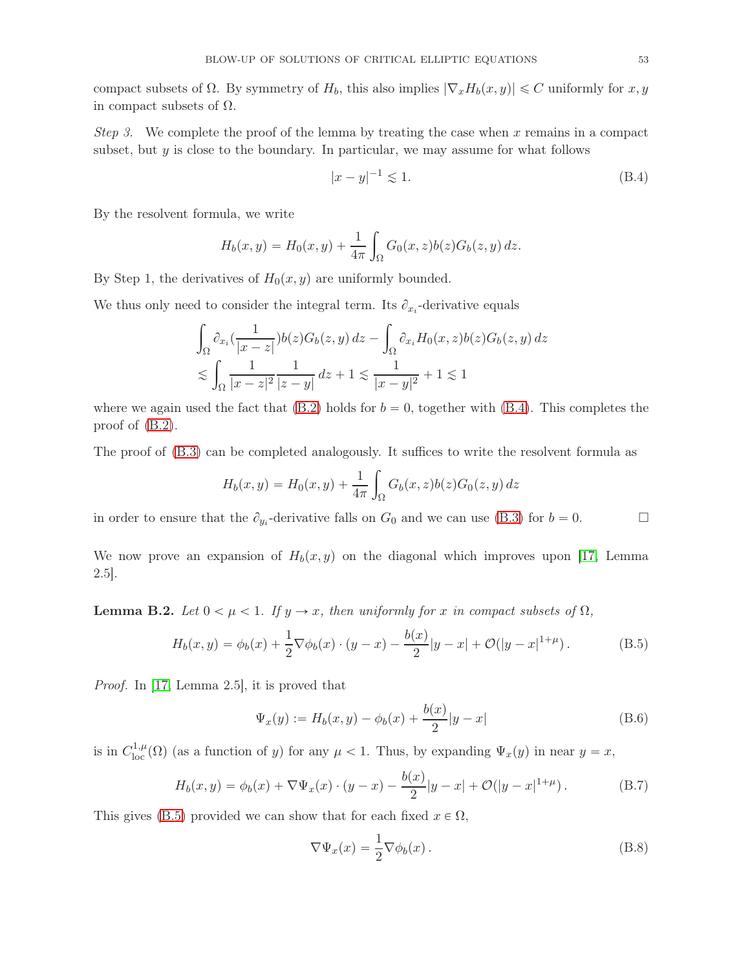compact subsets of  $\Omega$ . By symmetry of  $H_b$ , this also implies  $|\nabla_x H_b(x, y)| \leq C$  uniformly for  $x, y$ in compact subsets of  $\Omega$ .

Step 3. We complete the proof of the lemma by treating the case when x remains in a compact subset, but  $y$  is close to the boundary. In particular, we may assume for what follows

<span id="page-52-1"></span>
$$
|x - y|^{-1} \lesssim 1. \tag{B.4}
$$

By the resolvent formula, we write

$$
H_b(x, y) = H_0(x, y) + \frac{1}{4\pi} \int_{\Omega} G_0(x, z) b(z) G_b(z, y) dz.
$$

By Step 1, the derivatives of  $H_0(x, y)$  are uniformly bounded.

We thus only need to consider the integral term. Its  $\partial_{x_i}$ -derivative equals

$$
\int_{\Omega} \partial_{x_i} \left( \frac{1}{|x-z|} \right) b(z) G_b(z, y) dz - \int_{\Omega} \partial_{x_i} H_0(x, z) b(z) G_b(z, y) dz
$$
  

$$
\lesssim \int_{\Omega} \frac{1}{|x-z|^2} \frac{1}{|z-y|} dz + 1 \lesssim \frac{1}{|x-y|^2} + 1 \lesssim 1
$$

where we again used the fact that  $(B.2)$  holds for  $b = 0$ , together with  $(B.4)$ . This completes the proof of [\(B.2\)](#page-51-3).

The proof of  $(B.3)$  can be completed analogously. It suffices to write the resolvent formula as

$$
H_b(x, y) = H_0(x, y) + \frac{1}{4\pi} \int_{\Omega} G_b(x, z) b(z) G_0(z, y) dz
$$

in order to ensure that the  $\partial_{y_i}$ -derivative falls on  $G_0$  and we can use [\(B.3\)](#page-51-4) for  $b = 0$ .

We now prove an expansion of  $H_b(x, y)$  on the diagonal which improves upon [\[17,](#page-55-1) Lemma 2.5].

**Lemma B.2.** Let  $0 < \mu < 1$ . If  $y \to x$ , then uniformly for x in compact subsets of  $\Omega$ ,

<span id="page-52-0"></span>
$$
H_b(x,y) = \phi_b(x) + \frac{1}{2}\nabla\phi_b(x) \cdot (y-x) - \frac{b(x)}{2}|y-x| + \mathcal{O}(|y-x|^{1+\mu}).
$$
 (B.5)

Proof. In [\[17,](#page-55-1) Lemma 2.5], it is proved that

$$
\Psi_x(y) := H_b(x, y) - \phi_b(x) + \frac{b(x)}{2}|y - x|
$$
\n(B.6)

is in  $C^{1,\mu}_{loc}(\Omega)$  (as a function of y) for any  $\mu < 1$ . Thus, by expanding  $\Psi_x(y)$  in near  $y = x$ ,

<span id="page-52-2"></span>
$$
H_b(x,y) = \phi_b(x) + \nabla \Psi_x(x) \cdot (y-x) - \frac{b(x)}{2}|y-x| + \mathcal{O}(|y-x|^{1+\mu}). \tag{B.7}
$$

This gives [\(B.5\)](#page-52-0) provided we can show that for each fixed  $x \in \Omega$ ,

<span id="page-52-3"></span>
$$
\nabla \Psi_x(x) = \frac{1}{2} \nabla \phi_b(x).
$$
 (B.8)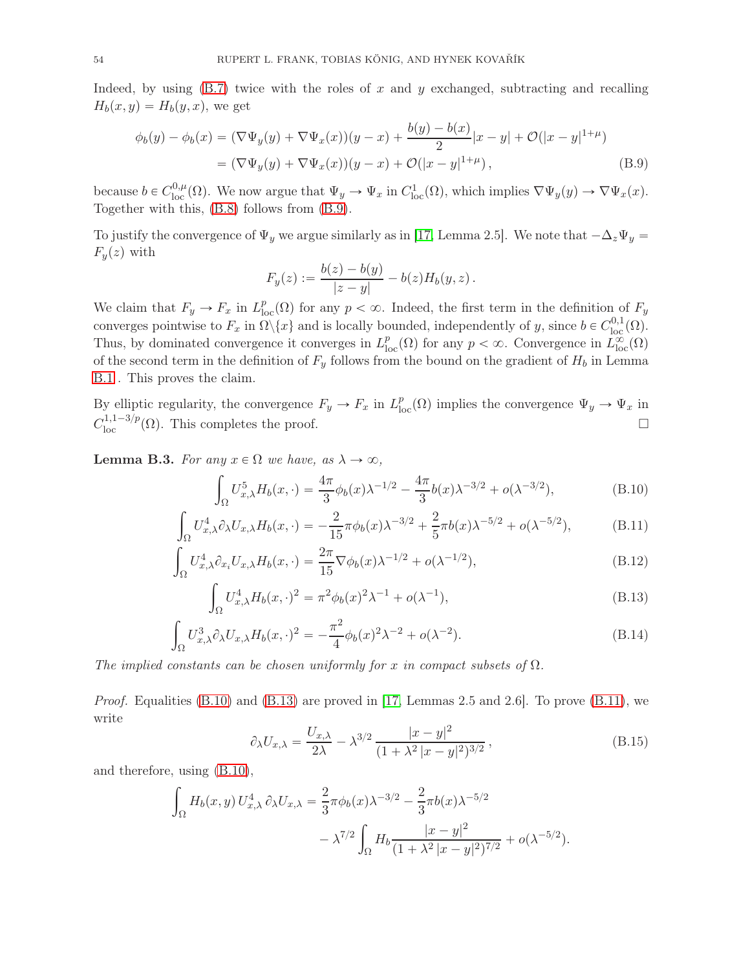Indeed, by using  $(B.7)$  twice with the roles of x and y exchanged, subtracting and recalling  $H_b(x, y) = H_b(y, x)$ , we get

$$
\phi_b(y) - \phi_b(x) = (\nabla \Psi_y(y) + \nabla \Psi_x(x))(y - x) + \frac{b(y) - b(x)}{2}|x - y| + \mathcal{O}(|x - y|^{1 + \mu})
$$
  
= 
$$
(\nabla \Psi_y(y) + \nabla \Psi_x(x))(y - x) + \mathcal{O}(|x - y|^{1 + \mu}),
$$
 (B.9)

because  $b \in C^{0,\mu}_{loc}(\Omega)$ . We now argue that  $\Psi_y \to \Psi_x$  in  $C^1_{loc}(\Omega)$ , which implies  $\nabla \Psi_y(y) \to \nabla \Psi_x(x)$ . Together with this, [\(B.8\)](#page-52-3) follows from [\(B.9\)](#page-53-4).

To justify the convergence of  $\Psi_y$  we argue similarly as in [\[17,](#page-55-1) Lemma 2.5]. We note that  $-\Delta_z\Psi_y =$  $F_y(z)$  with

<span id="page-53-4"></span>
$$
F_y(z) := \frac{b(z) - b(y)}{|z - y|} - b(z)H_b(y, z).
$$

We claim that  $F_y \to F_x$  in  $L_{loc}^p(\Omega)$  for any  $p < \infty$ . Indeed, the first term in the definition of  $F_y$ converges pointwise to  $F_x$  in  $\Omega \backslash \{x\}$  and is locally bounded, independently of y, since  $b \in C^{0,1}_{loc}(\Omega)$ . Thus, by dominated convergence it converges in  $L_{loc}^p(\Omega)$  for any  $p < \infty$ . Convergence in  $\widetilde{L}_{loc}^{\infty}(\Omega)$ of the second term in the definition of  $F_y$  follows from the bound on the gradient of  $H_b$  in Lemma [B.1](#page-51-1) . This proves the claim.

By elliptic regularity, the convergence  $F_y \to F_x$  in  $L^p_{loc}(\Omega)$  implies the convergence  $\Psi_y \to \Psi_x$  in  $C_{\text{loc}}^{1,1-3/p}(\Omega)$ . This completes the proof.

<span id="page-53-0"></span>**Lemma B.3.** For any  $x \in \Omega$  we have, as  $\lambda \to \infty$ ,

<span id="page-53-5"></span><span id="page-53-2"></span>
$$
\int_{\Omega} U_{x,\lambda}^5 H_b(x,\cdot) = \frac{4\pi}{3} \phi_b(x) \lambda^{-1/2} - \frac{4\pi}{3} b(x) \lambda^{-3/2} + o(\lambda^{-3/2}),\tag{B.10}
$$

$$
\int_{\Omega} U_{x,\lambda}^4 \partial_{\lambda} U_{x,\lambda} H_b(x,\cdot) = -\frac{2}{15} \pi \phi_b(x) \lambda^{-3/2} + \frac{2}{5} \pi b(x) \lambda^{-5/2} + o(\lambda^{-5/2}), \tag{B.11}
$$

$$
\int_{\Omega} U_{x,\lambda}^4 \partial_{x_i} U_{x,\lambda} H_b(x,\cdot) = \frac{2\pi}{15} \nabla \phi_b(x) \lambda^{-1/2} + o(\lambda^{-1/2}),\tag{B.12}
$$

$$
\int_{\Omega} U_{x,\lambda}^4 H_b(x,\cdot)^2 = \pi^2 \phi_b(x)^2 \lambda^{-1} + o(\lambda^{-1}),
$$
\n(B.13)

$$
\int_{\Omega} U_{x,\lambda}^3 \partial_{\lambda} U_{x,\lambda} H_b(x,\cdot)^2 = -\frac{\pi^2}{4} \phi_b(x)^2 \lambda^{-2} + o(\lambda^{-2}).
$$
\n(B.14)

The implied constants can be chosen uniformly for x in compact subsets of  $\Omega$ .

*Proof.* Equalities  $(B.10)$  and  $(B.13)$  are proved in [\[17,](#page-55-1) Lemmas 2.5 and 2.6]. To prove  $(B.11)$ , we write

<span id="page-53-7"></span><span id="page-53-6"></span><span id="page-53-3"></span><span id="page-53-1"></span>
$$
\partial_{\lambda} U_{x,\lambda} = \frac{U_{x,\lambda}}{2\lambda} - \lambda^{3/2} \frac{|x-y|^2}{(1+\lambda^2|x-y|^2)^{3/2}},
$$
\n(B.15)

and therefore, using [\(B.10\)](#page-53-5),

$$
\int_{\Omega} H_b(x, y) U_{x, \lambda}^4 \partial_{\lambda} U_{x, \lambda} = \frac{2}{3} \pi \phi_b(x) \lambda^{-3/2} - \frac{2}{3} \pi b(x) \lambda^{-5/2}
$$

$$
- \lambda^{7/2} \int_{\Omega} H_b \frac{|x - y|^2}{(1 + \lambda^2 |x - y|^2)^{7/2}} + o(\lambda^{-5/2}).
$$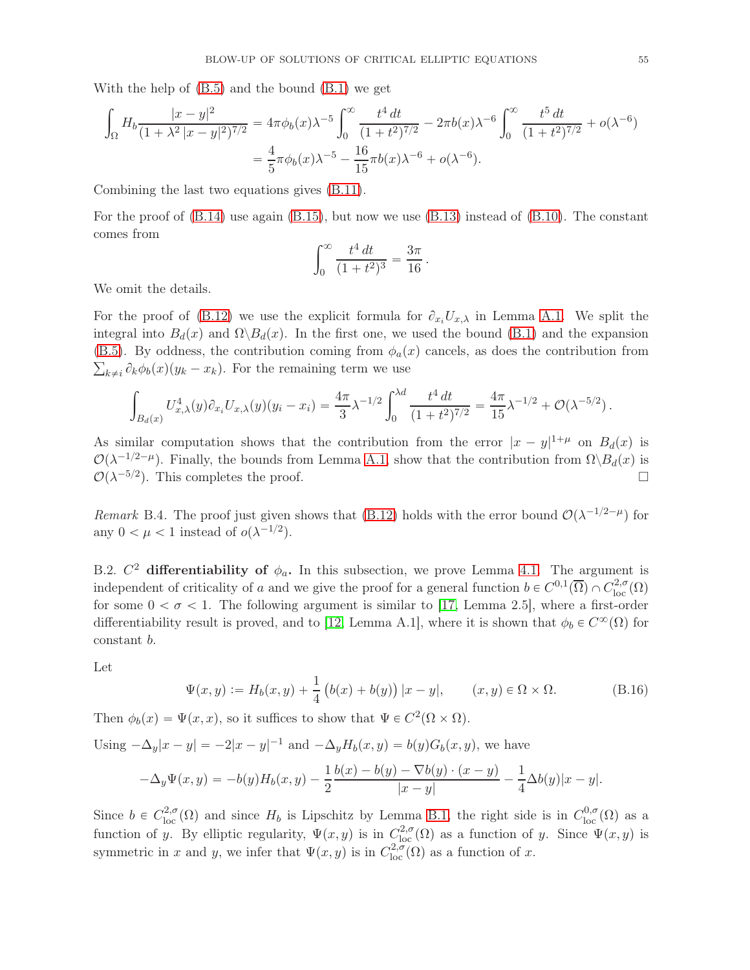With the help of [\(B.5\)](#page-52-0) and the bound [\(B.1\)](#page-51-0) we get

$$
\int_{\Omega} H_b \frac{|x-y|^2}{(1+\lambda^2|x-y|^2)^{7/2}} = 4\pi \phi_b(x)\lambda^{-5} \int_0^\infty \frac{t^4 dt}{(1+t^2)^{7/2}} - 2\pi b(x)\lambda^{-6} \int_0^\infty \frac{t^5 dt}{(1+t^2)^{7/2}} + o(\lambda^{-6})
$$

$$
= \frac{4}{5}\pi \phi_b(x)\lambda^{-5} - \frac{16}{15}\pi b(x)\lambda^{-6} + o(\lambda^{-6}).
$$

Combining the last two equations gives [\(B.11\)](#page-53-2).

For the proof of  $(B.14)$  use again  $(B.15)$ , but now we use  $(B.13)$  instead of  $(B.10)$ . The constant comes from

$$
\int_0^\infty \frac{t^4 dt}{(1+t^2)^3} = \frac{3\pi}{16}.
$$

We omit the details.

For the proof of [\(B.12\)](#page-53-7) we use the explicit formula for  $\partial_{x_i}U_{x,\lambda}$  in Lemma [A.1.](#page-49-0) We split the integral into  $B_d(x)$  and  $\Omega \backslash B_d(x)$ . In the first one, we used the bound [\(B.1\)](#page-51-0) and the expansion [\(B.5\)](#page-52-0). By oddness, the contribution coming from  $\phi_a(x)$  cancels, as does the contribution from  $\sum_{k\neq i} \partial_k \phi_b(x) (y_k - x_k)$ . For the remaining term we use

$$
\int_{B_d(x)} U_{x,\lambda}^4(y) \partial_{x_i} U_{x,\lambda}(y) (y_i - x_i) = \frac{4\pi}{3} \lambda^{-1/2} \int_0^{\lambda d} \frac{t^4 dt}{(1 + t^2)^{7/2}} = \frac{4\pi}{15} \lambda^{-1/2} + \mathcal{O}(\lambda^{-5/2}).
$$

As similar computation shows that the contribution from the error  $|x - y|^{1 + \mu}$  on  $B_d(x)$  is  $\mathcal{O}(\lambda^{-1/2-\mu})$ . Finally, the bounds from Lemma [A.1,](#page-49-0) show that the contribution from  $\Omega \backslash B_d(x)$  is  $\mathcal{O}(\lambda^{-5/2})$ . This completes the proof.

<span id="page-54-0"></span>Remark B.4. The proof just given shows that [\(B.12\)](#page-53-7) holds with the error bound  $\mathcal{O}(\lambda^{-1/2-\mu})$  for any  $0 < \mu < 1$  instead of  $o(\lambda^{-1/2})$ .

<span id="page-54-1"></span>B.2.  $C^2$  differentiability of  $\phi_a$ . In this subsection, we prove Lemma [4.1.](#page-29-0) The argument is independent of criticality of a and we give the proof for a general function  $b \in C^{0,1}(\overline{\Omega}) \cap C^{2,\sigma}_{loc}(\Omega)$ for some  $0 < \sigma < 1$ . The following argument is similar to [\[17,](#page-55-1) Lemma 2.5], where a first-order differentiability result is proved, and to [\[12,](#page-55-9) Lemma A.1], where it is shown that  $\phi_b \in C^{\infty}(\Omega)$  for constant b.

Let

$$
\Psi(x, y) := H_b(x, y) + \frac{1}{4} (b(x) + b(y)) |x - y|, \qquad (x, y) \in \Omega \times \Omega.
$$
 (B.16)

Then  $\phi_b(x) = \Psi(x, x)$ , so it suffices to show that  $\Psi \in C^2(\Omega \times \Omega)$ .

Using  $-\Delta_y|x - y| = -2|x - y|^{-1}$  and  $-\Delta_y H_b(x, y) = b(y)G_b(x, y)$ , we have

$$
-\Delta_y \Psi(x,y) = -b(y)H_b(x,y) - \frac{1}{2}\frac{b(x) - b(y) - \nabla b(y) \cdot (x - y)}{|x - y|} - \frac{1}{4}\Delta b(y)|x - y|.
$$

Since  $b \in C^{2,\sigma}_{loc}(\Omega)$  and since  $H_b$  is Lipschitz by Lemma [B.1,](#page-51-1) the right side is in  $C^{0,\sigma}_{loc}(\Omega)$  as a function of y. By elliptic regularity,  $\Psi(x, y)$  is in  $C^{2,\sigma}_{loc}(\Omega)$  as a function of y. Since  $\Psi(x, y)$  is symmetric in x and y, we infer that  $\Psi(x, y)$  is in  $C^{2,\sigma}_{loc}(\Omega)$  as a function of x.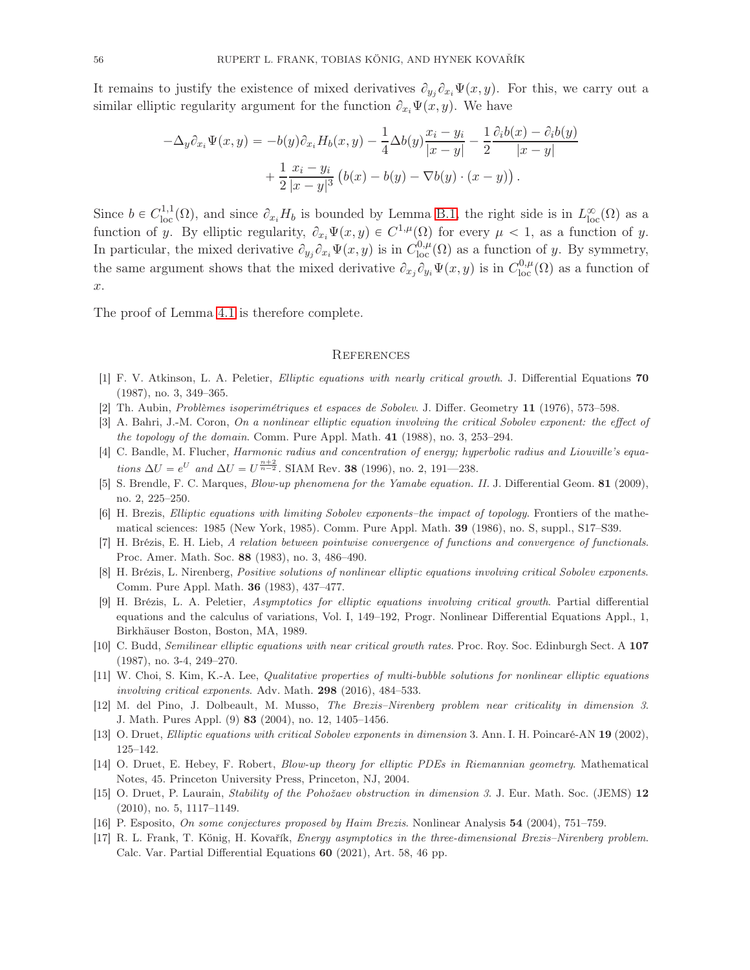It remains to justify the existence of mixed derivatives  $\partial_{y_j}\partial_{x_i}\Psi(x,y)$ . For this, we carry out a similar elliptic regularity argument for the function  $\partial_{x_i}\Psi(x, y)$ . We have

$$
-\Delta_y \partial_{x_i} \Psi(x, y) = -b(y)\partial_{x_i} H_b(x, y) - \frac{1}{4}\Delta b(y)\frac{x_i - y_i}{|x - y|} - \frac{1}{2}\frac{\partial_i b(x) - \partial_i b(y)}{|x - y|} + \frac{1}{2}\frac{x_i - y_i}{|x - y|^3} (b(x) - b(y) - \nabla b(y) \cdot (x - y)).
$$

Since  $b \in C^{1,1}_{loc}(\Omega)$ , and since  $\partial_{x_i} H_b$  is bounded by Lemma [B.1,](#page-51-1) the right side is in  $L^{\infty}_{loc}(\Omega)$  as a function of y. By elliptic regularity,  $\partial_{x_i} \Psi(x, y) \in C^{1,\mu}(\Omega)$  for every  $\mu < 1$ , as a function of y. In particular, the mixed derivative  $\partial_{y_j} \partial_{x_i} \Psi(x, y)$  is in  $C^{0,\mu}_{loc}(\Omega)$  as a function of y. By symmetry, the same argument shows that the mixed derivative  $\partial_{x_j}\partial_{y_i}\Psi(x,y)$  is in  $C^{0,\mu}_{loc}(\Omega)$  as a function of x.

The proof of Lemma [4.1](#page-29-0) is therefore complete.

#### **REFERENCES**

- <span id="page-55-3"></span><span id="page-55-0"></span>[1] F. V. Atkinson, L. A. Peletier, Elliptic equations with nearly critical growth. J. Differential Equations 70 (1987), no. 3, 349–365.
- <span id="page-55-14"></span>[2] Th. Aubin, Problèmes isoperimétriques et espaces de Sobolev. J. Differ. Geometry 11 (1976), 573–598.
- [3] A. Bahri, J.-M. Coron, On a nonlinear elliptic equation involving the critical Sobolev exponent: the effect of the topology of the domain. Comm. Pure Appl. Math. 41 (1988), no. 3, 253-294.
- [4] C. Bandle, M. Flucher, *Harmonic radius and concentration of energy; hyperbolic radius and Liouville's equa*tions  $\Delta U = e^U$  and  $\Delta U = U^{\frac{n+2}{n-2}}$ . SIAM Rev. **38** (1996), no. 2, 191—238.
- <span id="page-55-13"></span><span id="page-55-6"></span>[5] S. Brendle, F. C. Marques, Blow-up phenomena for the Yamabe equation. II. J. Differential Geom. 81 (2009), no. 2, 225–250.
- [6] H. Brezis, Elliptic equations with limiting Sobolev exponents–the impact of topology. Frontiers of the mathematical sciences: 1985 (New York, 1985). Comm. Pure Appl. Math. 39 (1986), no. S, suppl., S17–S39.
- <span id="page-55-15"></span>[7] H. Brézis, E. H. Lieb, A relation between pointwise convergence of functions and convergence of functionals. Proc. Amer. Math. Soc. 88 (1983), no. 3, 486–490.
- <span id="page-55-5"></span>[8] H. Brézis, L. Nirenberg, Positive solutions of nonlinear elliptic equations involving critical Sobolev exponents. Comm. Pure Appl. Math. 36 (1983), 437–477.
- <span id="page-55-2"></span>[9] H. Brézis, L. A. Peletier, Asymptotics for elliptic equations involving critical growth. Partial differential equations and the calculus of variations, Vol. I, 149–192, Progr. Nonlinear Differential Equations Appl., 1, Birkhäuser Boston, Boston, MA, 1989.
- <span id="page-55-12"></span><span id="page-55-4"></span>[10] C. Budd, Semilinear elliptic equations with near critical growth rates. Proc. Roy. Soc. Edinburgh Sect. A 107 (1987), no. 3-4, 249–270.
- [11] W. Choi, S. Kim, K.-A. Lee, Qualitative properties of multi-bubble solutions for nonlinear elliptic equations *involving critical exponents.* Adv. Math.  $298$  (2016), 484–533.
- <span id="page-55-9"></span>[12] M. del Pino, J. Dolbeault, M. Musso, The Brezis–Nirenberg problem near criticality in dimension 3. J. Math. Pures Appl. (9) 83 (2004), no. 12, 1405–1456.
- <span id="page-55-10"></span><span id="page-55-7"></span>[13] O. Druet, Elliptic equations with critical Sobolev exponents in dimension 3. Ann. I. H. Poincaré-AN 19 (2002), 125–142.
- [14] O. Druet, E. Hebey, F. Robert, Blow-up theory for elliptic PDEs in Riemannian geometry. Mathematical Notes, 45. Princeton University Press, Princeton, NJ, 2004.
- <span id="page-55-11"></span>[15] O. Druet, P. Laurain, Stability of the Pohožaev obstruction in dimension 3. J. Eur. Math. Soc. (JEMS) 12 (2010), no. 5, 1117–1149.
- <span id="page-55-8"></span><span id="page-55-1"></span>[16] P. Esposito, On some conjectures proposed by Haim Brezis. Nonlinear Analysis 54 (2004), 751–759.
- [17] R. L. Frank, T. König, H. Kovařík, Energy asymptotics in the three-dimensional Brezis–Nirenberg problem. Calc. Var. Partial Differential Equations 60 (2021), Art. 58, 46 pp.